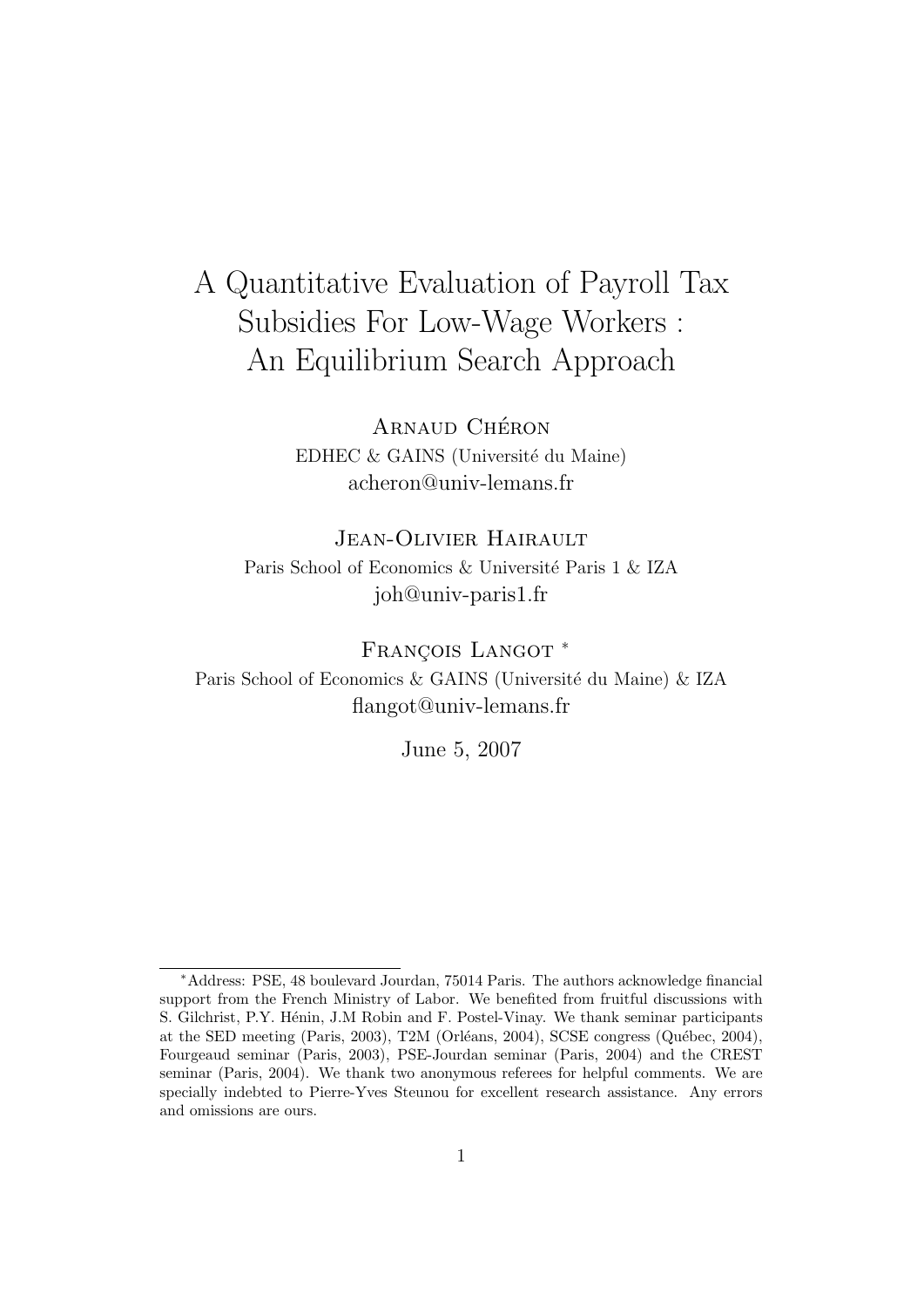# A Quantitative Evaluation of Payroll Tax Subsidies For Low-Wage Workers : An Equilibrium Search Approach

ARNAUD CHÉRON EDHEC & GAINS (Université du Maine) acheron@univ-lemans.fr

Jean-Olivier Hairault Paris School of Economics & Université Paris 1 & IZA joh@univ-paris1.fr

FRANÇOIS LANGOT<sup>\*</sup> Paris School of Economics & GAINS (Université du Maine) & IZA flangot@univ-lemans.fr

June 5, 2007

<sup>∗</sup>Address: PSE, 48 boulevard Jourdan, 75014 Paris. The authors acknowledge financial support from the French Ministry of Labor. We benefited from fruitful discussions with S. Gilchrist, P.Y. Hénin, J.M Robin and F. Postel-Vinay. We thank seminar participants at the SED meeting (Paris, 2003), T2M (Orléans, 2004), SCSE congress (Québec, 2004), Fourgeaud seminar (Paris, 2003), PSE-Jourdan seminar (Paris, 2004) and the CREST seminar (Paris, 2004). We thank two anonymous referees for helpful comments. We are specially indebted to Pierre-Yves Steunou for excellent research assistance. Any errors and omissions are ours.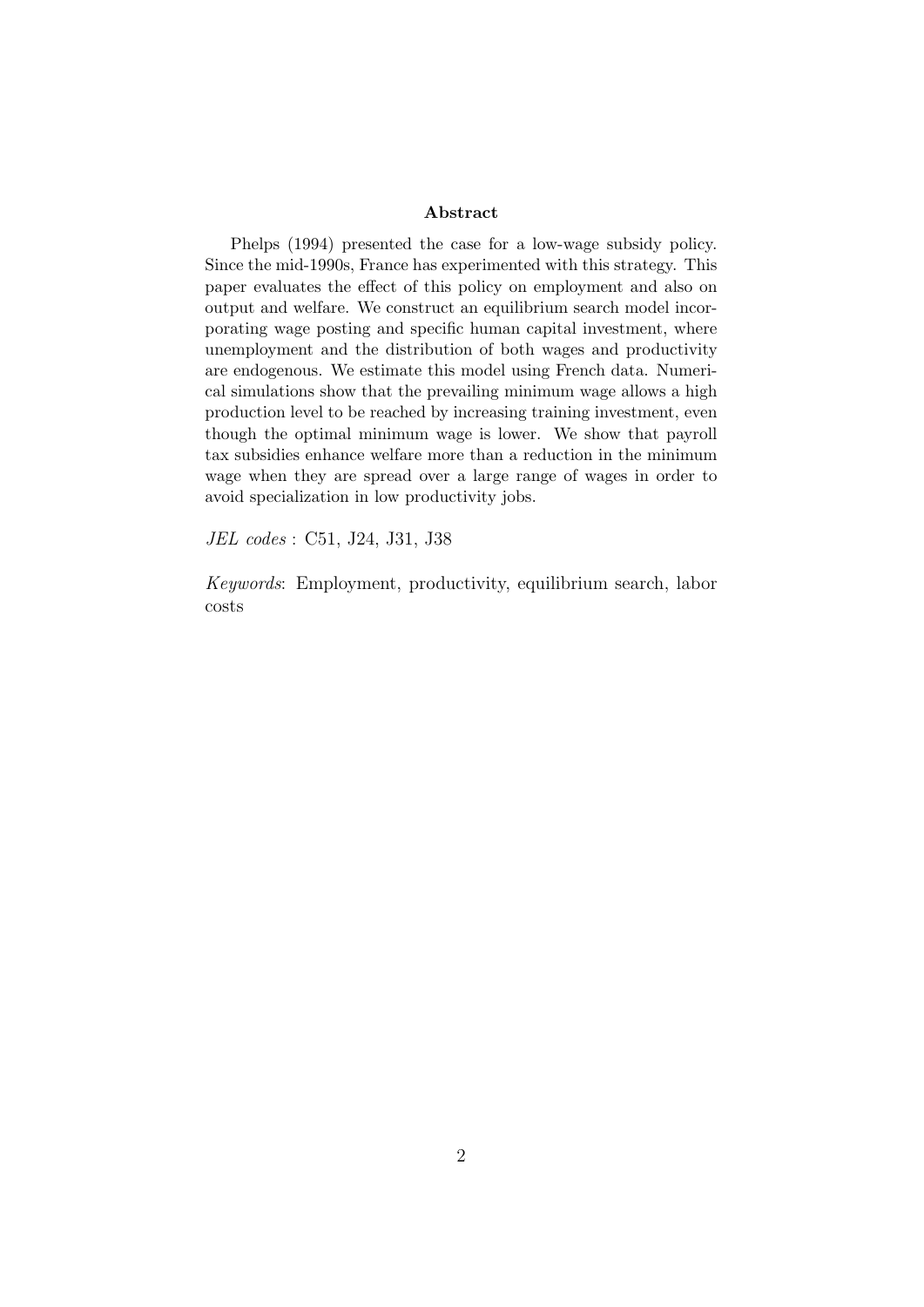#### Abstract

Phelps (1994) presented the case for a low-wage subsidy policy. Since the mid-1990s, France has experimented with this strategy. This paper evaluates the effect of this policy on employment and also on output and welfare. We construct an equilibrium search model incorporating wage posting and specific human capital investment, where unemployment and the distribution of both wages and productivity are endogenous. We estimate this model using French data. Numerical simulations show that the prevailing minimum wage allows a high production level to be reached by increasing training investment, even though the optimal minimum wage is lower. We show that payroll tax subsidies enhance welfare more than a reduction in the minimum wage when they are spread over a large range of wages in order to avoid specialization in low productivity jobs.

JEL codes : C51, J24, J31, J38

Keywords: Employment, productivity, equilibrium search, labor costs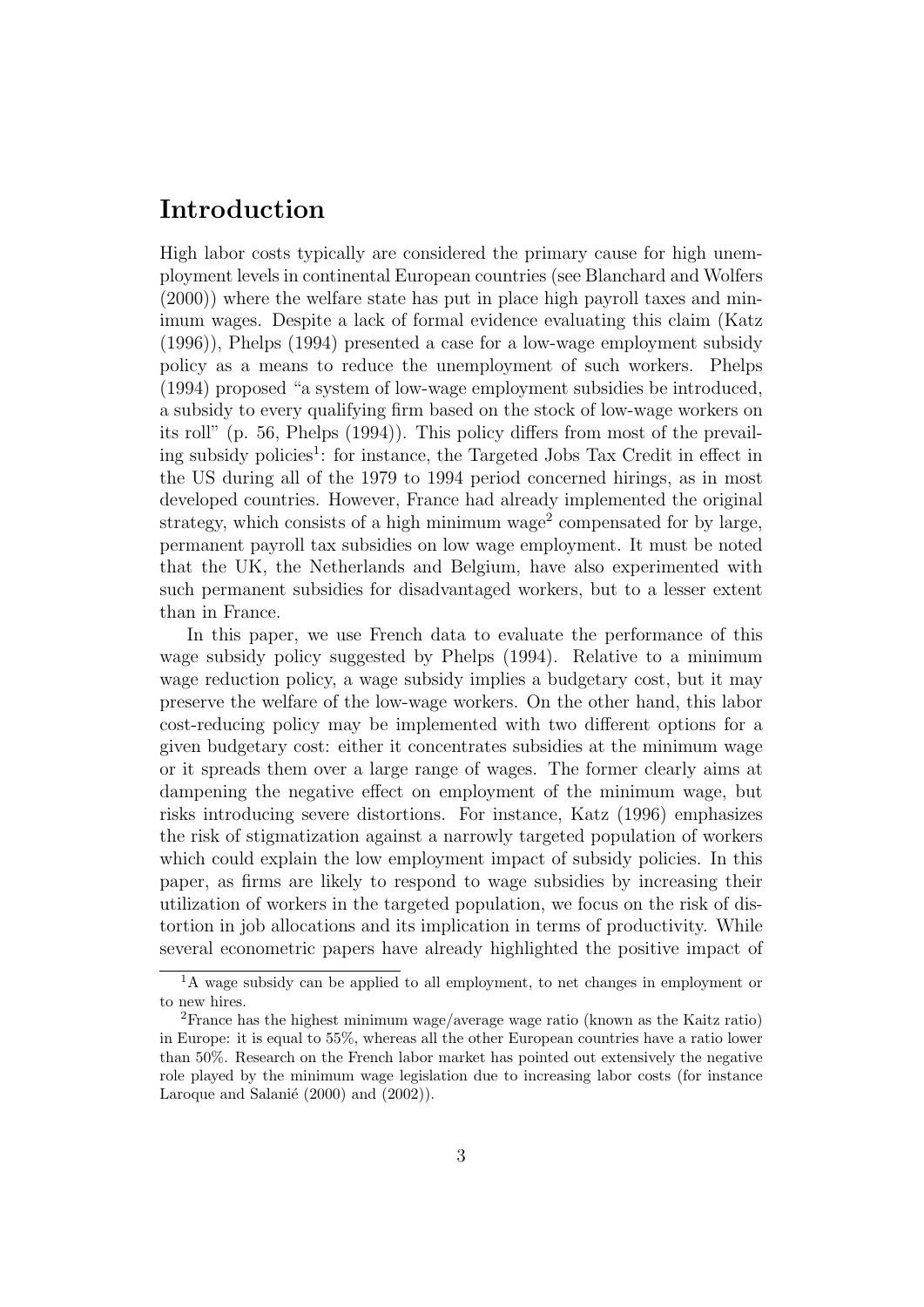## Introduction

High labor costs typically are considered the primary cause for high unemployment levels in continental European countries (see Blanchard and Wolfers (2000)) where the welfare state has put in place high payroll taxes and minimum wages. Despite a lack of formal evidence evaluating this claim (Katz (1996)), Phelps (1994) presented a case for a low-wage employment subsidy policy as a means to reduce the unemployment of such workers. Phelps (1994) proposed "a system of low-wage employment subsidies be introduced, a subsidy to every qualifying firm based on the stock of low-wage workers on its roll" (p. 56, Phelps (1994)). This policy differs from most of the prevailing subsidy policies<sup>1</sup>: for instance, the Targeted Jobs Tax Credit in effect in the US during all of the 1979 to 1994 period concerned hirings, as in most developed countries. However, France had already implemented the original strategy, which consists of a high minimum wage<sup>2</sup> compensated for by large, permanent payroll tax subsidies on low wage employment. It must be noted that the UK, the Netherlands and Belgium, have also experimented with such permanent subsidies for disadvantaged workers, but to a lesser extent than in France.

In this paper, we use French data to evaluate the performance of this wage subsidy policy suggested by Phelps (1994). Relative to a minimum wage reduction policy, a wage subsidy implies a budgetary cost, but it may preserve the welfare of the low-wage workers. On the other hand, this labor cost-reducing policy may be implemented with two different options for a given budgetary cost: either it concentrates subsidies at the minimum wage or it spreads them over a large range of wages. The former clearly aims at dampening the negative effect on employment of the minimum wage, but risks introducing severe distortions. For instance, Katz (1996) emphasizes the risk of stigmatization against a narrowly targeted population of workers which could explain the low employment impact of subsidy policies. In this paper, as firms are likely to respond to wage subsidies by increasing their utilization of workers in the targeted population, we focus on the risk of distortion in job allocations and its implication in terms of productivity. While several econometric papers have already highlighted the positive impact of

<sup>&</sup>lt;sup>1</sup>A wage subsidy can be applied to all employment, to net changes in employment or to new hires.

<sup>2</sup>France has the highest minimum wage/average wage ratio (known as the Kaitz ratio) in Europe: it is equal to 55%, whereas all the other European countries have a ratio lower than 50%. Research on the French labor market has pointed out extensively the negative role played by the minimum wage legislation due to increasing labor costs (for instance Laroque and Salanié  $(2000)$  and  $(2002)$ ).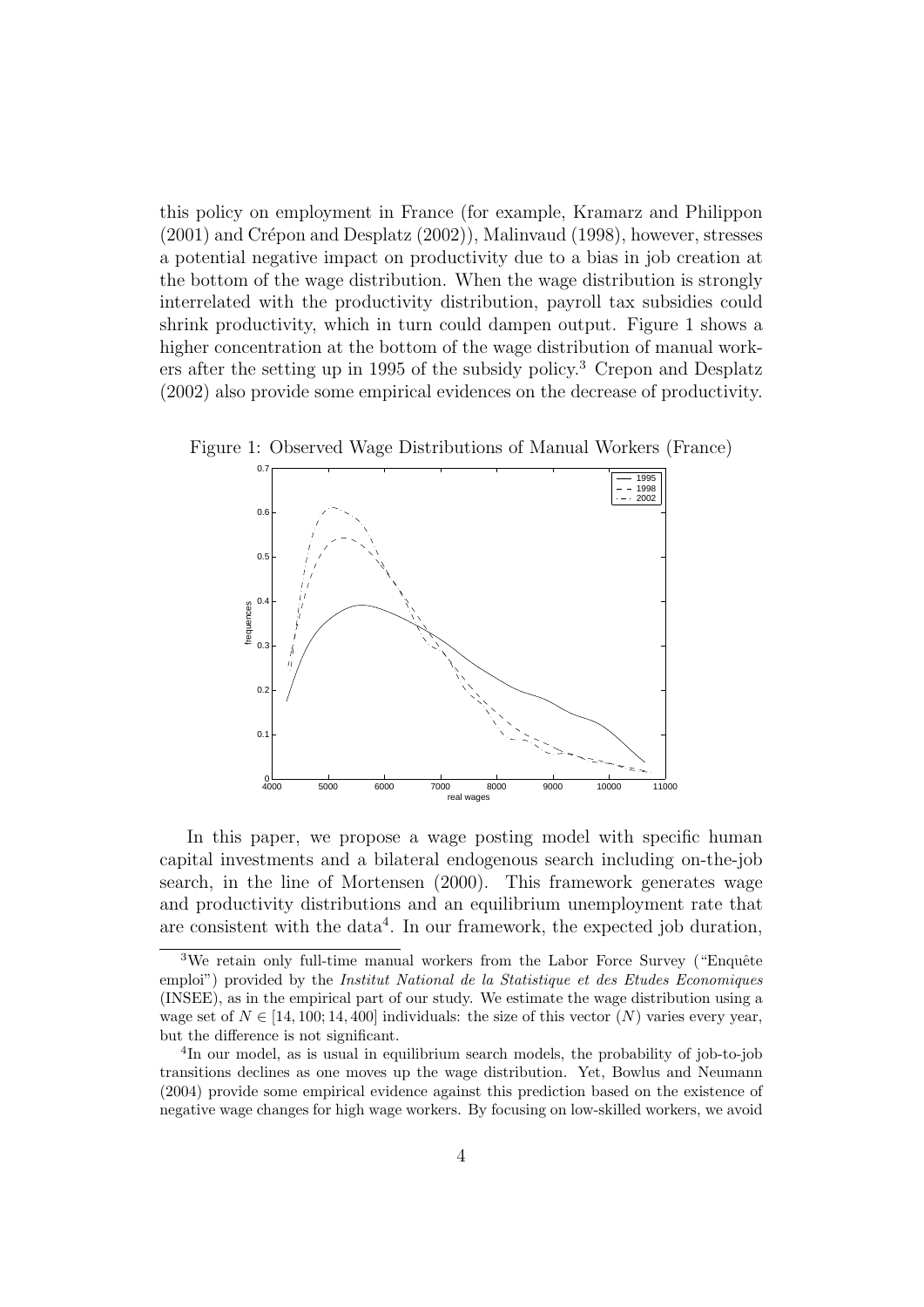this policy on employment in France (for example, Kramarz and Philippon  $(2001)$  and Crépon and Desplatz  $(2002)$ ), Malinvaud (1998), however, stresses a potential negative impact on productivity due to a bias in job creation at the bottom of the wage distribution. When the wage distribution is strongly interrelated with the productivity distribution, payroll tax subsidies could shrink productivity, which in turn could dampen output. Figure 1 shows a higher concentration at the bottom of the wage distribution of manual workers after the setting up in 1995 of the subsidy policy.<sup>3</sup> Crepon and Desplatz (2002) also provide some empirical evidences on the decrease of productivity.



Figure 1: Observed Wage Distributions of Manual Workers (France)

In this paper, we propose a wage posting model with specific human capital investments and a bilateral endogenous search including on-the-job search, in the line of Mortensen (2000). This framework generates wage and productivity distributions and an equilibrium unemployment rate that are consistent with the data<sup>4</sup>. In our framework, the expected job duration,

 $3$ We retain only full-time manual workers from the Labor Force Survey ("Enquête") emploi") provided by the *Institut National de la Statistique et des Etudes Economiques* (INSEE), as in the empirical part of our study. We estimate the wage distribution using a wage set of  $N \in [14, 100, 14, 400]$  individuals: the size of this vector  $(N)$  varies every year, but the difference is not significant.

<sup>4</sup> In our model, as is usual in equilibrium search models, the probability of job-to-job transitions declines as one moves up the wage distribution. Yet, Bowlus and Neumann (2004) provide some empirical evidence against this prediction based on the existence of negative wage changes for high wage workers. By focusing on low-skilled workers, we avoid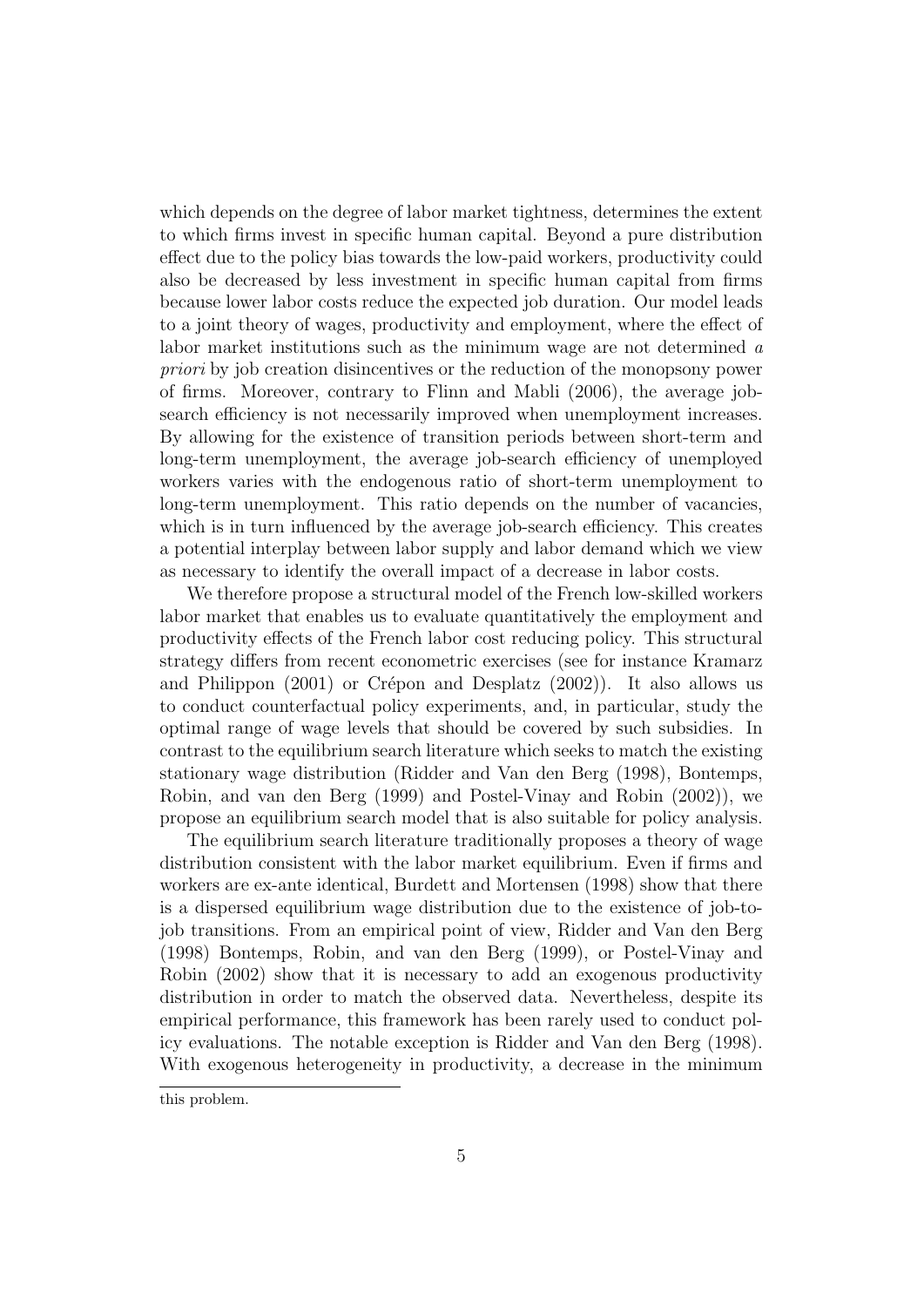which depends on the degree of labor market tightness, determines the extent to which firms invest in specific human capital. Beyond a pure distribution effect due to the policy bias towards the low-paid workers, productivity could also be decreased by less investment in specific human capital from firms because lower labor costs reduce the expected job duration. Our model leads to a joint theory of wages, productivity and employment, where the effect of labor market institutions such as the minimum wage are not determined a priori by job creation disincentives or the reduction of the monopsony power of firms. Moreover, contrary to Flinn and Mabli (2006), the average jobsearch efficiency is not necessarily improved when unemployment increases. By allowing for the existence of transition periods between short-term and long-term unemployment, the average job-search efficiency of unemployed workers varies with the endogenous ratio of short-term unemployment to long-term unemployment. This ratio depends on the number of vacancies, which is in turn influenced by the average job-search efficiency. This creates a potential interplay between labor supply and labor demand which we view as necessary to identify the overall impact of a decrease in labor costs.

We therefore propose a structural model of the French low-skilled workers labor market that enables us to evaluate quantitatively the employment and productivity effects of the French labor cost reducing policy. This structural strategy differs from recent econometric exercises (see for instance Kramarz and Philippon  $(2001)$  or Crépon and Desplatz  $(2002)$ ). It also allows us to conduct counterfactual policy experiments, and, in particular, study the optimal range of wage levels that should be covered by such subsidies. In contrast to the equilibrium search literature which seeks to match the existing stationary wage distribution (Ridder and Van den Berg (1998), Bontemps, Robin, and van den Berg (1999) and Postel-Vinay and Robin (2002)), we propose an equilibrium search model that is also suitable for policy analysis.

The equilibrium search literature traditionally proposes a theory of wage distribution consistent with the labor market equilibrium. Even if firms and workers are ex-ante identical, Burdett and Mortensen (1998) show that there is a dispersed equilibrium wage distribution due to the existence of job-tojob transitions. From an empirical point of view, Ridder and Van den Berg (1998) Bontemps, Robin, and van den Berg (1999), or Postel-Vinay and Robin (2002) show that it is necessary to add an exogenous productivity distribution in order to match the observed data. Nevertheless, despite its empirical performance, this framework has been rarely used to conduct policy evaluations. The notable exception is Ridder and Van den Berg (1998). With exogenous heterogeneity in productivity, a decrease in the minimum

this problem.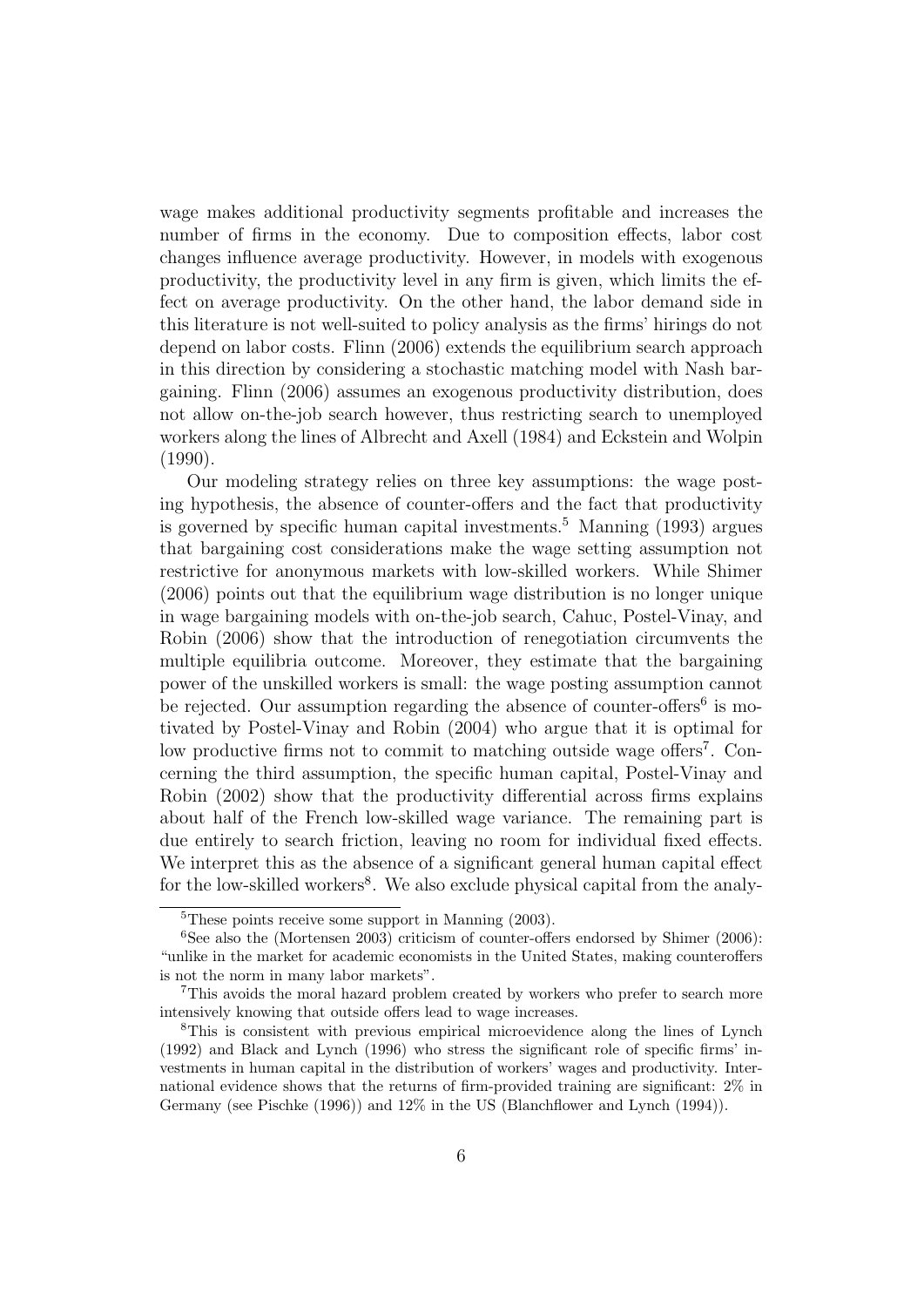wage makes additional productivity segments profitable and increases the number of firms in the economy. Due to composition effects, labor cost changes influence average productivity. However, in models with exogenous productivity, the productivity level in any firm is given, which limits the effect on average productivity. On the other hand, the labor demand side in this literature is not well-suited to policy analysis as the firms' hirings do not depend on labor costs. Flinn (2006) extends the equilibrium search approach in this direction by considering a stochastic matching model with Nash bargaining. Flinn (2006) assumes an exogenous productivity distribution, does not allow on-the-job search however, thus restricting search to unemployed workers along the lines of Albrecht and Axell (1984) and Eckstein and Wolpin (1990).

Our modeling strategy relies on three key assumptions: the wage posting hypothesis, the absence of counter-offers and the fact that productivity is governed by specific human capital investments.<sup>5</sup> Manning  $(1993)$  argues that bargaining cost considerations make the wage setting assumption not restrictive for anonymous markets with low-skilled workers. While Shimer (2006) points out that the equilibrium wage distribution is no longer unique in wage bargaining models with on-the-job search, Cahuc, Postel-Vinay, and Robin (2006) show that the introduction of renegotiation circumvents the multiple equilibria outcome. Moreover, they estimate that the bargaining power of the unskilled workers is small: the wage posting assumption cannot be rejected. Our assumption regarding the absence of counter-offers<sup>6</sup> is motivated by Postel-Vinay and Robin (2004) who argue that it is optimal for low productive firms not to commit to matching outside wage offers<sup>7</sup>. Concerning the third assumption, the specific human capital, Postel-Vinay and Robin (2002) show that the productivity differential across firms explains about half of the French low-skilled wage variance. The remaining part is due entirely to search friction, leaving no room for individual fixed effects. We interpret this as the absence of a significant general human capital effect for the low-skilled workers<sup>8</sup>. We also exclude physical capital from the analy-

<sup>5</sup>These points receive some support in Manning (2003).

 $6$ See also the (Mortensen 2003) criticism of counter-offers endorsed by Shimer (2006): "unlike in the market for academic economists in the United States, making counteroffers is not the norm in many labor markets".

<sup>7</sup>This avoids the moral hazard problem created by workers who prefer to search more intensively knowing that outside offers lead to wage increases.

<sup>8</sup>This is consistent with previous empirical microevidence along the lines of Lynch (1992) and Black and Lynch (1996) who stress the significant role of specific firms' investments in human capital in the distribution of workers' wages and productivity. International evidence shows that the returns of firm-provided training are significant: 2% in Germany (see Pischke (1996)) and 12% in the US (Blanchflower and Lynch (1994)).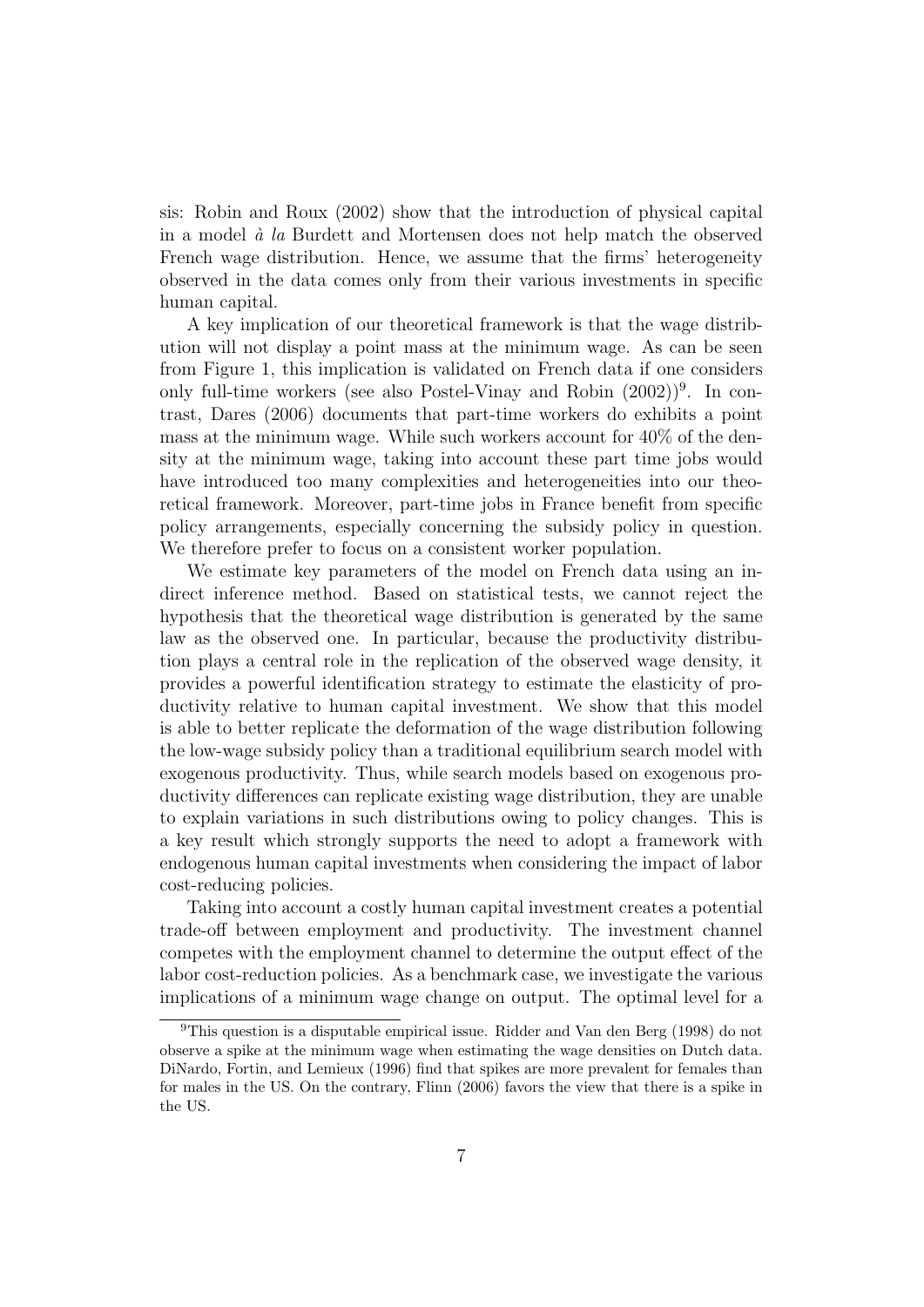sis: Robin and Roux (2002) show that the introduction of physical capital in a model  $\dot{a}$  la Burdett and Mortensen does not help match the observed French wage distribution. Hence, we assume that the firms' heterogeneity observed in the data comes only from their various investments in specific human capital.

A key implication of our theoretical framework is that the wage distribution will not display a point mass at the minimum wage. As can be seen from Figure 1, this implication is validated on French data if one considers only full-time workers (see also Postel-Vinay and Robin  $(2002))^9$ . In contrast, Dares (2006) documents that part-time workers do exhibits a point mass at the minimum wage. While such workers account for 40% of the density at the minimum wage, taking into account these part time jobs would have introduced too many complexities and heterogeneities into our theoretical framework. Moreover, part-time jobs in France benefit from specific policy arrangements, especially concerning the subsidy policy in question. We therefore prefer to focus on a consistent worker population.

We estimate key parameters of the model on French data using an indirect inference method. Based on statistical tests, we cannot reject the hypothesis that the theoretical wage distribution is generated by the same law as the observed one. In particular, because the productivity distribution plays a central role in the replication of the observed wage density, it provides a powerful identification strategy to estimate the elasticity of productivity relative to human capital investment. We show that this model is able to better replicate the deformation of the wage distribution following the low-wage subsidy policy than a traditional equilibrium search model with exogenous productivity. Thus, while search models based on exogenous productivity differences can replicate existing wage distribution, they are unable to explain variations in such distributions owing to policy changes. This is a key result which strongly supports the need to adopt a framework with endogenous human capital investments when considering the impact of labor cost-reducing policies.

Taking into account a costly human capital investment creates a potential trade-off between employment and productivity. The investment channel competes with the employment channel to determine the output effect of the labor cost-reduction policies. As a benchmark case, we investigate the various implications of a minimum wage change on output. The optimal level for a

<sup>9</sup>This question is a disputable empirical issue. Ridder and Van den Berg (1998) do not observe a spike at the minimum wage when estimating the wage densities on Dutch data. DiNardo, Fortin, and Lemieux (1996) find that spikes are more prevalent for females than for males in the US. On the contrary, Flinn (2006) favors the view that there is a spike in the US.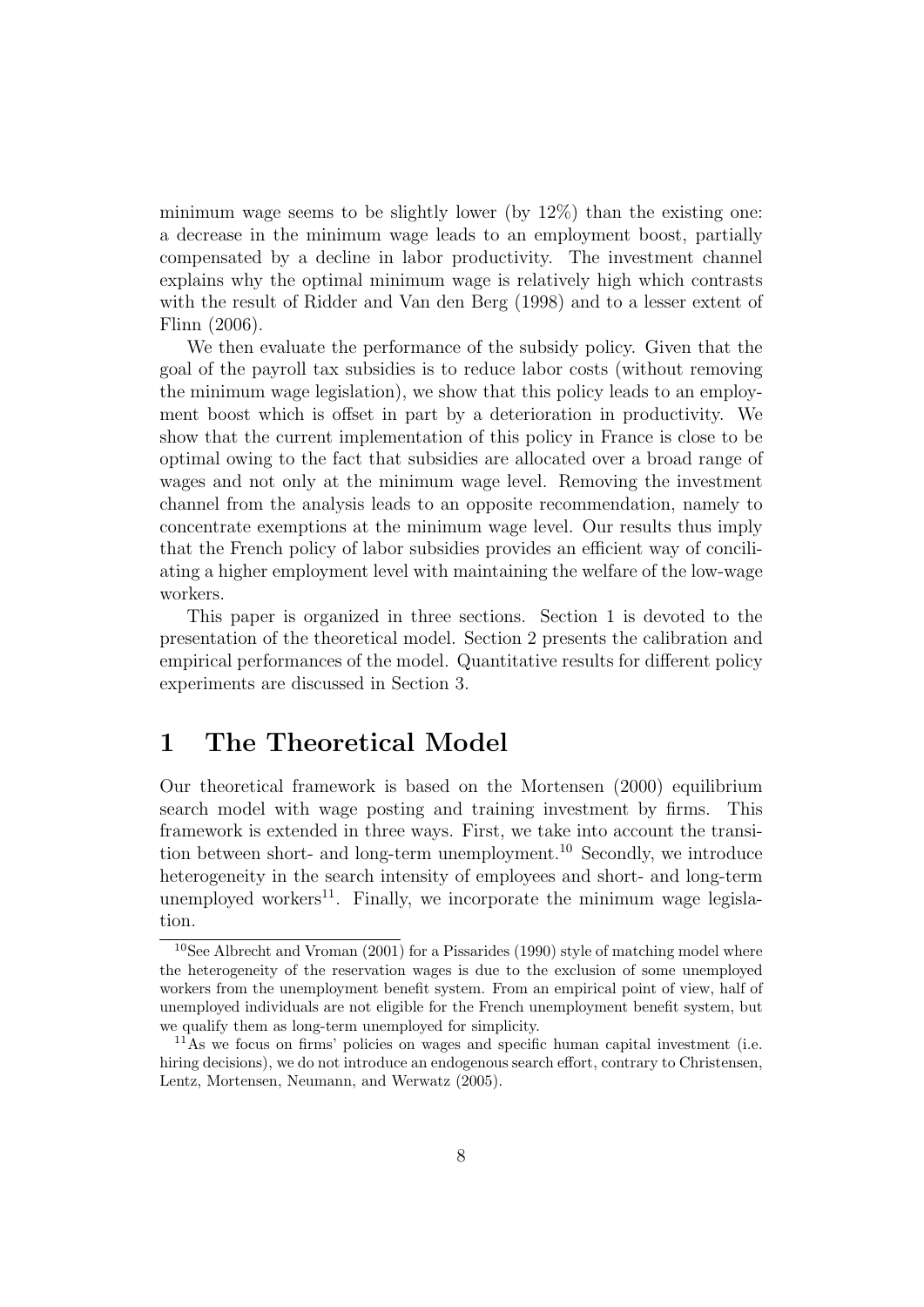minimum wage seems to be slightly lower (by  $12\%$ ) than the existing one: a decrease in the minimum wage leads to an employment boost, partially compensated by a decline in labor productivity. The investment channel explains why the optimal minimum wage is relatively high which contrasts with the result of Ridder and Van den Berg (1998) and to a lesser extent of Flinn (2006).

We then evaluate the performance of the subsidy policy. Given that the goal of the payroll tax subsidies is to reduce labor costs (without removing the minimum wage legislation), we show that this policy leads to an employment boost which is offset in part by a deterioration in productivity. We show that the current implementation of this policy in France is close to be optimal owing to the fact that subsidies are allocated over a broad range of wages and not only at the minimum wage level. Removing the investment channel from the analysis leads to an opposite recommendation, namely to concentrate exemptions at the minimum wage level. Our results thus imply that the French policy of labor subsidies provides an efficient way of conciliating a higher employment level with maintaining the welfare of the low-wage workers.

This paper is organized in three sections. Section 1 is devoted to the presentation of the theoretical model. Section 2 presents the calibration and empirical performances of the model. Quantitative results for different policy experiments are discussed in Section 3.

## 1 The Theoretical Model

Our theoretical framework is based on the Mortensen (2000) equilibrium search model with wage posting and training investment by firms. This framework is extended in three ways. First, we take into account the transition between short- and long-term unemployment.<sup>10</sup> Secondly, we introduce heterogeneity in the search intensity of employees and short- and long-term unemployed workers<sup>11</sup>. Finally, we incorporate the minimum wage legislation.

<sup>&</sup>lt;sup>10</sup>See Albrecht and Vroman (2001) for a Pissarides (1990) style of matching model where the heterogeneity of the reservation wages is due to the exclusion of some unemployed workers from the unemployment benefit system. From an empirical point of view, half of unemployed individuals are not eligible for the French unemployment benefit system, but we qualify them as long-term unemployed for simplicity.

<sup>11</sup>As we focus on firms' policies on wages and specific human capital investment (i.e. hiring decisions), we do not introduce an endogenous search effort, contrary to Christensen, Lentz, Mortensen, Neumann, and Werwatz (2005).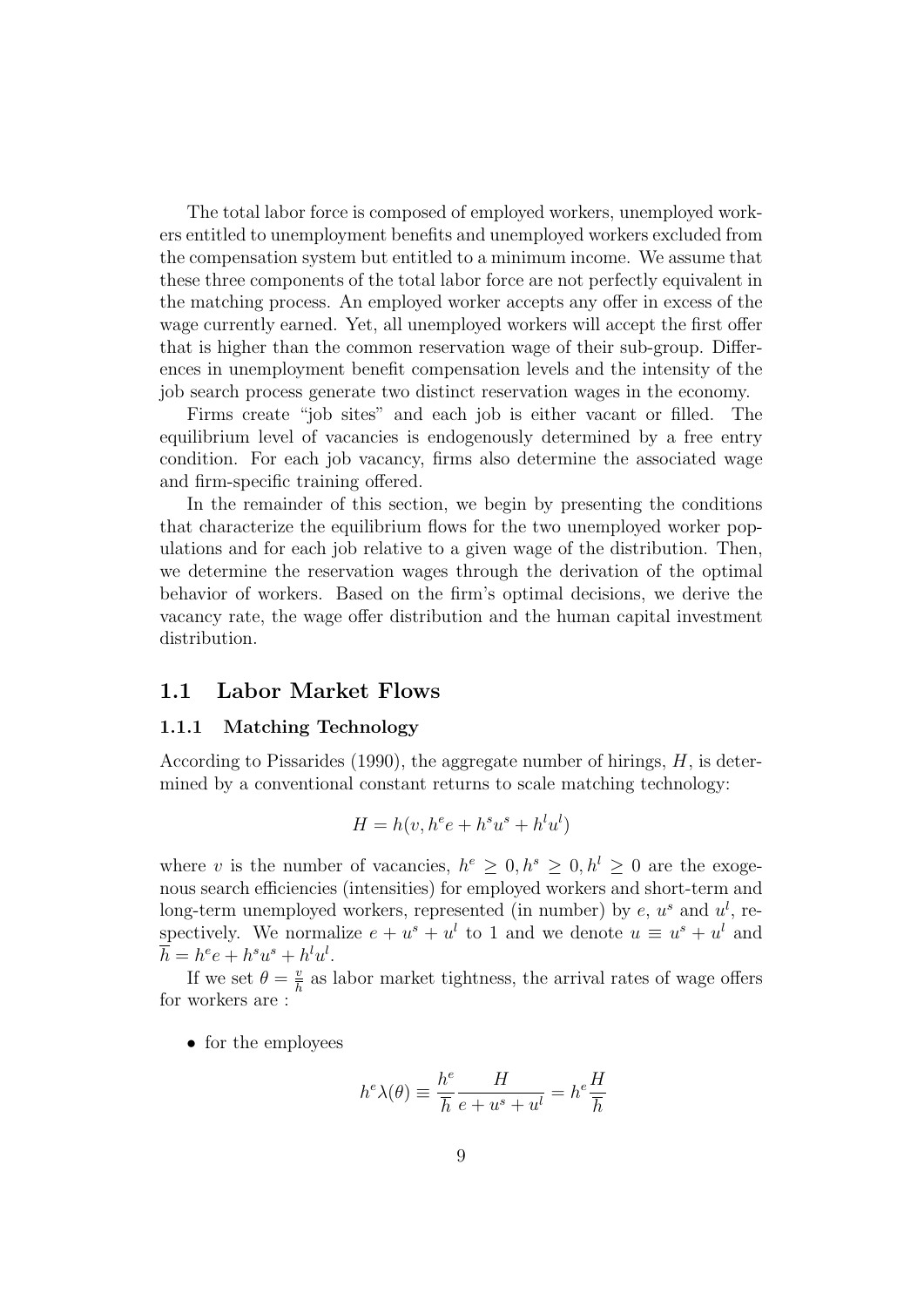The total labor force is composed of employed workers, unemployed workers entitled to unemployment benefits and unemployed workers excluded from the compensation system but entitled to a minimum income. We assume that these three components of the total labor force are not perfectly equivalent in the matching process. An employed worker accepts any offer in excess of the wage currently earned. Yet, all unemployed workers will accept the first offer that is higher than the common reservation wage of their sub-group. Differences in unemployment benefit compensation levels and the intensity of the job search process generate two distinct reservation wages in the economy.

Firms create "job sites" and each job is either vacant or filled. The equilibrium level of vacancies is endogenously determined by a free entry condition. For each job vacancy, firms also determine the associated wage and firm-specific training offered.

In the remainder of this section, we begin by presenting the conditions that characterize the equilibrium flows for the two unemployed worker populations and for each job relative to a given wage of the distribution. Then, we determine the reservation wages through the derivation of the optimal behavior of workers. Based on the firm's optimal decisions, we derive the vacancy rate, the wage offer distribution and the human capital investment distribution.

### 1.1 Labor Market Flows

#### 1.1.1 Matching Technology

According to Pissarides (1990), the aggregate number of hirings,  $H$ , is determined by a conventional constant returns to scale matching technology:

$$
H = h(v, h^e e + h^s u^s + h^l u^l)
$$

where v is the number of vacancies,  $h^e \geq 0, h^s \geq 0, h^l \geq 0$  are the exogenous search efficiencies (intensities) for employed workers and short-term and long-term unemployed workers, represented (in number) by  $e, u^s$  and  $u^l$ , respectively. We normalize  $e + u^s + u^l$  to 1 and we denote  $u \equiv u^s + u^l$  and  $\overline{h} = h^e e + h^s u^s + h^l u^l.$ 

If we set  $\theta = \frac{v}{\overline{b}}$  $\frac{v}{h}$  as labor market tightness, the arrival rates of wage offers for workers are :

• for the employees

$$
h^{e} \lambda(\theta) \equiv \frac{h^{e}}{\overline{h}} \frac{H}{e + u^{s} + u^{l}} = h^{e} \frac{H}{\overline{h}}
$$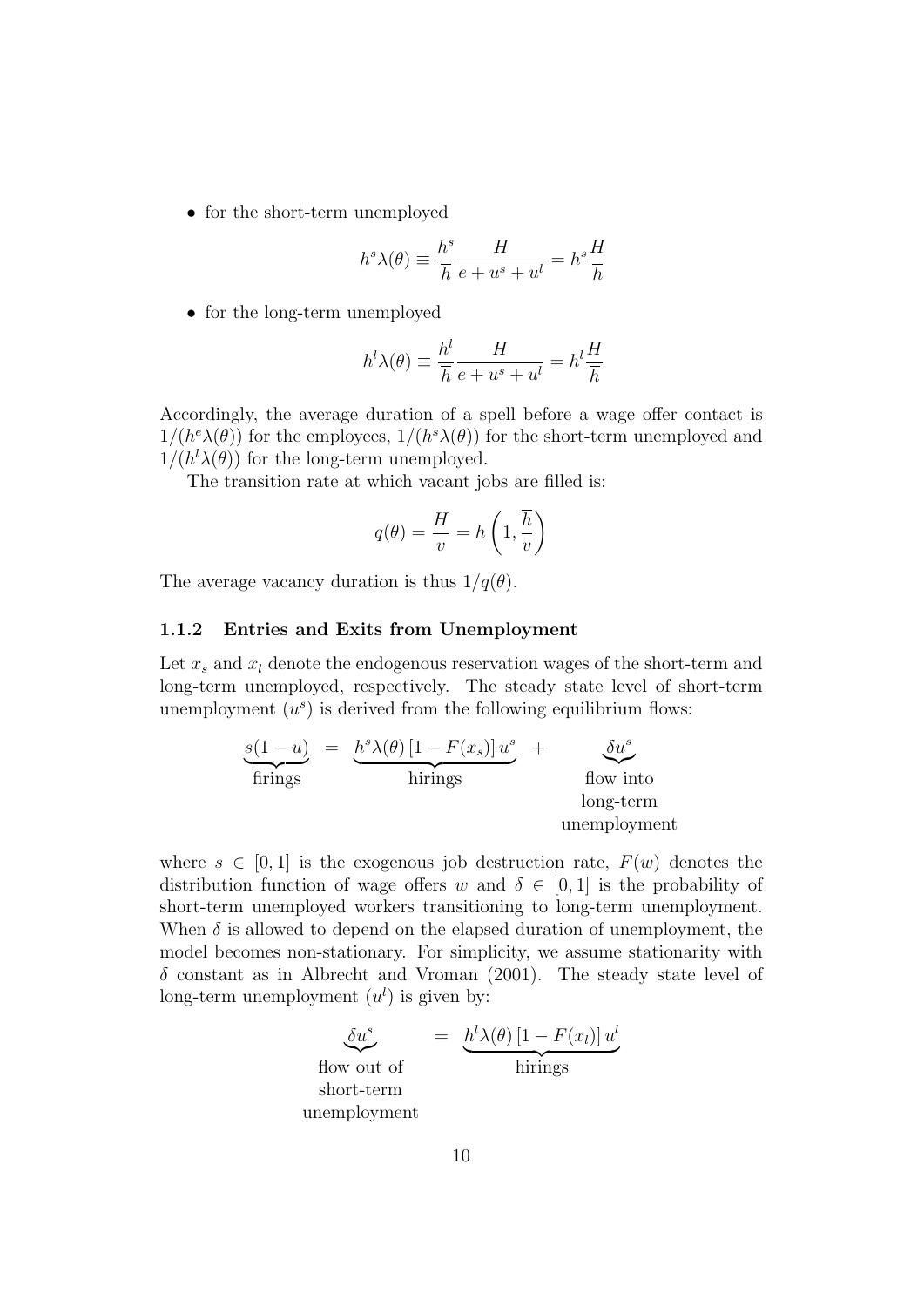• for the short-term unemployed

$$
h^{s} \lambda(\theta) \equiv \frac{h^{s}}{\overline{h}} \frac{H}{e + u^{s} + u^{l}} = h^{s} \frac{H}{\overline{h}}
$$

• for the long-term unemployed

$$
h^{l}\lambda(\theta) \equiv \frac{h^{l}}{\overline{h}} \frac{H}{e + u^{s} + u^{l}} = h^{l}\frac{H}{\overline{h}}
$$

Accordingly, the average duration of a spell before a wage offer contact is  $1/(h^e \lambda(\theta))$  for the employees,  $1/(h^s \lambda(\theta))$  for the short-term unemployed and  $1/(h^l\lambda(\theta))$  for the long-term unemployed.

The transition rate at which vacant jobs are filled is:

$$
q(\theta) = \frac{H}{v} = h\left(1, \frac{\overline{h}}{v}\right)
$$

The average vacancy duration is thus  $1/q(\theta)$ .

#### 1.1.2 Entries and Exits from Unemployment

Let  $x_s$  and  $x_l$  denote the endogenous reservation wages of the short-term and long-term unemployed, respectively. The steady state level of short-term unemployment  $(u<sup>s</sup>)$  is derived from the following equilibrium flows:

$$
\underbrace{s(1-u)}_{\text{firings}} = \underbrace{h^s \lambda(\theta) \left[1 - F(x_s)\right] u^s}_{\text{hirings}} + \underbrace{\delta u^s}_{\text{flow into}}_{\text{long-term}} + \underbrace{\delta u^s}_{\text{flow into}}
$$

where  $s \in [0,1]$  is the exogenous job destruction rate,  $F(w)$  denotes the distribution function of wage offers w and  $\delta \in [0,1]$  is the probability of short-term unemployed workers transitioning to long-term unemployment. When  $\delta$  is allowed to depend on the elapsed duration of unemployment, the model becomes non-stationary. For simplicity, we assume stationarity with  $\delta$  constant as in Albrecht and Vroman (2001). The steady state level of long-term unemployment  $(u<sup>l</sup>)$  is given by:

$$
\underbrace{\delta u^s}_{\text{flow out of}}
$$
\n
$$
= \underbrace{h^l \lambda(\theta) \left[1 - F(x_l)\right] u^l}_{\text{hirings}}
$$
\n
$$
= \underbrace{\delta u^s}{\delta u^s}
$$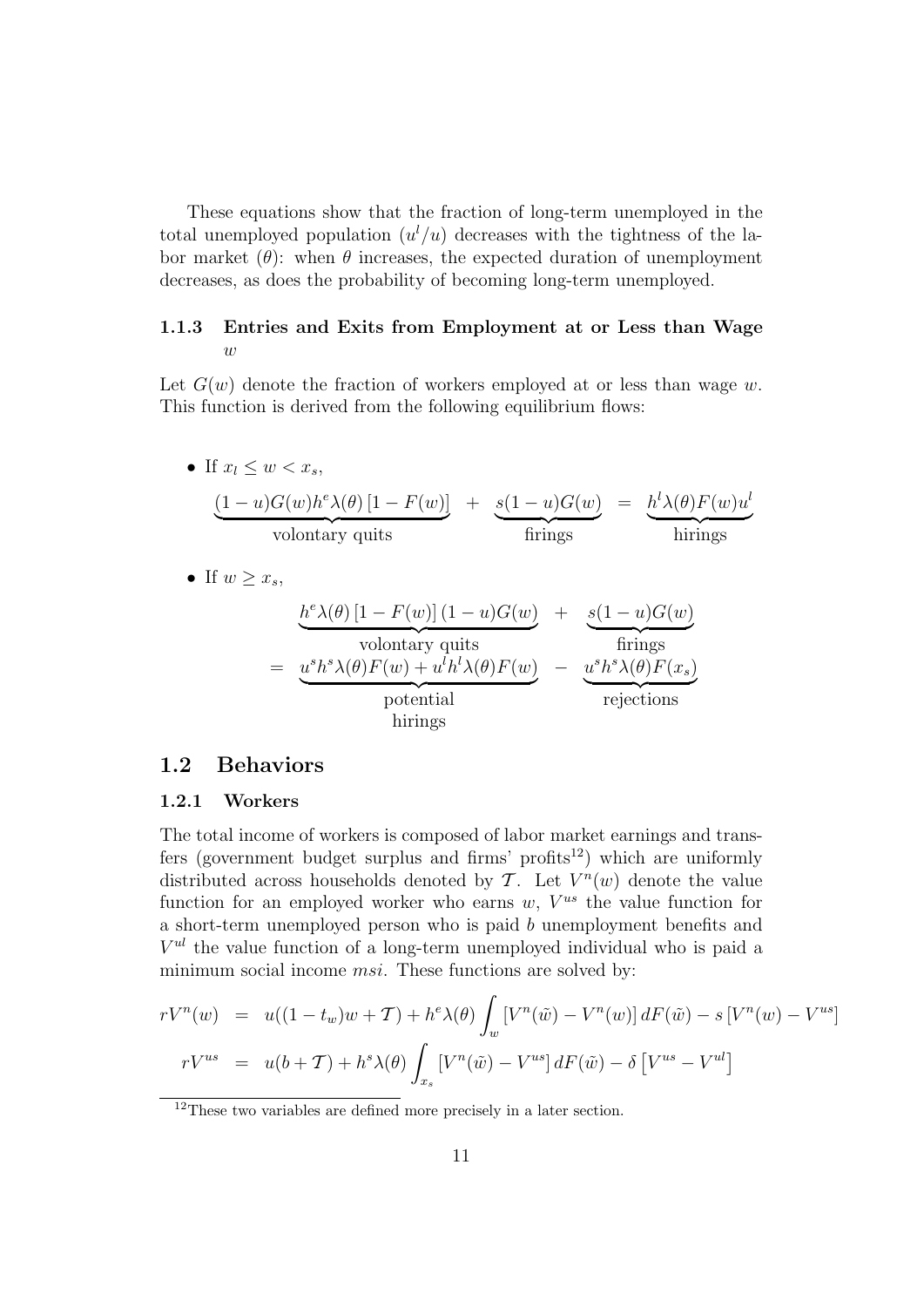These equations show that the fraction of long-term unemployed in the total unemployed population  $(u^l/u)$  decreases with the tightness of the labor market  $(\theta)$ : when  $\theta$  increases, the expected duration of unemployment decreases, as does the probability of becoming long-term unemployed.

#### 1.1.3 Entries and Exits from Employment at or Less than Wage  $\overline{u}$

Let  $G(w)$  denote the fraction of workers employed at or less than wage w. This function is derived from the following equilibrium flows:

• If  $x_l \leq w < x_s$ ,  $(1-u)G(w)h^e \lambda(\theta) [1-F(w)]$  $\overbrace{\text{volontorv cut}}$ +  $s(1-u)G(w)$  $\overbrace{\text{frin}^{\text{zero}}}$  $= h^l \lambda(\theta) F(w) u^l$ volontary quits firings hirings

• If  $w > x_s$ ,

$$
\frac{h^e \lambda(\theta) [1 - F(w)] (1 - u) G(w)}{\text{volontary quits}} + \underbrace{s(1 - u) G(w)}_{\text{firings}}
$$
\n
$$
= \underbrace{u^s h^s \lambda(\theta) F(w) + u^l h^l \lambda(\theta) F(w)}_{\text{potential}} - \underbrace{u^s h^s \lambda(\theta) F(x_s)}_{\text{rejections}}
$$

### 1.2 Behaviors

#### 1.2.1 Workers

The total income of workers is composed of labor market earnings and transfers (government budget surplus and firms' profits<sup>12</sup>) which are uniformly distributed across households denoted by T. Let  $V^n(w)$  denote the value function for an employed worker who earns  $w$ ,  $V^{us}$  the value function for a short-term unemployed person who is paid b unemployment benefits and  $V<sup>ul</sup>$  the value function of a long-term unemployed individual who is paid a minimum social income *msi*. These functions are solved by:

$$
rV^n(w) = u((1-t_w)w + \mathcal{T}) + h^e \lambda(\theta) \int_w \left[ V^n(\tilde{w}) - V^n(w) \right] dF(\tilde{w}) - s \left[ V^n(w) - V^{us} \right]
$$
  

$$
rV^{us} = u(b+\mathcal{T}) + h^s \lambda(\theta) \int_{x_s} \left[ V^n(\tilde{w}) - V^{us} \right] dF(\tilde{w}) - \delta \left[ V^{us} - V^{ul} \right]
$$

<sup>12</sup>These two variables are defined more precisely in a later section.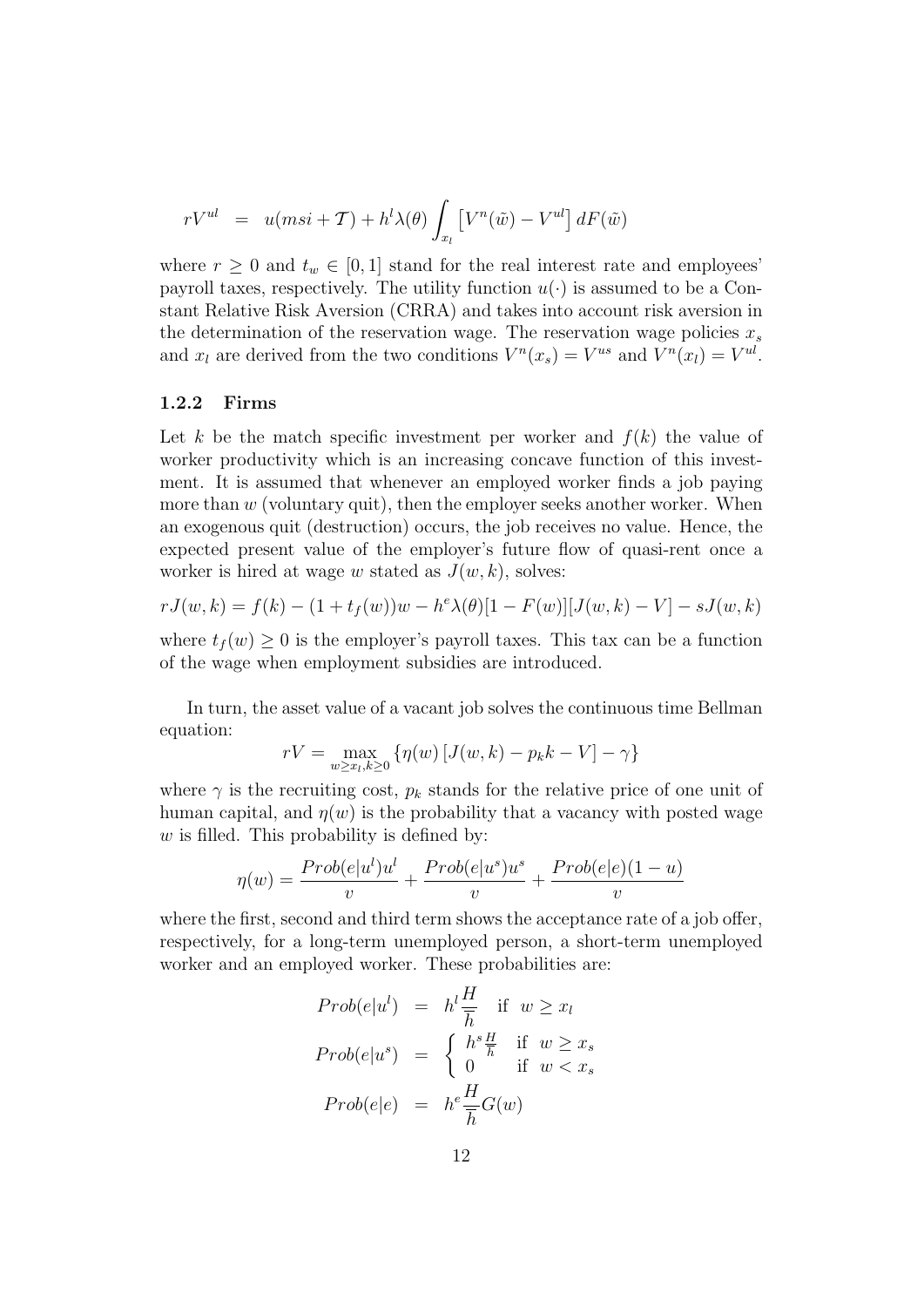$$
rV^{ul} = u(msi + \mathcal{T}) + h^l \lambda(\theta) \int_{x_l} \left[ V^n(\tilde{w}) - V^{ul} \right] dF(\tilde{w})
$$

where  $r \geq 0$  and  $t_w \in [0,1]$  stand for the real interest rate and employees' payroll taxes, respectively. The utility function  $u(\cdot)$  is assumed to be a Constant Relative Risk Aversion (CRRA) and takes into account risk aversion in the determination of the reservation wage. The reservation wage policies  $x_s$ and  $x_l$  are derived from the two conditions  $V^n(x_s) = V^{us}$  and  $V^n(x_l) = V^{ul}$ .

#### 1.2.2 Firms

Let k be the match specific investment per worker and  $f(k)$  the value of worker productivity which is an increasing concave function of this investment. It is assumed that whenever an employed worker finds a job paying more than  $w$  (voluntary quit), then the employer seeks another worker. When an exogenous quit (destruction) occurs, the job receives no value. Hence, the expected present value of the employer's future flow of quasi-rent once a worker is hired at wage w stated as  $J(w, k)$ , solves:

$$
rJ(w,k) = f(k) - (1 + t_f(w))w - h^e \lambda(\theta)[1 - F(w)][J(w,k) - V] - sJ(w,k)
$$

where  $t<sub>f</sub>(w) \geq 0$  is the employer's payroll taxes. This tax can be a function of the wage when employment subsidies are introduced.

In turn, the asset value of a vacant job solves the continuous time Bellman equation:

$$
rV = \max_{w \ge x_l, k \ge 0} \{ \eta(w) \left[ J(w, k) - p_k k - V \right] - \gamma \}
$$

where  $\gamma$  is the recruiting cost,  $p_k$  stands for the relative price of one unit of human capital, and  $\eta(w)$  is the probability that a vacancy with posted wage  $w$  is filled. This probability is defined by:

$$
\eta(w) = \frac{Prob(e|u^l)u^l}{v} + \frac{Prob(e|u^s)u^s}{v} + \frac{Prob(e|e)(1-u)}{v}
$$

where the first, second and third term shows the acceptance rate of a job offer, respectively, for a long-term unemployed person, a short-term unemployed worker and an employed worker. These probabilities are:

$$
Prob(e|u^{l}) = h^{l} \frac{H}{\overline{h}} \text{ if } w \geq x_{l}
$$

$$
Prob(e|u^{s}) = \begin{cases} h^{s} \frac{H}{\overline{h}} & \text{if } w \geq x_{s} \\ 0 & \text{if } w < x_{s} \end{cases}
$$

$$
Prob(e|e) = h^{e} \frac{H}{\overline{h}}G(w)
$$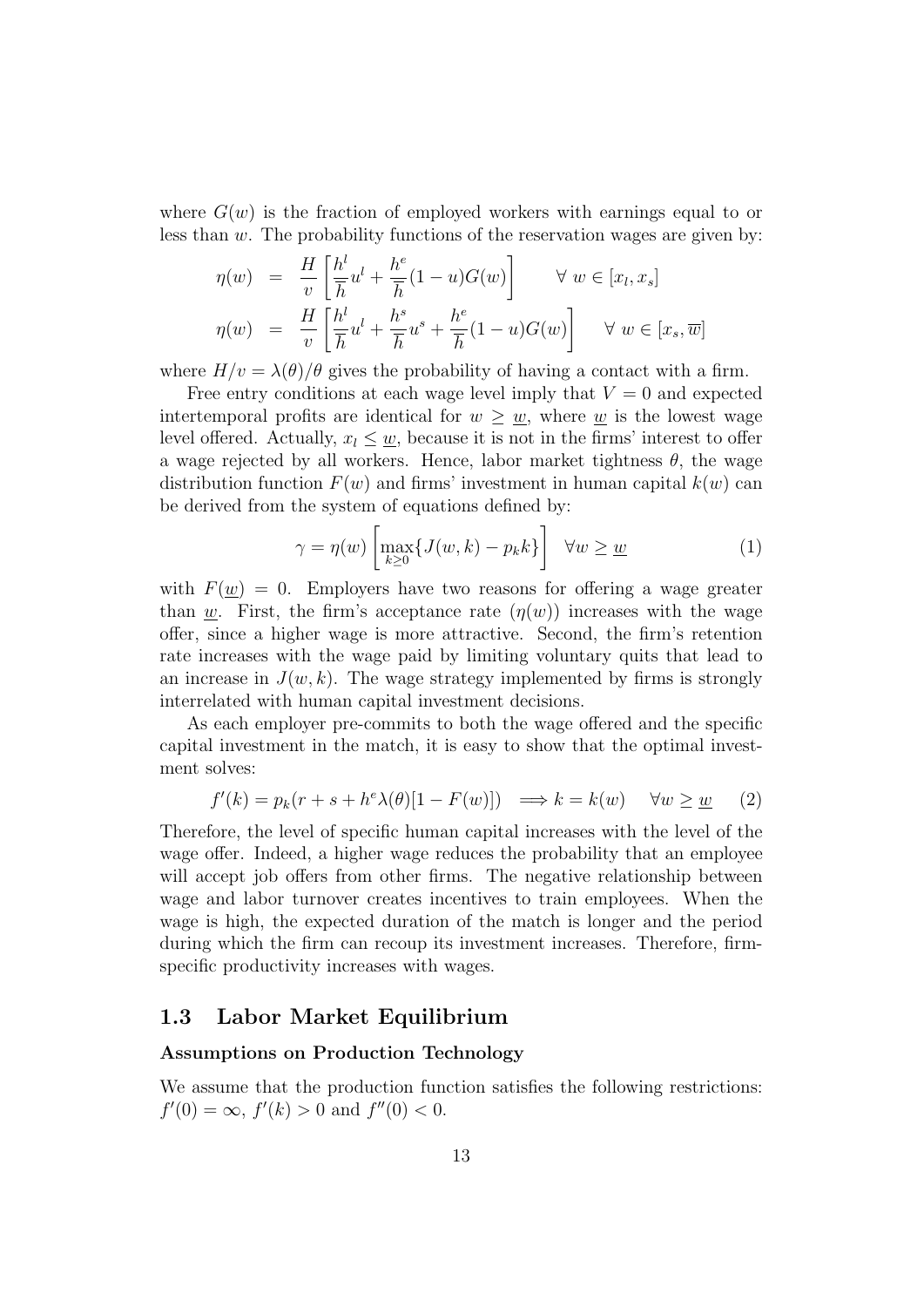where  $G(w)$  is the fraction of employed workers with earnings equal to or less than  $w$ . The probability functions of the reservation wages are given by:

$$
\eta(w) = \frac{H}{v} \left[ \frac{h^l}{\overline{h}} u^l + \frac{h^e}{\overline{h}} (1 - u) G(w) \right] \qquad \forall w \in [x_l, x_s]
$$
  

$$
\eta(w) = \frac{H}{v} \left[ \frac{h^l}{\overline{h}} u^l + \frac{h^s}{\overline{h}} u^s + \frac{h^e}{\overline{h}} (1 - u) G(w) \right] \qquad \forall w \in [x_s, \overline{w}]
$$

where  $H/v = \lambda(\theta)/\theta$  gives the probability of having a contact with a firm.

Free entry conditions at each wage level imply that  $V = 0$  and expected intertemporal profits are identical for  $w \geq w$ , where w is the lowest wage level offered. Actually,  $x_l \leq w$ , because it is not in the firms' interest to offer a wage rejected by all workers. Hence, labor market tightness  $\theta$ , the wage distribution function  $F(w)$  and firms' investment in human capital  $k(w)$  can be derived from the system of equations defined by:

$$
\gamma = \eta(w) \left[ \max_{k \ge 0} \{ J(w, k) - p_k k \} \right] \quad \forall w \ge \underline{w} \tag{1}
$$

with  $F(w) = 0$ . Employers have two reasons for offering a wage greater than w. First, the firm's acceptance rate  $(\eta(w))$  increases with the wage offer, since a higher wage is more attractive. Second, the firm's retention rate increases with the wage paid by limiting voluntary quits that lead to an increase in  $J(w, k)$ . The wage strategy implemented by firms is strongly interrelated with human capital investment decisions.

As each employer pre-commits to both the wage offered and the specific capital investment in the match, it is easy to show that the optimal investment solves:

$$
f'(k) = p_k(r + s + h^e \lambda(\theta)[1 - F(w)]) \implies k = k(w) \quad \forall w \ge \underline{w} \tag{2}
$$

Therefore, the level of specific human capital increases with the level of the wage offer. Indeed, a higher wage reduces the probability that an employee will accept job offers from other firms. The negative relationship between wage and labor turnover creates incentives to train employees. When the wage is high, the expected duration of the match is longer and the period during which the firm can recoup its investment increases. Therefore, firmspecific productivity increases with wages.

### 1.3 Labor Market Equilibrium

#### Assumptions on Production Technology

We assume that the production function satisfies the following restrictions:  $f'(0) = \infty$ ,  $f'(k) > 0$  and  $f''(0) < 0$ .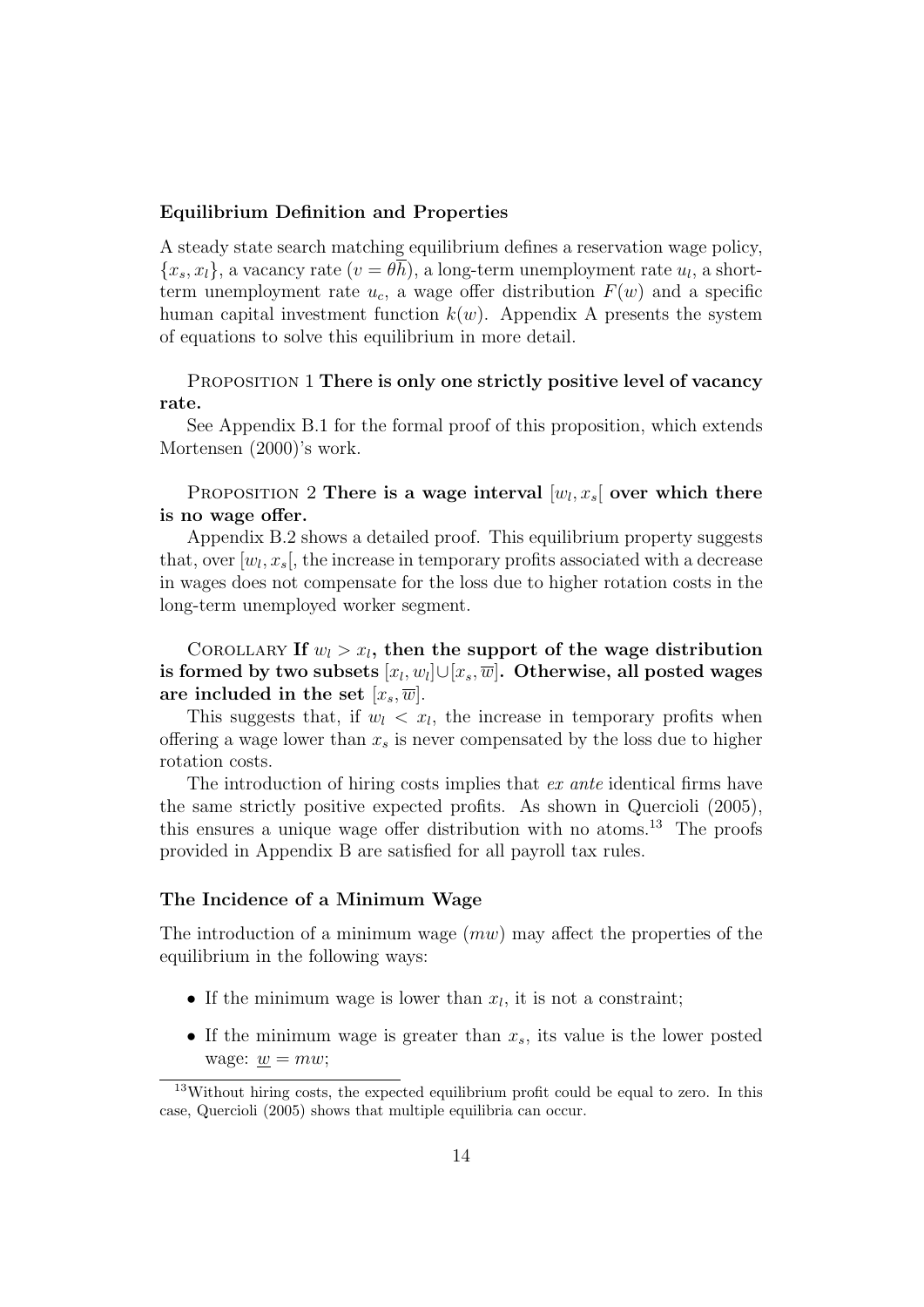#### Equilibrium Definition and Properties

A steady state search matching equilibrium defines a reservation wage policy,  ${x<sub>s</sub>, x<sub>l</sub>}$ , a vacancy rate  $(v = \theta h)$ , a long-term unemployment rate  $u<sub>l</sub>$ , a shortterm unemployment rate  $u_c$ , a wage offer distribution  $F(w)$  and a specific human capital investment function  $k(w)$ . Appendix A presents the system of equations to solve this equilibrium in more detail.

### PROPOSITION 1 There is only one strictly positive level of vacancy rate.

See Appendix B.1 for the formal proof of this proposition, which extends Mortensen (2000)'s work.

PROPOSITION 2 There is a wage interval  $[w_l, x_s]$  over which there is no wage offer.

Appendix B.2 shows a detailed proof. This equilibrium property suggests that, over  $[w_l, x_s]$ , the increase in temporary profits associated with a decrease in wages does not compensate for the loss due to higher rotation costs in the long-term unemployed worker segment.

COROLLARY If  $w_l > x_l$ , then the support of the wage distribution is formed by two subsets  $[x_l, w_l] \cup [x_s, \overline{w}].$  Otherwise, all posted wages are included in the set  $[x_s, \overline{w}]$ .

This suggests that, if  $w_l \, \langle x_l \rangle$ , the increase in temporary profits when offering a wage lower than  $x_s$  is never compensated by the loss due to higher rotation costs.

The introduction of hiring costs implies that *ex ante* identical firms have the same strictly positive expected profits. As shown in Quercioli (2005), this ensures a unique wage offer distribution with no atoms.<sup>13</sup> The proofs provided in Appendix B are satisfied for all payroll tax rules.

#### The Incidence of a Minimum Wage

The introduction of a minimum wage  $(mw)$  may affect the properties of the equilibrium in the following ways:

- If the minimum wage is lower than  $x_l$ , it is not a constraint;
- If the minimum wage is greater than  $x_s$ , its value is the lower posted wage:  $w = m w$ ;

<sup>13</sup>Without hiring costs, the expected equilibrium profit could be equal to zero. In this case, Quercioli (2005) shows that multiple equilibria can occur.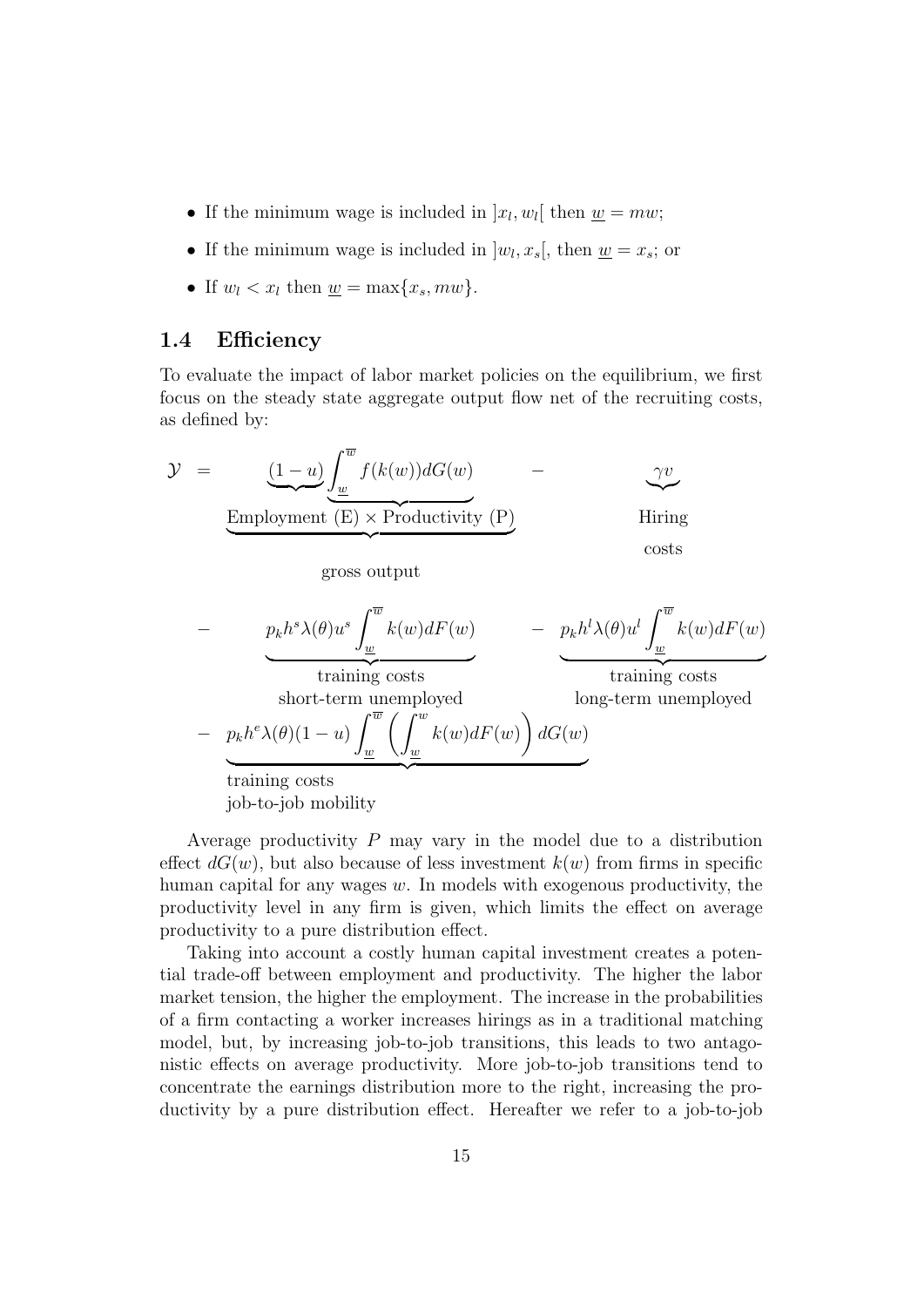- If the minimum wage is included in  $x_l, w_l$  then  $\underline{w} = m w;$
- If the minimum wage is included in  $[w_l, x_s]$ , then  $\underline{w} = x_s$ ; or
- If  $w_l < x_l$  then  $\underline{w} = \max\{x_s, mw\}.$

### 1.4 Efficiency

To evaluate the impact of labor market policies on the equilibrium, we first focus on the steady state aggregate output flow net of the recruiting costs, as defined by:

$$
\mathcal{Y} = \underbrace{(1-u)}_{\text{Employment}} \underbrace{\int_{\underline{w}}^{\overline{w}} f(k(w)) dG(w)}_{\text{(E) × Productivity (P)}} - \underbrace{\gamma v}_{\text{Hiring}}
$$

gross output

$$
- \underbrace{p_k h^s \lambda(\theta) u^s \int_{\underline{w}}^{\overline{w}} k(w) dF(w)}_{\text{training costs}} - \underbrace{p_k h^l \lambda(\theta) u^l \int_{\underline{w}}^{\overline{w}} k(w) dF(w)}_{\text{training costs}} \\ - \underbrace{p_k h^e \lambda(\theta) (1 - u) \int_{\underline{w}}^{\overline{w}} \left( \int_{\underline{w}}^w k(w) dF(w) \right) dG(w)}_{\text{training costs}}
$$

job-to-job mobility

Average productivity P may vary in the model due to a distribution effect  $dG(w)$ , but also because of less investment  $k(w)$  from firms in specific human capital for any wages w. In models with exogenous productivity, the productivity level in any firm is given, which limits the effect on average productivity to a pure distribution effect.

Taking into account a costly human capital investment creates a potential trade-off between employment and productivity. The higher the labor market tension, the higher the employment. The increase in the probabilities of a firm contacting a worker increases hirings as in a traditional matching model, but, by increasing job-to-job transitions, this leads to two antagonistic effects on average productivity. More job-to-job transitions tend to concentrate the earnings distribution more to the right, increasing the productivity by a pure distribution effect. Hereafter we refer to a job-to-job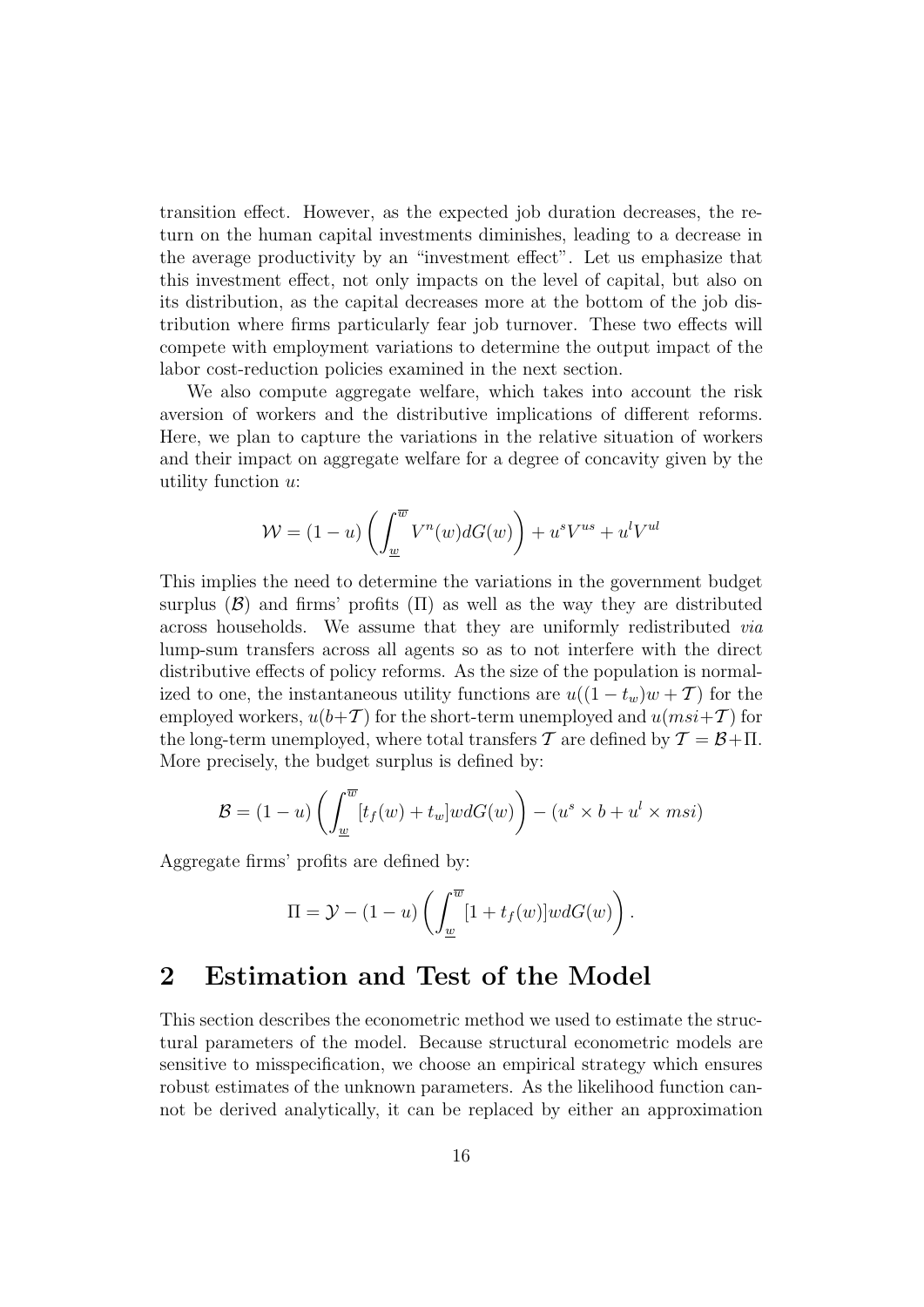transition effect. However, as the expected job duration decreases, the return on the human capital investments diminishes, leading to a decrease in the average productivity by an "investment effect". Let us emphasize that this investment effect, not only impacts on the level of capital, but also on its distribution, as the capital decreases more at the bottom of the job distribution where firms particularly fear job turnover. These two effects will compete with employment variations to determine the output impact of the labor cost-reduction policies examined in the next section.

We also compute aggregate welfare, which takes into account the risk aversion of workers and the distributive implications of different reforms. Here, we plan to capture the variations in the relative situation of workers and their impact on aggregate welfare for a degree of concavity given by the utility function u:

$$
W = (1 - u) \left( \int_{\underline{w}}^{\overline{w}} V^n(w) dG(w) \right) + u^s V^{us} + u^l V^{ul}
$$

This implies the need to determine the variations in the government budget surplus  $(\mathcal{B})$  and firms' profits  $(\Pi)$  as well as the way they are distributed across households. We assume that they are uniformly redistributed via lump-sum transfers across all agents so as to not interfere with the direct distributive effects of policy reforms. As the size of the population is normalized to one, the instantaneous utility functions are  $u((1-t_w)w + T)$  for the employed workers,  $u(b+T)$  for the short-term unemployed and  $u(msi+T)$  for the long-term unemployed, where total transfers T are defined by  $\mathcal{T} = \mathcal{B} + \Pi$ . More precisely, the budget surplus is defined by:

$$
\mathcal{B} = (1 - u) \left( \int_{\underline{w}}^{\overline{w}} [t_f(w) + t_w] w dG(w) \right) - (u^s \times b + u^l \times msi)
$$

Aggregate firms' profits are defined by:

$$
\Pi = \mathcal{Y} - (1 - u) \left( \int_{\underline{w}}^{\overline{w}} [1 + t_f(w)] w dG(w) \right).
$$

## 2 Estimation and Test of the Model

This section describes the econometric method we used to estimate the structural parameters of the model. Because structural econometric models are sensitive to misspecification, we choose an empirical strategy which ensures robust estimates of the unknown parameters. As the likelihood function cannot be derived analytically, it can be replaced by either an approximation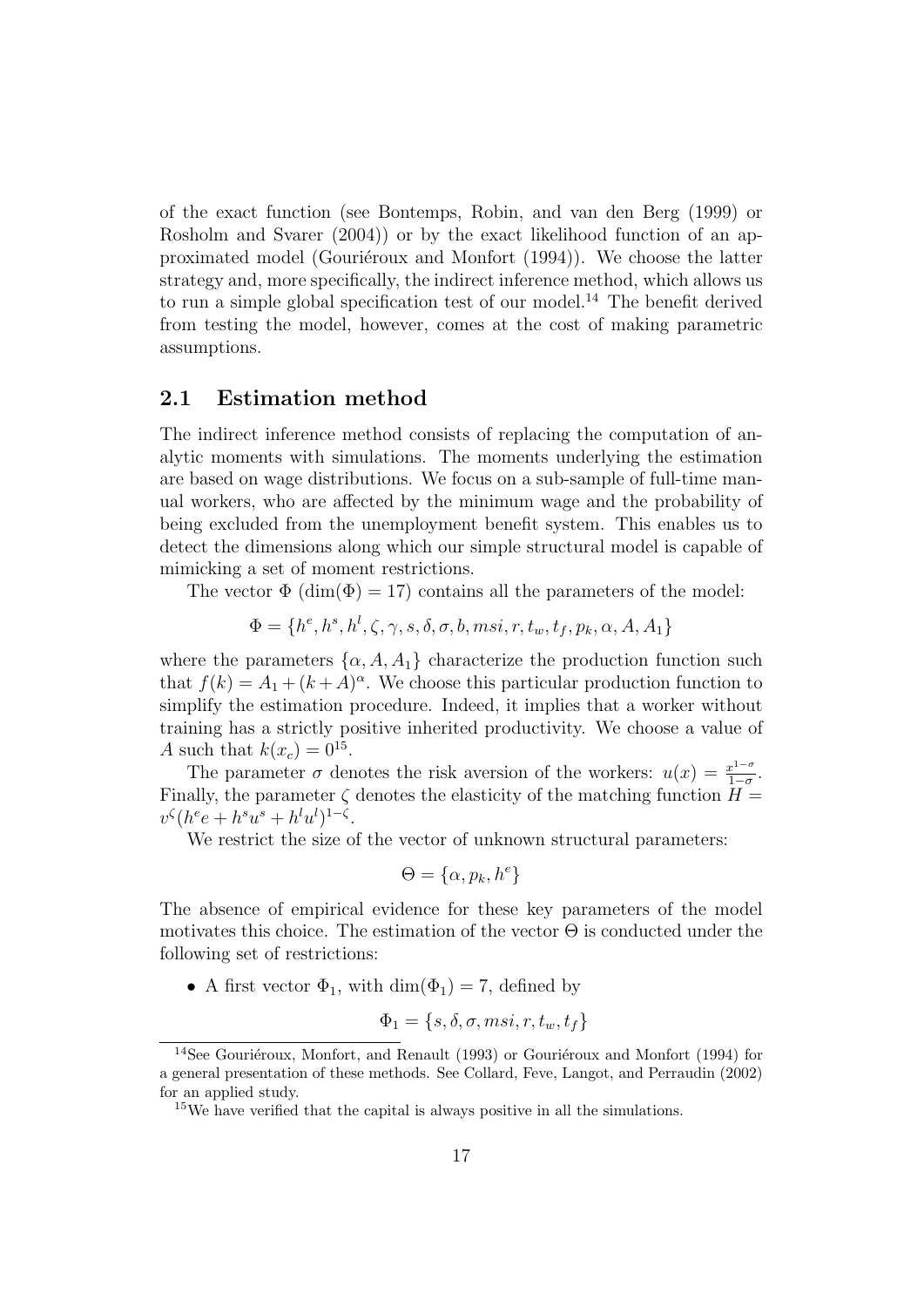of the exact function (see Bontemps, Robin, and van den Berg (1999) or Rosholm and Svarer (2004)) or by the exact likelihood function of an approximated model (Gouriéroux and Monfort (1994)). We choose the latter strategy and, more specifically, the indirect inference method, which allows us to run a simple global specification test of our model.<sup>14</sup> The benefit derived from testing the model, however, comes at the cost of making parametric assumptions.

### 2.1 Estimation method

The indirect inference method consists of replacing the computation of analytic moments with simulations. The moments underlying the estimation are based on wage distributions. We focus on a sub-sample of full-time manual workers, who are affected by the minimum wage and the probability of being excluded from the unemployment benefit system. This enables us to detect the dimensions along which our simple structural model is capable of mimicking a set of moment restrictions.

The vector  $\Phi$  (dim( $\Phi$ ) = 17) contains all the parameters of the model:

$$
\Phi = \{h^e, h^s, h^l, \zeta, \gamma, s, \delta, \sigma, b, msi, r, t_w, t_f, p_k, \alpha, A, A_1\}
$$

where the parameters  $\{\alpha, A, A_1\}$  characterize the production function such that  $f(k) = A_1 + (k+A)^{\alpha}$ . We choose this particular production function to simplify the estimation procedure. Indeed, it implies that a worker without training has a strictly positive inherited productivity. We choose a value of A such that  $k(x_c) = 0^{15}$ .

The parameter  $\sigma$  denotes the risk aversion of the workers:  $u(x) = \frac{x^{1-\sigma}}{1-\sigma}$  $\frac{x^{1-\sigma}}{1-\sigma}.$ Finally, the parameter  $\zeta$  denotes the elasticity of the matching function  $H =$  $v^{\zeta}(h^e e + h^s u^s + h^l u^l)^{1-\zeta}.$ 

We restrict the size of the vector of unknown structural parameters:

$$
\Theta = \{\alpha, p_k, h^e\}
$$

The absence of empirical evidence for these key parameters of the model motivates this choice. The estimation of the vector  $\Theta$  is conducted under the following set of restrictions:

• A first vector  $\Phi_1$ , with  $\dim(\Phi_1) = 7$ , defined by

$$
\Phi_1 = \{s, \delta, \sigma, msi, r, t_w, t_f\}
$$

<sup>&</sup>lt;sup>14</sup>See Gouriéroux, Monfort, and Renault (1993) or Gouriéroux and Monfort (1994) for a general presentation of these methods. See Collard, Feve, Langot, and Perraudin (2002) for an applied study.

<sup>15</sup>We have verified that the capital is always positive in all the simulations.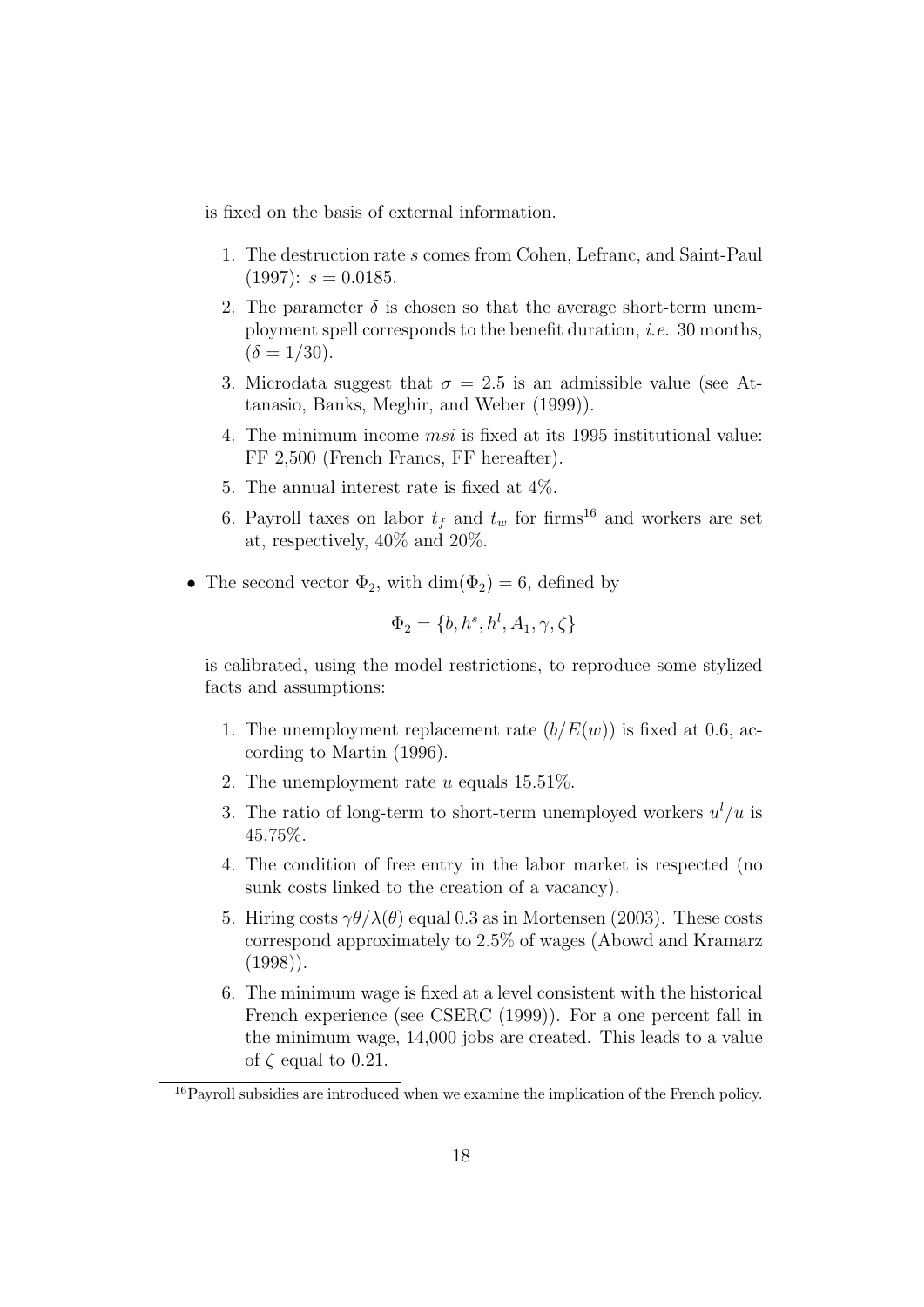is fixed on the basis of external information.

- 1. The destruction rate s comes from Cohen, Lefranc, and Saint-Paul  $(1997): s = 0.0185.$
- 2. The parameter  $\delta$  is chosen so that the average short-term unemployment spell corresponds to the benefit duration, *i.e.* 30 months,  $(\delta = 1/30).$
- 3. Microdata suggest that  $\sigma = 2.5$  is an admissible value (see Attanasio, Banks, Meghir, and Weber (1999)).
- 4. The minimum income msi is fixed at its 1995 institutional value: FF 2,500 (French Francs, FF hereafter).
- 5. The annual interest rate is fixed at 4%.
- 6. Payroll taxes on labor  $t_f$  and  $t_w$  for firms<sup>16</sup> and workers are set at, respectively, 40% and 20%.
- The second vector  $\Phi_2$ , with  $\dim(\Phi_2) = 6$ , defined by

$$
\Phi_2 = \{b, h^s, h^l, A_1, \gamma, \zeta\}
$$

is calibrated, using the model restrictions, to reproduce some stylized facts and assumptions:

- 1. The unemployment replacement rate  $(b/E(w))$  is fixed at 0.6, according to Martin (1996).
- 2. The unemployment rate  $u$  equals 15.51%.
- 3. The ratio of long-term to short-term unemployed workers  $u^{l}/u$  is 45.75%.
- 4. The condition of free entry in the labor market is respected (no sunk costs linked to the creation of a vacancy).
- 5. Hiring costs  $\gamma\theta/\lambda(\theta)$  equal 0.3 as in Mortensen (2003). These costs correspond approximately to 2.5% of wages (Abowd and Kramarz  $(1998)$ .
- 6. The minimum wage is fixed at a level consistent with the historical French experience (see CSERC (1999)). For a one percent fall in the minimum wage, 14,000 jobs are created. This leads to a value of  $\zeta$  equal to 0.21.

<sup>&</sup>lt;sup>16</sup>Payroll subsidies are introduced when we examine the implication of the French policy.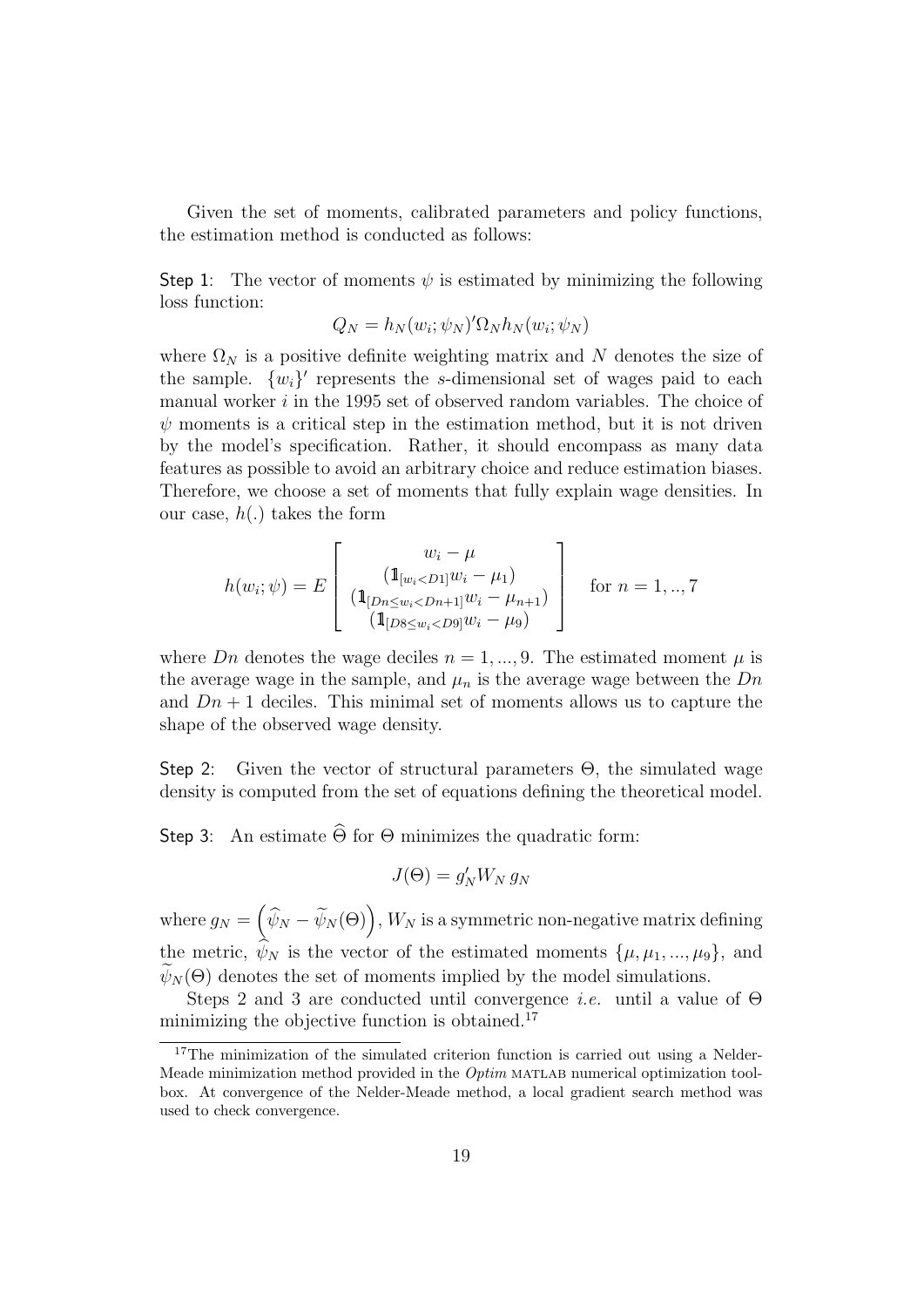Given the set of moments, calibrated parameters and policy functions, the estimation method is conducted as follows:

Step 1: The vector of moments  $\psi$  is estimated by minimizing the following loss function:

$$
Q_N = h_N(w_i; \psi_N) \Omega_N h_N(w_i; \psi_N)
$$

where  $\Omega_N$  is a positive definite weighting matrix and N denotes the size of the sample.  $\{w_i\}'$  represents the s-dimensional set of wages paid to each manual worker  $i$  in the 1995 set of observed random variables. The choice of  $\psi$  moments is a critical step in the estimation method, but it is not driven by the model's specification. Rather, it should encompass as many data features as possible to avoid an arbitrary choice and reduce estimation biases. Therefore, we choose a set of moments that fully explain wage densities. In our case,  $h(.)$  takes the form

$$
h(w_i; \psi) = E \begin{bmatrix} w_i - \mu \\ (\mathbf{1}_{[w_i < D1]} w_i - \mu_1) \\ (\mathbf{1}_{[Dn \le w_i < Dn+1]} w_i - \mu_{n+1}) \\ (\mathbf{1}_{[D8 \le w_i < D9]} w_i - \mu_9) \end{bmatrix} \quad \text{for } n = 1, \dots, 7
$$

where Dn denotes the wage deciles  $n = 1, ..., 9$ . The estimated moment  $\mu$  is the average wage in the sample, and  $\mu_n$  is the average wage between the Dn and  $Dn + 1$  deciles. This minimal set of moments allows us to capture the shape of the observed wage density.

Step 2: Given the vector of structural parameters  $\Theta$ , the simulated wage density is computed from the set of equations defining the theoretical model.

Step 3: An estimate  $\widehat{\Theta}$  for  $\Theta$  minimizes the quadratic form:

$$
J(\Theta) = g'_{N} W_{N} g_{N}
$$

where  $g_N = \left(\widehat{\psi}_N - \widetilde{\psi}_N(\Theta)\right)$ ,  $W_N$  is a symmetric non-negative matrix defining the metric,  $\widehat{\psi}_N$  is the vector of the estimated moments  $\{\mu, \mu_1, ..., \mu_9\}$ , and  $\psi_N(\Theta)$  denotes the set of moments implied by the model simulations.

Steps 2 and 3 are conducted until convergence *i.e.* until a value of  $\Theta$ minimizing the objective function is obtained.<sup>17</sup>

<sup>&</sup>lt;sup>17</sup>The minimization of the simulated criterion function is carried out using a Nelder-Meade minimization method provided in the  $Optim$  matrix numerical optimization toolbox. At convergence of the Nelder-Meade method, a local gradient search method was used to check convergence.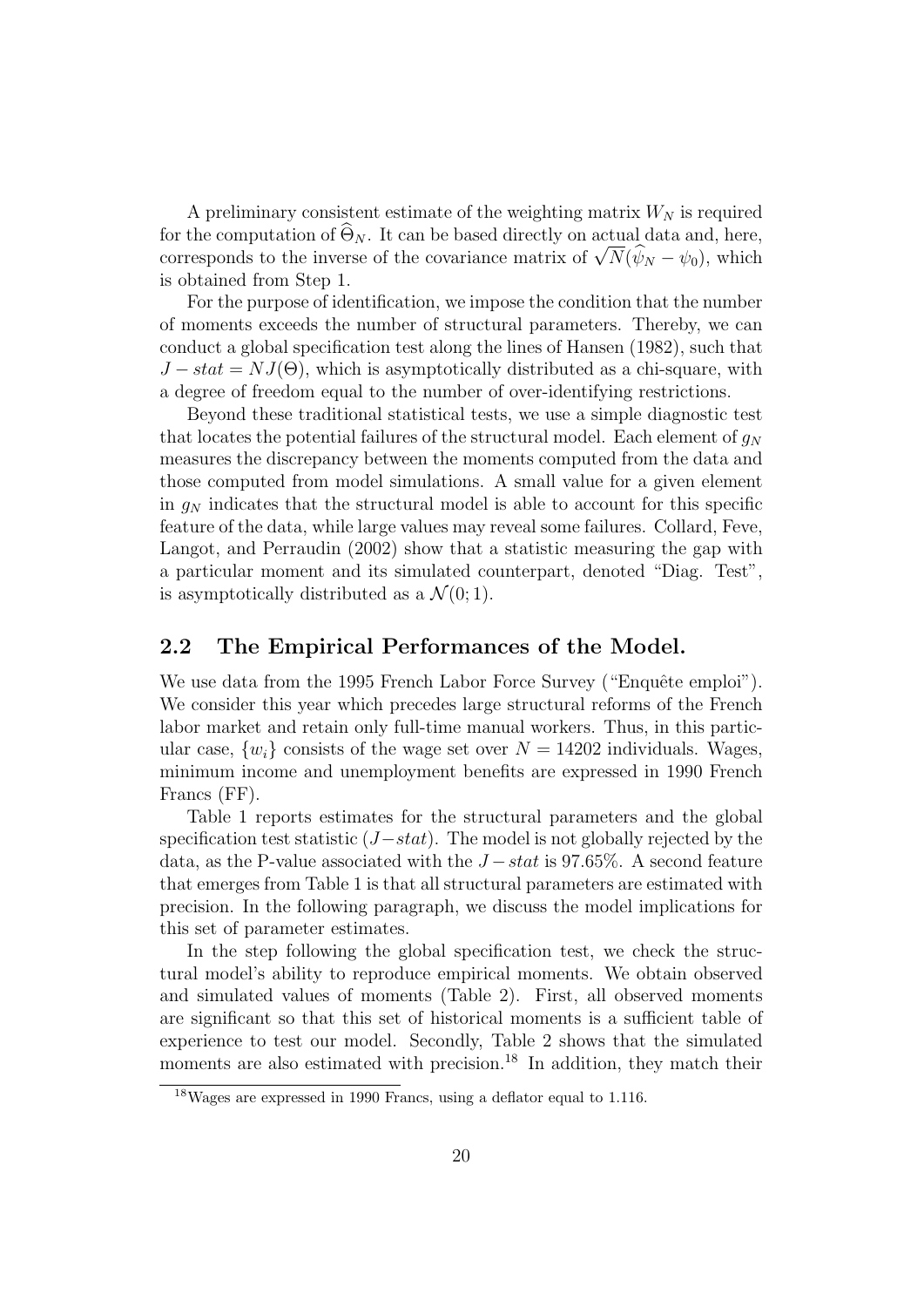A preliminary consistent estimate of the weighting matrix  $W_N$  is required for the computation of  $\widehat{\Theta}_N$ . It can be based directly on actual data and, here, corresponds to the inverse of the covariance matrix of  $\sqrt{N}(\hat{\psi}_N - \psi_0)$ , which is obtained from Step 1.

For the purpose of identification, we impose the condition that the number of moments exceeds the number of structural parameters. Thereby, we can conduct a global specification test along the lines of Hansen (1982), such that  $J - stat = NJ(\Theta)$ , which is asymptotically distributed as a chi-square, with a degree of freedom equal to the number of over-identifying restrictions.

Beyond these traditional statistical tests, we use a simple diagnostic test that locates the potential failures of the structural model. Each element of  $g_N$ measures the discrepancy between the moments computed from the data and those computed from model simulations. A small value for a given element in  $g_N$  indicates that the structural model is able to account for this specific feature of the data, while large values may reveal some failures. Collard, Feve, Langot, and Perraudin (2002) show that a statistic measuring the gap with a particular moment and its simulated counterpart, denoted "Diag. Test", is asymptotically distributed as a  $\mathcal{N}(0;1)$ .

### 2.2 The Empirical Performances of the Model.

We use data from the 1995 French Labor Force Survey ("Enquête emploi"). We consider this year which precedes large structural reforms of the French labor market and retain only full-time manual workers. Thus, in this particular case,  $\{w_i\}$  consists of the wage set over  $N = 14202$  individuals. Wages, minimum income and unemployment benefits are expressed in 1990 French Francs (FF).

Table 1 reports estimates for the structural parameters and the global specification test statistic  $(J-stat)$ . The model is not globally rejected by the data, as the P-value associated with the  $J - stat$  is 97.65%. A second feature that emerges from Table 1 is that all structural parameters are estimated with precision. In the following paragraph, we discuss the model implications for this set of parameter estimates.

In the step following the global specification test, we check the structural model's ability to reproduce empirical moments. We obtain observed and simulated values of moments (Table 2). First, all observed moments are significant so that this set of historical moments is a sufficient table of experience to test our model. Secondly, Table 2 shows that the simulated moments are also estimated with precision.<sup>18</sup> In addition, they match their

<sup>18</sup>Wages are expressed in 1990 Francs, using a deflator equal to 1.116.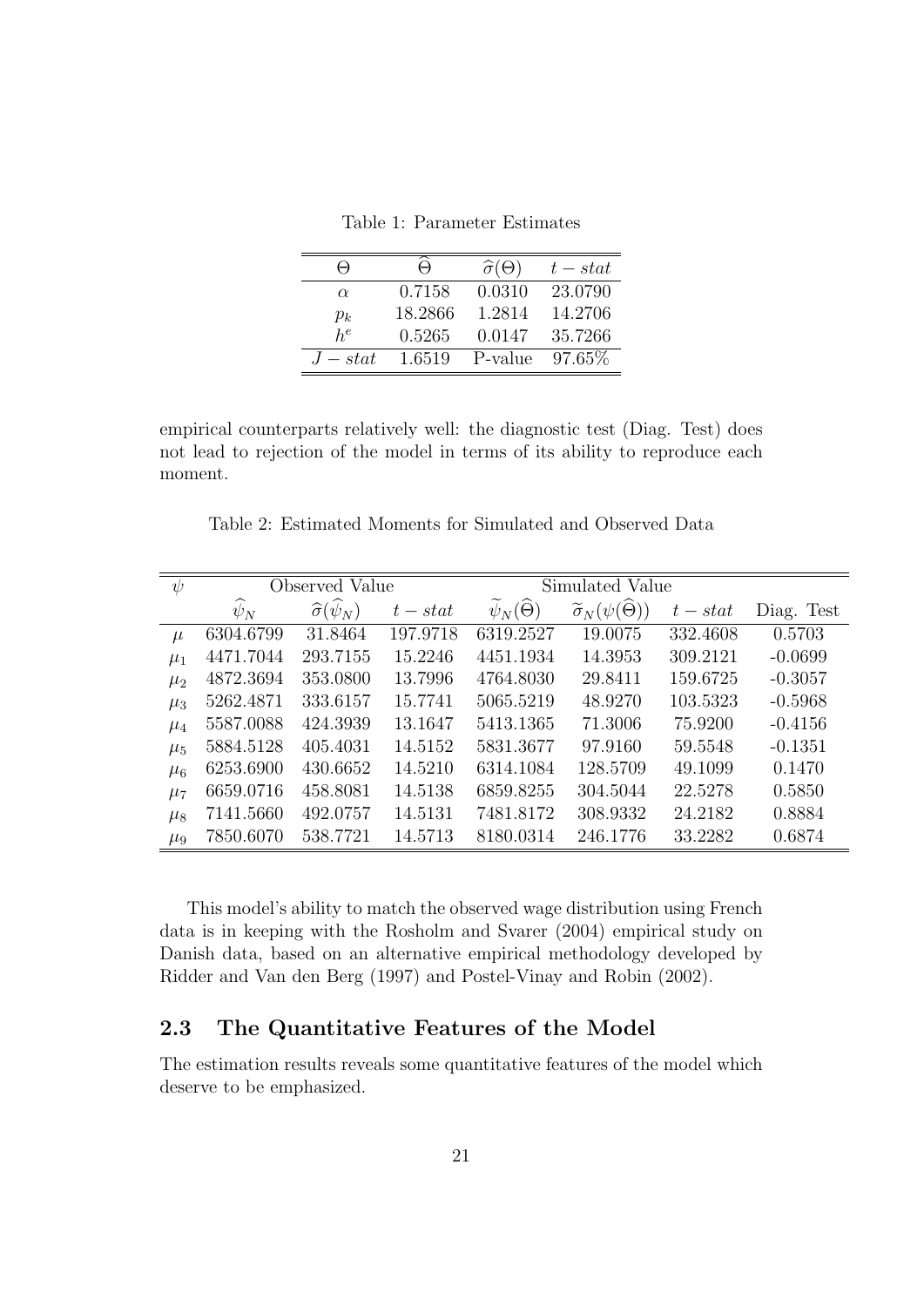Table 1: Parameter Estimates

| $(\lnot)$  | $\Theta$ | $\widehat{\sigma}(\Theta)$ | $t - stat$ |
|------------|----------|----------------------------|------------|
| $\alpha$   | 0.7158   | 0.0310                     | 23.0790    |
| $p_k$      | 18.2866  | 1.2814                     | 14.2706    |
| $h^e$      | 0.5265   | 0.0147                     | 35.7266    |
| $J - stat$ | 1.6519   | P-value                    | 97.65\%    |

empirical counterparts relatively well: the diagnostic test (Diag. Test) does not lead to rejection of the model in terms of its ability to reproduce each moment.

Table 2: Estimated Moments for Simulated and Observed Data

| $\psi$    | Observed Value |                            |            | Simulated Value  |                                                |            |            |
|-----------|----------------|----------------------------|------------|------------------|------------------------------------------------|------------|------------|
|           | $\psi_N$       | $\widehat{\sigma}(\psi_N)$ | $t - stat$ | $\psi_N(\Theta)$ | $\widetilde{\sigma}_N(\psi(\widehat{\Theta}))$ | $t - stat$ | Diag. Test |
| $\mu$     | 6304.6799      | 31.8464                    | 197.9718   | 6319.2527        | 19.0075                                        | 332.4608   | 0.5703     |
| $\mu_1$   | 4471.7044      | 293.7155                   | 15.2246    | 4451.1934        | 14.3953                                        | 309.2121   | $-0.0699$  |
| $\mu_2$   | 4872.3694      | 353.0800                   | 13.7996    | 4764.8030        | 29.8411                                        | 159.6725   | $-0.3057$  |
| $\mu_3$   | 5262.4871      | 333.6157                   | 15.7741    | 5065.5219        | 48.9270                                        | 103.5323   | $-0.5968$  |
| $\mu_4$   | 5587.0088      | 424.3939                   | 13.1647    | 5413.1365        | 71.3006                                        | 75.9200    | $-0.4156$  |
| $\mu_5$   | 5884.5128      | 405.4031                   | 14.5152    | 5831.3677        | 97.9160                                        | 59.5548    | $-0.1351$  |
| $\mu_6$   | 6253.6900      | 430.6652                   | 14.5210    | 6314.1084        | 128.5709                                       | 49.1099    | 0.1470     |
| $\mu_7$   | 6659.0716      | 458.8081                   | 14.5138    | 6859.8255        | 304.5044                                       | 22.5278    | 0.5850     |
| $\mu_8$   | 7141.5660      | 492.0757                   | 14.5131    | 7481.8172        | 308.9332                                       | 24.2182    | 0.8884     |
| $\mu_{9}$ | 7850.6070      | 538.7721                   | 14.5713    | 8180.0314        | 246.1776                                       | 33.2282    | 0.6874     |

This model's ability to match the observed wage distribution using French data is in keeping with the Rosholm and Svarer (2004) empirical study on Danish data, based on an alternative empirical methodology developed by Ridder and Van den Berg (1997) and Postel-Vinay and Robin (2002).

### 2.3 The Quantitative Features of the Model

The estimation results reveals some quantitative features of the model which deserve to be emphasized.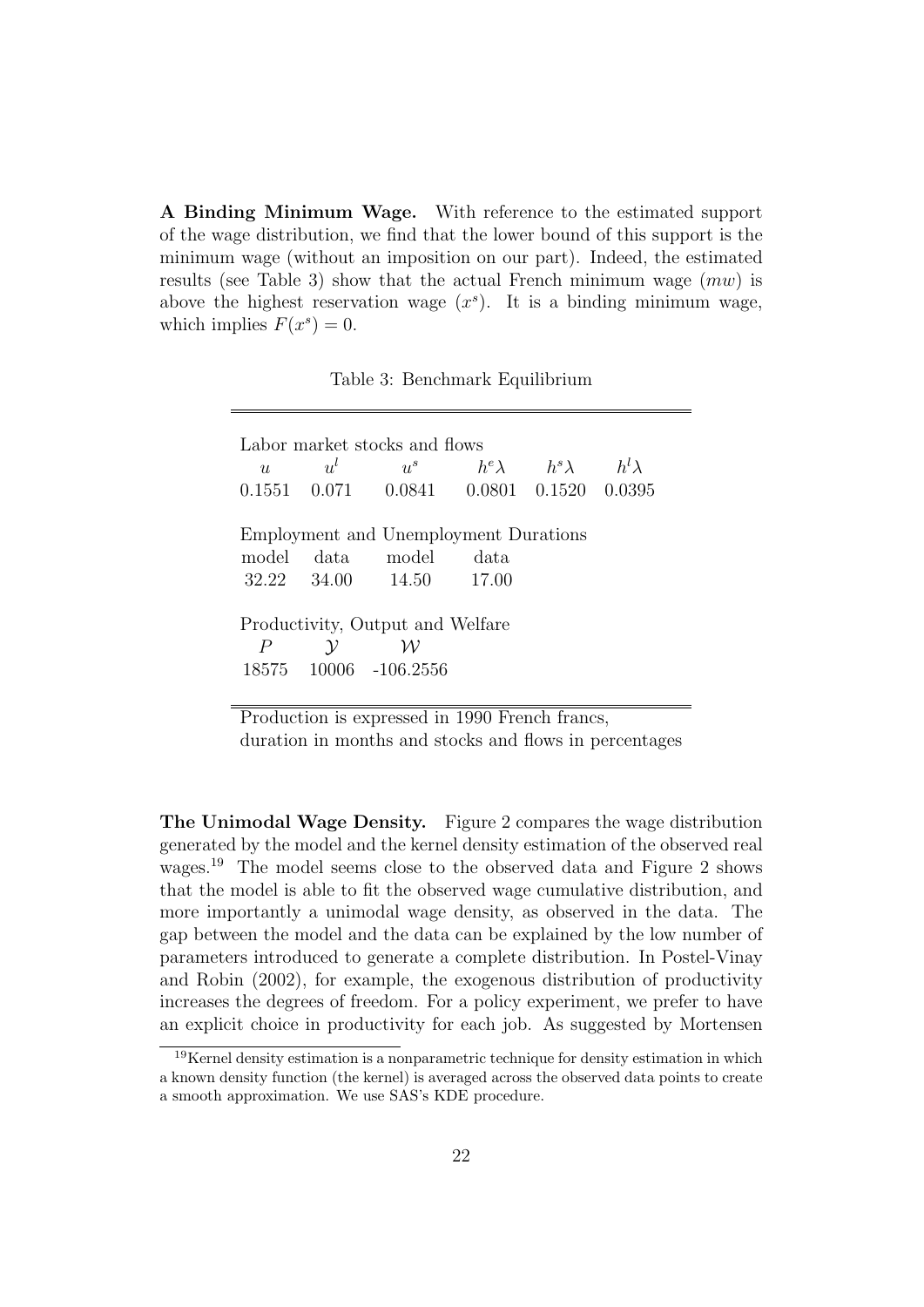A Binding Minimum Wage. With reference to the estimated support of the wage distribution, we find that the lower bound of this support is the minimum wage (without an imposition on our part). Indeed, the estimated results (see Table 3) show that the actual French minimum wage  $(mw)$  is above the highest reservation wage  $(x<sup>s</sup>)$ . It is a binding minimum wage, which implies  $F(x^s) = 0$ .

| Labor market stocks and flows    |              |                                                      |  |  |              |  |  |  |
|----------------------------------|--------------|------------------------------------------------------|--|--|--------------|--|--|--|
| u                                | $u^l$        | $u^s$ $h^e \lambda$ $h^s \lambda$                    |  |  | $h^l\lambda$ |  |  |  |
|                                  |              | $0.1551$ $0.071$ $0.0841$ $0.0801$ $0.1520$ $0.0395$ |  |  |              |  |  |  |
|                                  |              |                                                      |  |  |              |  |  |  |
|                                  |              | Employment and Unemployment Durations                |  |  |              |  |  |  |
|                                  |              | model data model data                                |  |  |              |  |  |  |
|                                  |              | 32.22 34.00 14.50 17.00                              |  |  |              |  |  |  |
|                                  |              |                                                      |  |  |              |  |  |  |
| Productivity, Output and Welfare |              |                                                      |  |  |              |  |  |  |
| P                                | $\mathcal V$ | W                                                    |  |  |              |  |  |  |
|                                  |              | 18575 10006 -106.2556                                |  |  |              |  |  |  |
|                                  |              |                                                      |  |  |              |  |  |  |

Production is expressed in 1990 French francs, duration in months and stocks and flows in percentages

The Unimodal Wage Density. Figure 2 compares the wage distribution generated by the model and the kernel density estimation of the observed real wages.<sup>19</sup> The model seems close to the observed data and Figure 2 shows that the model is able to fit the observed wage cumulative distribution, and more importantly a unimodal wage density, as observed in the data. The gap between the model and the data can be explained by the low number of parameters introduced to generate a complete distribution. In Postel-Vinay and Robin (2002), for example, the exogenous distribution of productivity increases the degrees of freedom. For a policy experiment, we prefer to have an explicit choice in productivity for each job. As suggested by Mortensen

<sup>19</sup>Kernel density estimation is a nonparametric technique for density estimation in which a known density function (the kernel) is averaged across the observed data points to create a smooth approximation. We use SAS's KDE procedure.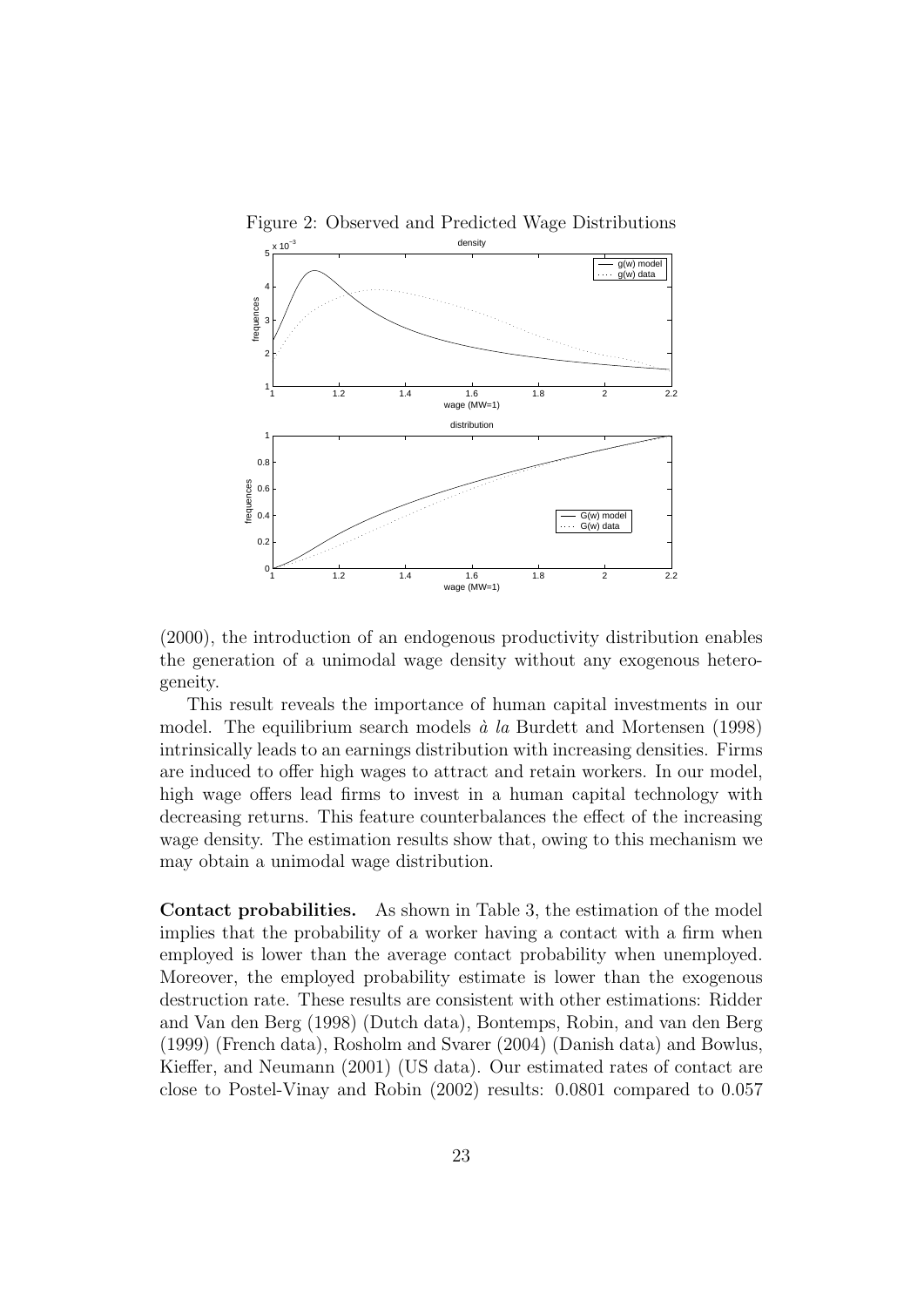

Figure 2: Observed and Predicted Wage Distributions

(2000), the introduction of an endogenous productivity distribution enables the generation of a unimodal wage density without any exogenous heterogeneity.

This result reveals the importance of human capital investments in our model. The equilibrium search models  $\dot{a}$  la Burdett and Mortensen (1998) intrinsically leads to an earnings distribution with increasing densities. Firms are induced to offer high wages to attract and retain workers. In our model, high wage offers lead firms to invest in a human capital technology with decreasing returns. This feature counterbalances the effect of the increasing wage density. The estimation results show that, owing to this mechanism we may obtain a unimodal wage distribution.

Contact probabilities. As shown in Table 3, the estimation of the model implies that the probability of a worker having a contact with a firm when employed is lower than the average contact probability when unemployed. Moreover, the employed probability estimate is lower than the exogenous destruction rate. These results are consistent with other estimations: Ridder and Van den Berg (1998) (Dutch data), Bontemps, Robin, and van den Berg (1999) (French data), Rosholm and Svarer (2004) (Danish data) and Bowlus, Kieffer, and Neumann (2001) (US data). Our estimated rates of contact are close to Postel-Vinay and Robin (2002) results: 0.0801 compared to 0.057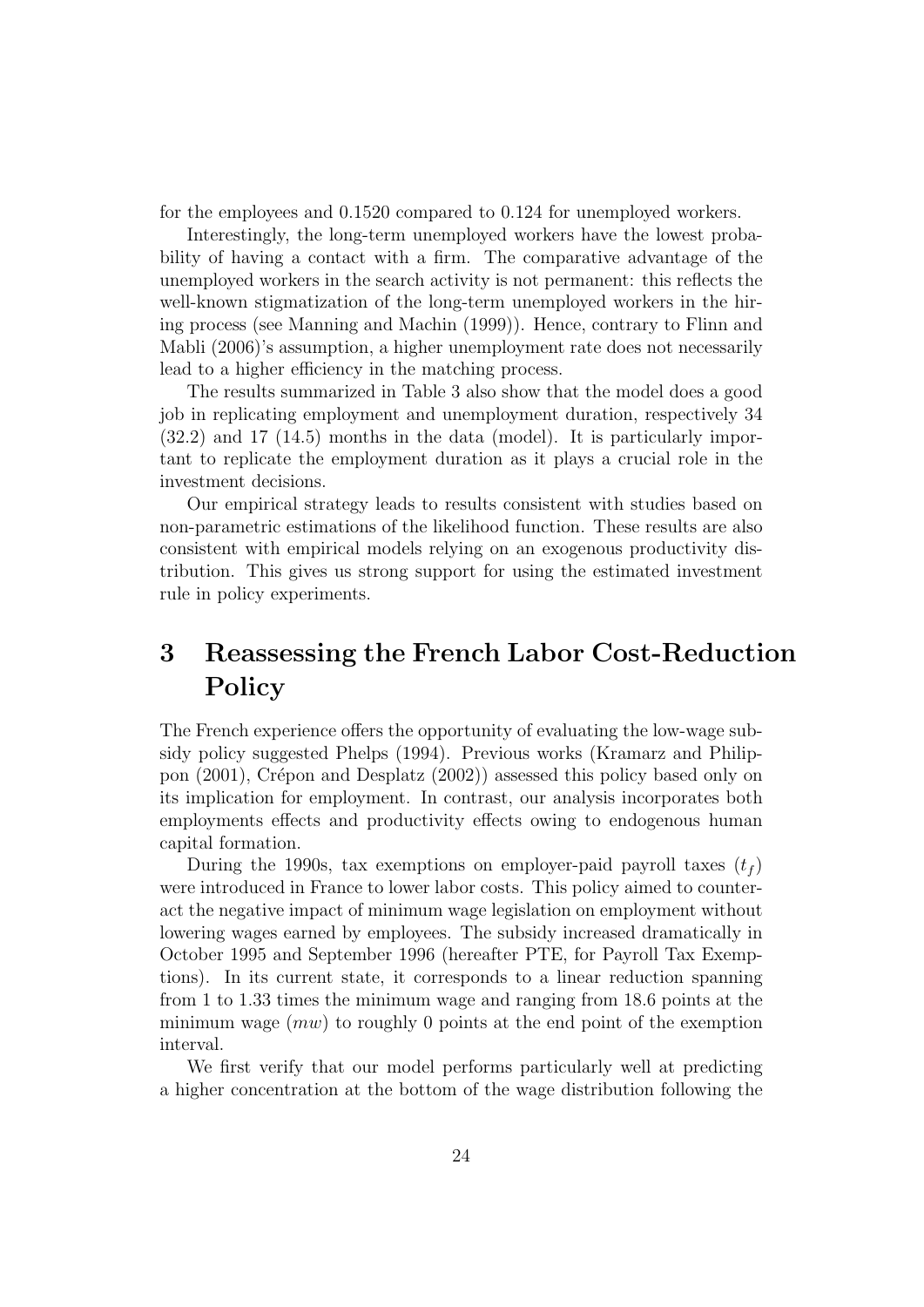for the employees and 0.1520 compared to 0.124 for unemployed workers.

Interestingly, the long-term unemployed workers have the lowest probability of having a contact with a firm. The comparative advantage of the unemployed workers in the search activity is not permanent: this reflects the well-known stigmatization of the long-term unemployed workers in the hiring process (see Manning and Machin (1999)). Hence, contrary to Flinn and Mabli (2006)'s assumption, a higher unemployment rate does not necessarily lead to a higher efficiency in the matching process.

The results summarized in Table 3 also show that the model does a good job in replicating employment and unemployment duration, respectively 34 (32.2) and 17 (14.5) months in the data (model). It is particularly important to replicate the employment duration as it plays a crucial role in the investment decisions.

Our empirical strategy leads to results consistent with studies based on non-parametric estimations of the likelihood function. These results are also consistent with empirical models relying on an exogenous productivity distribution. This gives us strong support for using the estimated investment rule in policy experiments.

## 3 Reassessing the French Labor Cost-Reduction Policy

The French experience offers the opportunity of evaluating the low-wage subsidy policy suggested Phelps (1994). Previous works (Kramarz and Philippon  $(2001)$ , Crépon and Desplatz  $(2002)$ ) assessed this policy based only on its implication for employment. In contrast, our analysis incorporates both employments effects and productivity effects owing to endogenous human capital formation.

During the 1990s, tax exemptions on employer-paid payroll taxes  $(t_f)$ were introduced in France to lower labor costs. This policy aimed to counteract the negative impact of minimum wage legislation on employment without lowering wages earned by employees. The subsidy increased dramatically in October 1995 and September 1996 (hereafter PTE, for Payroll Tax Exemptions). In its current state, it corresponds to a linear reduction spanning from 1 to 1.33 times the minimum wage and ranging from 18.6 points at the minimum wage  $(mw)$  to roughly 0 points at the end point of the exemption interval.

We first verify that our model performs particularly well at predicting a higher concentration at the bottom of the wage distribution following the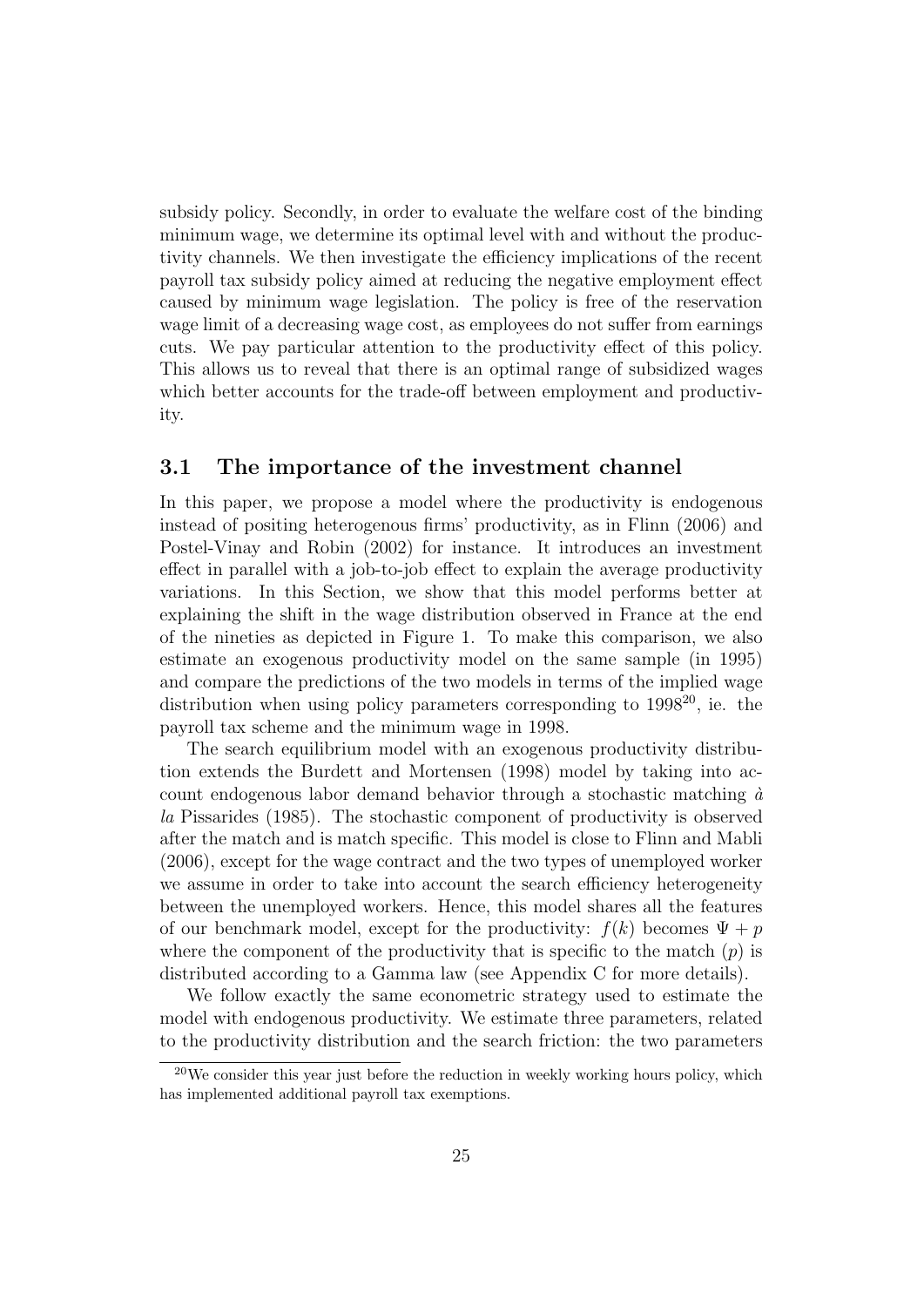subsidy policy. Secondly, in order to evaluate the welfare cost of the binding minimum wage, we determine its optimal level with and without the productivity channels. We then investigate the efficiency implications of the recent payroll tax subsidy policy aimed at reducing the negative employment effect caused by minimum wage legislation. The policy is free of the reservation wage limit of a decreasing wage cost, as employees do not suffer from earnings cuts. We pay particular attention to the productivity effect of this policy. This allows us to reveal that there is an optimal range of subsidized wages which better accounts for the trade-off between employment and productivity.

### 3.1 The importance of the investment channel

In this paper, we propose a model where the productivity is endogenous instead of positing heterogenous firms' productivity, as in Flinn (2006) and Postel-Vinay and Robin (2002) for instance. It introduces an investment effect in parallel with a job-to-job effect to explain the average productivity variations. In this Section, we show that this model performs better at explaining the shift in the wage distribution observed in France at the end of the nineties as depicted in Figure 1. To make this comparison, we also estimate an exogenous productivity model on the same sample (in 1995) and compare the predictions of the two models in terms of the implied wage distribution when using policy parameters corresponding to  $1998^{20}$ , ie. the payroll tax scheme and the minimum wage in 1998.

The search equilibrium model with an exogenous productivity distribution extends the Burdett and Mortensen (1998) model by taking into account endogenous labor demand behavior through a stochastic matching  $\dot{a}$ la Pissarides (1985). The stochastic component of productivity is observed after the match and is match specific. This model is close to Flinn and Mabli (2006), except for the wage contract and the two types of unemployed worker we assume in order to take into account the search efficiency heterogeneity between the unemployed workers. Hence, this model shares all the features of our benchmark model, except for the productivity:  $f(k)$  becomes  $\Psi + p$ where the component of the productivity that is specific to the match  $(p)$  is distributed according to a Gamma law (see Appendix C for more details).

We follow exactly the same econometric strategy used to estimate the model with endogenous productivity. We estimate three parameters, related to the productivity distribution and the search friction: the two parameters

<sup>20</sup>We consider this year just before the reduction in weekly working hours policy, which has implemented additional payroll tax exemptions.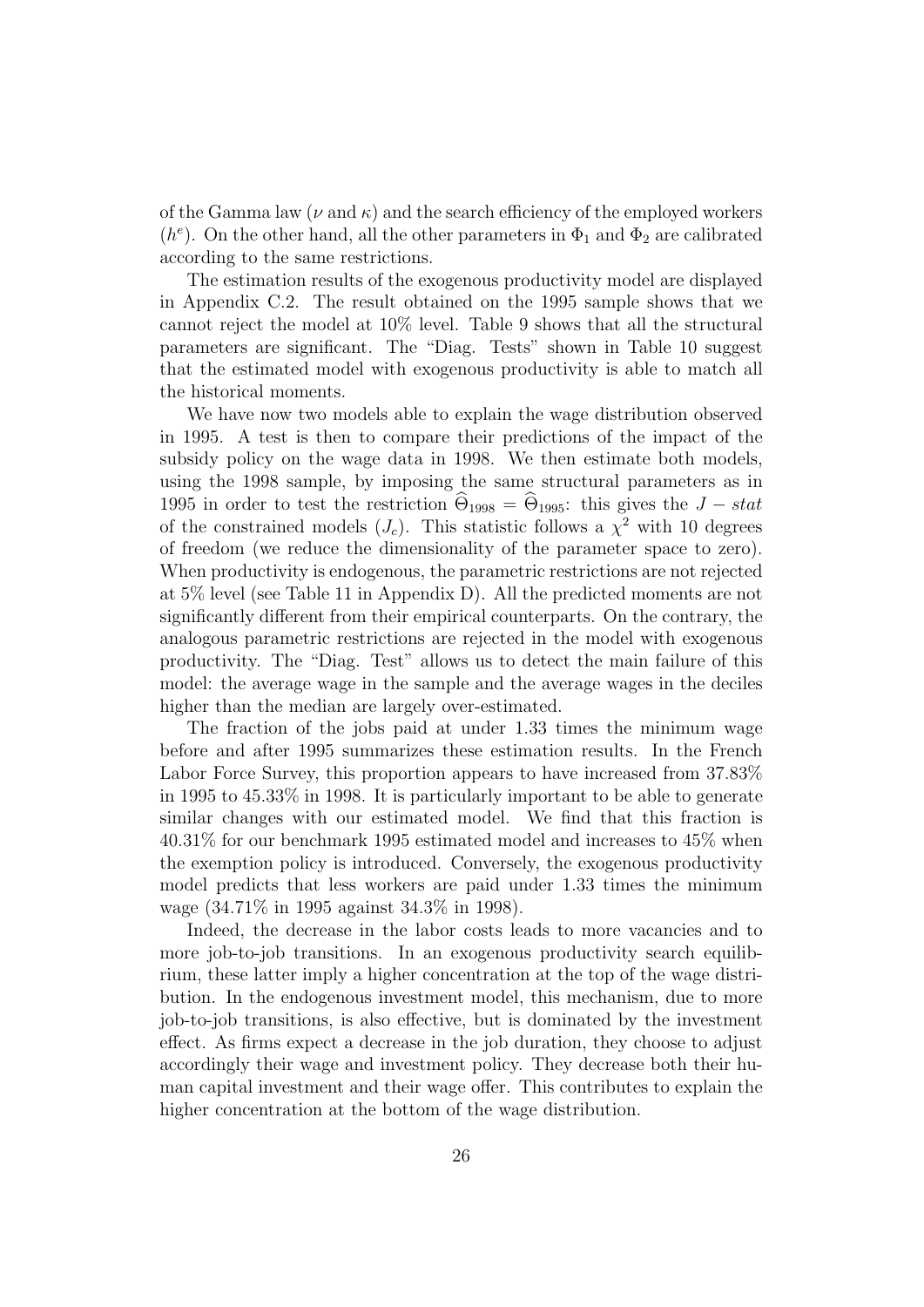of the Gamma law ( $\nu$  and  $\kappa$ ) and the search efficiency of the employed workers ( $h^e$ ). On the other hand, all the other parameters in  $\Phi_1$  and  $\Phi_2$  are calibrated according to the same restrictions.

The estimation results of the exogenous productivity model are displayed in Appendix C.2. The result obtained on the 1995 sample shows that we cannot reject the model at 10% level. Table 9 shows that all the structural parameters are significant. The "Diag. Tests" shown in Table 10 suggest that the estimated model with exogenous productivity is able to match all the historical moments.

We have now two models able to explain the wage distribution observed in 1995. A test is then to compare their predictions of the impact of the subsidy policy on the wage data in 1998. We then estimate both models, using the 1998 sample, by imposing the same structural parameters as in 1995 in order to test the restriction  $\hat{\Theta}_{1998} = \hat{\Theta}_{1995}$ : this gives the  $J - stat$ of the constrained models  $(J_c)$ . This statistic follows a  $\chi^2$  with 10 degrees of freedom (we reduce the dimensionality of the parameter space to zero). When productivity is endogenous, the parametric restrictions are not rejected at 5% level (see Table 11 in Appendix D). All the predicted moments are not significantly different from their empirical counterparts. On the contrary, the analogous parametric restrictions are rejected in the model with exogenous productivity. The "Diag. Test" allows us to detect the main failure of this model: the average wage in the sample and the average wages in the deciles higher than the median are largely over-estimated.

The fraction of the jobs paid at under 1.33 times the minimum wage before and after 1995 summarizes these estimation results. In the French Labor Force Survey, this proportion appears to have increased from 37.83% in 1995 to 45.33% in 1998. It is particularly important to be able to generate similar changes with our estimated model. We find that this fraction is 40.31% for our benchmark 1995 estimated model and increases to 45% when the exemption policy is introduced. Conversely, the exogenous productivity model predicts that less workers are paid under 1.33 times the minimum wage (34.71% in 1995 against 34.3% in 1998).

Indeed, the decrease in the labor costs leads to more vacancies and to more job-to-job transitions. In an exogenous productivity search equilibrium, these latter imply a higher concentration at the top of the wage distribution. In the endogenous investment model, this mechanism, due to more job-to-job transitions, is also effective, but is dominated by the investment effect. As firms expect a decrease in the job duration, they choose to adjust accordingly their wage and investment policy. They decrease both their human capital investment and their wage offer. This contributes to explain the higher concentration at the bottom of the wage distribution.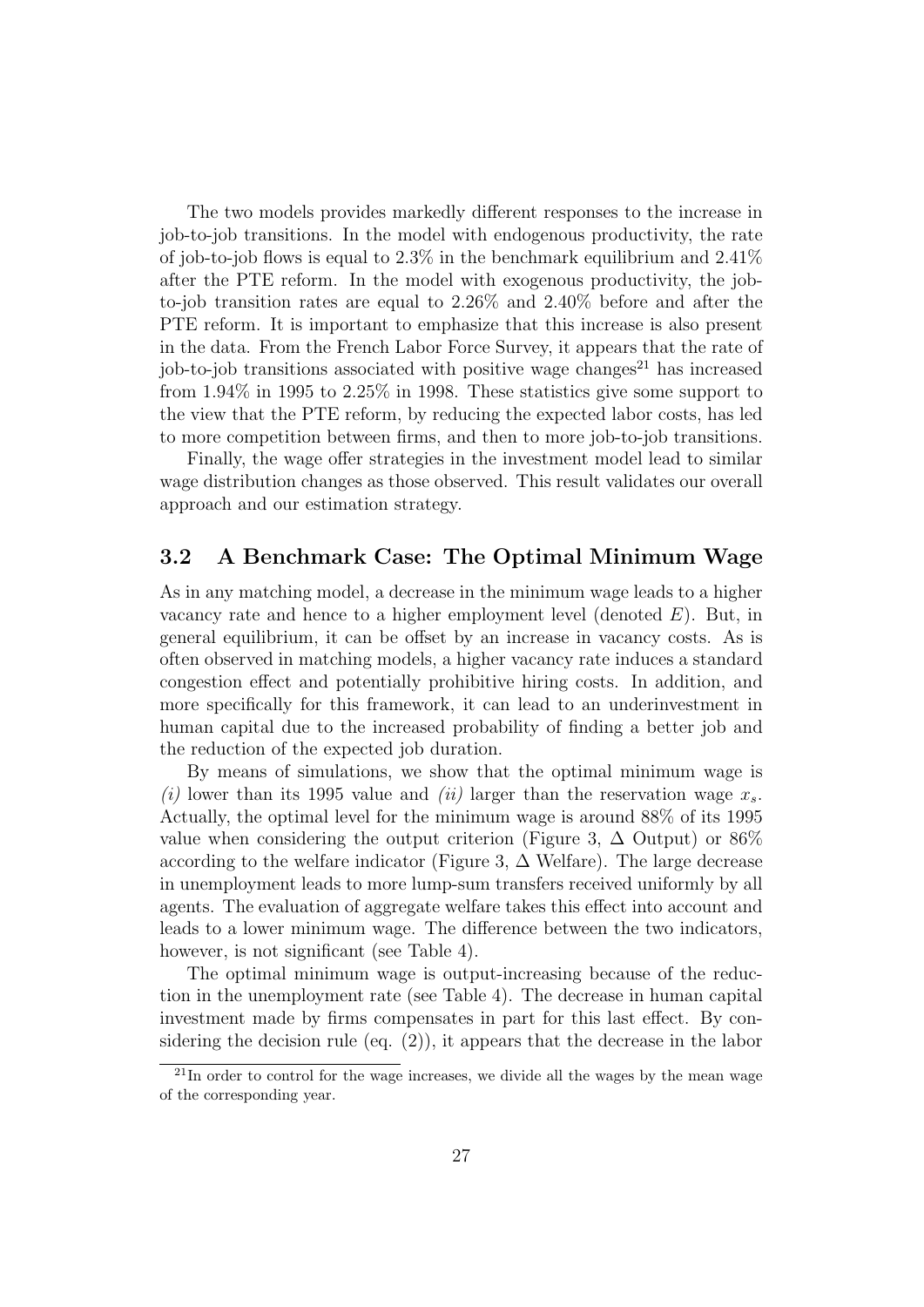The two models provides markedly different responses to the increase in job-to-job transitions. In the model with endogenous productivity, the rate of job-to-job flows is equal to  $2.3\%$  in the benchmark equilibrium and  $2.41\%$ after the PTE reform. In the model with exogenous productivity, the jobto-job transition rates are equal to 2.26% and 2.40% before and after the PTE reform. It is important to emphasize that this increase is also present in the data. From the French Labor Force Survey, it appears that the rate of job-to-job transitions associated with positive wage changes<sup>21</sup> has increased from 1.94% in 1995 to 2.25% in 1998. These statistics give some support to the view that the PTE reform, by reducing the expected labor costs, has led to more competition between firms, and then to more job-to-job transitions.

Finally, the wage offer strategies in the investment model lead to similar wage distribution changes as those observed. This result validates our overall approach and our estimation strategy.

### 3.2 A Benchmark Case: The Optimal Minimum Wage

As in any matching model, a decrease in the minimum wage leads to a higher vacancy rate and hence to a higher employment level (denoted  $E$ ). But, in general equilibrium, it can be offset by an increase in vacancy costs. As is often observed in matching models, a higher vacancy rate induces a standard congestion effect and potentially prohibitive hiring costs. In addition, and more specifically for this framework, it can lead to an underinvestment in human capital due to the increased probability of finding a better job and the reduction of the expected job duration.

By means of simulations, we show that the optimal minimum wage is (i) lower than its 1995 value and (ii) larger than the reservation wage  $x_s$ . Actually, the optimal level for the minimum wage is around 88% of its 1995 value when considering the output criterion (Figure 3,  $\Delta$  Output) or 86% according to the welfare indicator (Figure 3,  $\Delta$  Welfare). The large decrease in unemployment leads to more lump-sum transfers received uniformly by all agents. The evaluation of aggregate welfare takes this effect into account and leads to a lower minimum wage. The difference between the two indicators, however, is not significant (see Table 4).

The optimal minimum wage is output-increasing because of the reduction in the unemployment rate (see Table 4). The decrease in human capital investment made by firms compensates in part for this last effect. By considering the decision rule (eq.  $(2)$ ), it appears that the decrease in the labor

<sup>&</sup>lt;sup>21</sup>In order to control for the wage increases, we divide all the wages by the mean wage of the corresponding year.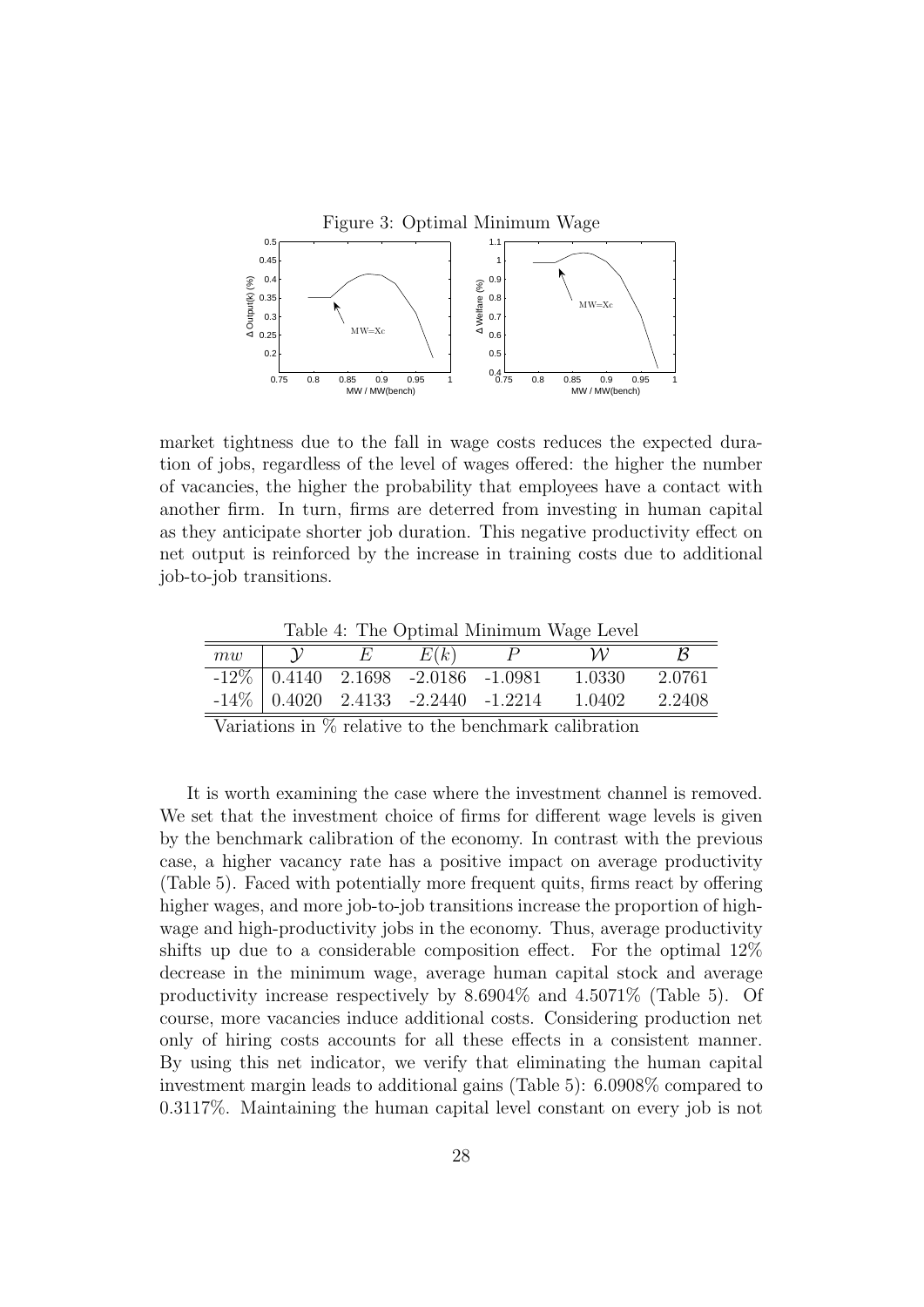

market tightness due to the fall in wage costs reduces the expected duration of jobs, regardless of the level of wages offered: the higher the number of vacancies, the higher the probability that employees have a contact with another firm. In turn, firms are deterred from investing in human capital as they anticipate shorter job duration. This negative productivity effect on net output is reinforced by the increase in training costs due to additional job-to-job transitions.

|  |  |  | Table 4: The Optimal Minimum Wage Level |  |  |
|--|--|--|-----------------------------------------|--|--|
|--|--|--|-----------------------------------------|--|--|

| mw |  | E(k)                                    | W        |        |
|----|--|-----------------------------------------|----------|--------|
|    |  | $-12\%$   0.4140 2.1698 -2.0186 -1.0981 | - 1.0330 | 2.0761 |
|    |  | $-14\%$   0.4020 2.4133 -2.2440 -1.2214 | 1.0402   | 2.2408 |

Variations in % relative to the benchmark calibration

It is worth examining the case where the investment channel is removed. We set that the investment choice of firms for different wage levels is given by the benchmark calibration of the economy. In contrast with the previous case, a higher vacancy rate has a positive impact on average productivity (Table 5). Faced with potentially more frequent quits, firms react by offering higher wages, and more job-to-job transitions increase the proportion of highwage and high-productivity jobs in the economy. Thus, average productivity shifts up due to a considerable composition effect. For the optimal 12% decrease in the minimum wage, average human capital stock and average productivity increase respectively by 8.6904% and 4.5071% (Table 5). Of course, more vacancies induce additional costs. Considering production net only of hiring costs accounts for all these effects in a consistent manner. By using this net indicator, we verify that eliminating the human capital investment margin leads to additional gains (Table 5): 6.0908% compared to 0.3117%. Maintaining the human capital level constant on every job is not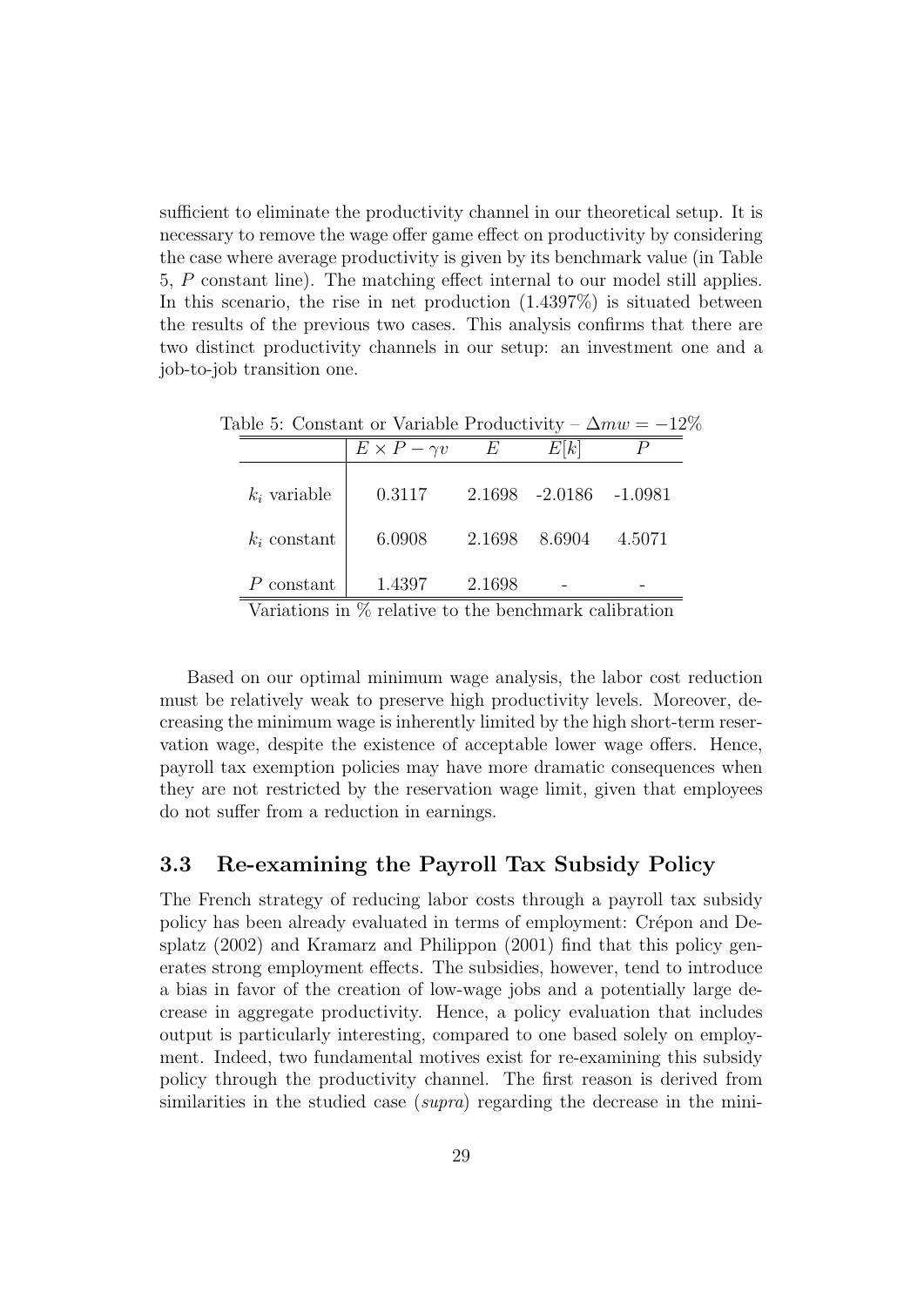sufficient to eliminate the productivity channel in our theoretical setup. It is necessary to remove the wage offer game effect on productivity by considering the case where average productivity is given by its benchmark value (in Table 5, P constant line). The matching effect internal to our model still applies. In this scenario, the rise in net production (1.4397%) is situated between the results of the previous two cases. This analysis confirms that there are two distinct productivity channels in our setup: an investment one and a job-to-job transition one.

|                | $E \times P - \gamma v$ | E      | E[k]                   |        |
|----------------|-------------------------|--------|------------------------|--------|
| $k_i$ variable | 0.3117                  |        | 2.1698 -2.0186 -1.0981 |        |
| $k_i$ constant | 6.0908                  | 2.1698 | 8.6904                 | 4.5071 |
| P constant     | 1.4397                  | 2.1698 |                        |        |

Table 5: Constant or Variable Productivity –  $\Delta m w = -12\%$ 

Variations in % relative to the benchmark calibration

Based on our optimal minimum wage analysis, the labor cost reduction must be relatively weak to preserve high productivity levels. Moreover, decreasing the minimum wage is inherently limited by the high short-term reservation wage, despite the existence of acceptable lower wage offers. Hence, payroll tax exemption policies may have more dramatic consequences when they are not restricted by the reservation wage limit, given that employees do not suffer from a reduction in earnings.

### 3.3 Re-examining the Payroll Tax Subsidy Policy

The French strategy of reducing labor costs through a payroll tax subsidy policy has been already evaluated in terms of employment: Crépon and Desplatz (2002) and Kramarz and Philippon (2001) find that this policy generates strong employment effects. The subsidies, however, tend to introduce a bias in favor of the creation of low-wage jobs and a potentially large decrease in aggregate productivity. Hence, a policy evaluation that includes output is particularly interesting, compared to one based solely on employment. Indeed, two fundamental motives exist for re-examining this subsidy policy through the productivity channel. The first reason is derived from similarities in the studied case (supra) regarding the decrease in the mini-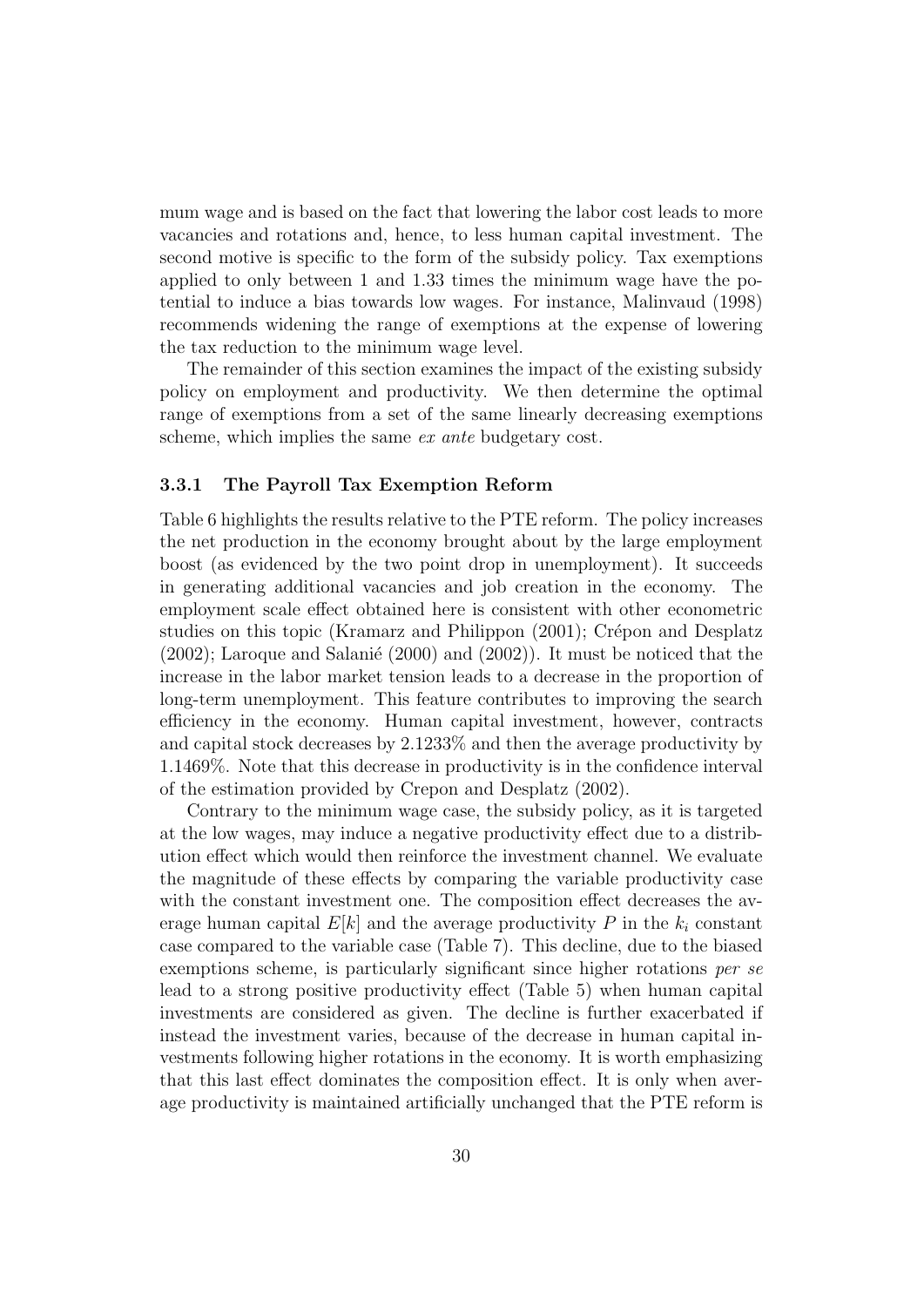mum wage and is based on the fact that lowering the labor cost leads to more vacancies and rotations and, hence, to less human capital investment. The second motive is specific to the form of the subsidy policy. Tax exemptions applied to only between 1 and 1.33 times the minimum wage have the potential to induce a bias towards low wages. For instance, Malinvaud (1998) recommends widening the range of exemptions at the expense of lowering the tax reduction to the minimum wage level.

The remainder of this section examines the impact of the existing subsidy policy on employment and productivity. We then determine the optimal range of exemptions from a set of the same linearly decreasing exemptions scheme, which implies the same ex ante budgetary cost.

#### 3.3.1 The Payroll Tax Exemption Reform

Table 6 highlights the results relative to the PTE reform. The policy increases the net production in the economy brought about by the large employment boost (as evidenced by the two point drop in unemployment). It succeeds in generating additional vacancies and job creation in the economy. The employment scale effect obtained here is consistent with other econometric studies on this topic (Kramarz and Philippon (2001); Crépon and Desplatz  $(2002)$ ; Laroque and Salanié (2000) and (2002)). It must be noticed that the increase in the labor market tension leads to a decrease in the proportion of long-term unemployment. This feature contributes to improving the search efficiency in the economy. Human capital investment, however, contracts and capital stock decreases by 2.1233% and then the average productivity by 1.1469%. Note that this decrease in productivity is in the confidence interval of the estimation provided by Crepon and Desplatz (2002).

Contrary to the minimum wage case, the subsidy policy, as it is targeted at the low wages, may induce a negative productivity effect due to a distribution effect which would then reinforce the investment channel. We evaluate the magnitude of these effects by comparing the variable productivity case with the constant investment one. The composition effect decreases the average human capital  $E[k]$  and the average productivity P in the  $k_i$  constant case compared to the variable case (Table 7). This decline, due to the biased exemptions scheme, is particularly significant since higher rotations *per se* lead to a strong positive productivity effect (Table 5) when human capital investments are considered as given. The decline is further exacerbated if instead the investment varies, because of the decrease in human capital investments following higher rotations in the economy. It is worth emphasizing that this last effect dominates the composition effect. It is only when average productivity is maintained artificially unchanged that the PTE reform is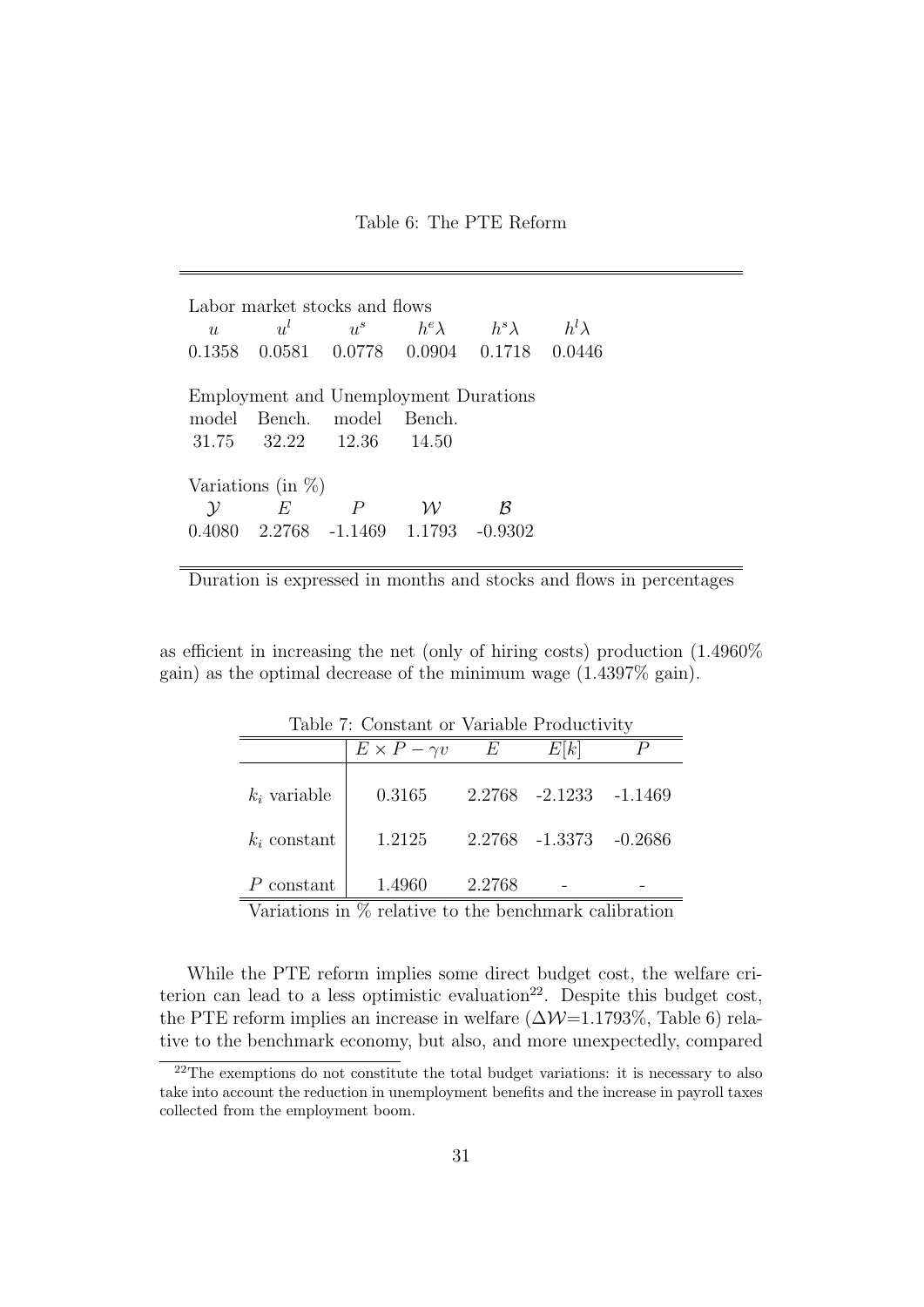Table 6: The PTE Reform

Labor market stocks and flows  $u \qquad \quad u^l \qquad \quad u$  $u^s$   $h^e \lambda$  $h^s\lambda$   $h^l\lambda$ 0.1358 0.0581 0.0778 0.0904 0.1718 0.0446 Employment and Unemployment Durations model Bench. model Bench. 31.75 32.22 12.36 14.50 Variations (in %)  $\mathcal{Y}$   $E$   $P$   $\mathcal{W}$   $\mathcal{B}$ 0.4080 2.2768 -1.1469 1.1793 -0.9302

Duration is expressed in months and stocks and flows in percentages

as efficient in increasing the net (only of hiring costs) production (1.4960% gain) as the optimal decrease of the minimum wage (1.4397% gain).

|                |                         |        | <b>Table 1. Constant of Variable I Foundation</b> |  |  |  |  |
|----------------|-------------------------|--------|---------------------------------------------------|--|--|--|--|
|                | $E \times P - \gamma v$ | E      | E[k]                                              |  |  |  |  |
| $k_i$ variable | 0.3165                  |        | $2.2768 - 2.1233 - 1.1469$                        |  |  |  |  |
| $k_i$ constant | 1.2125                  |        | $2.2768 - 1.3373 - 0.2686$                        |  |  |  |  |
| $P$ constant   | 1.4960                  | 2.2768 |                                                   |  |  |  |  |

Table 7: Constant or Variable Productivity

Variations in % relative to the benchmark calibration

While the PTE reform implies some direct budget cost, the welfare criterion can lead to a less optimistic evaluation<sup>22</sup>. Despite this budget cost, the PTE reform implies an increase in welfare  $(\Delta W=1.1793\%, \text{ Table 6})$  relative to the benchmark economy, but also, and more unexpectedly, compared

<sup>&</sup>lt;sup>22</sup>The exemptions do not constitute the total budget variations: it is necessary to also take into account the reduction in unemployment benefits and the increase in payroll taxes collected from the employment boom.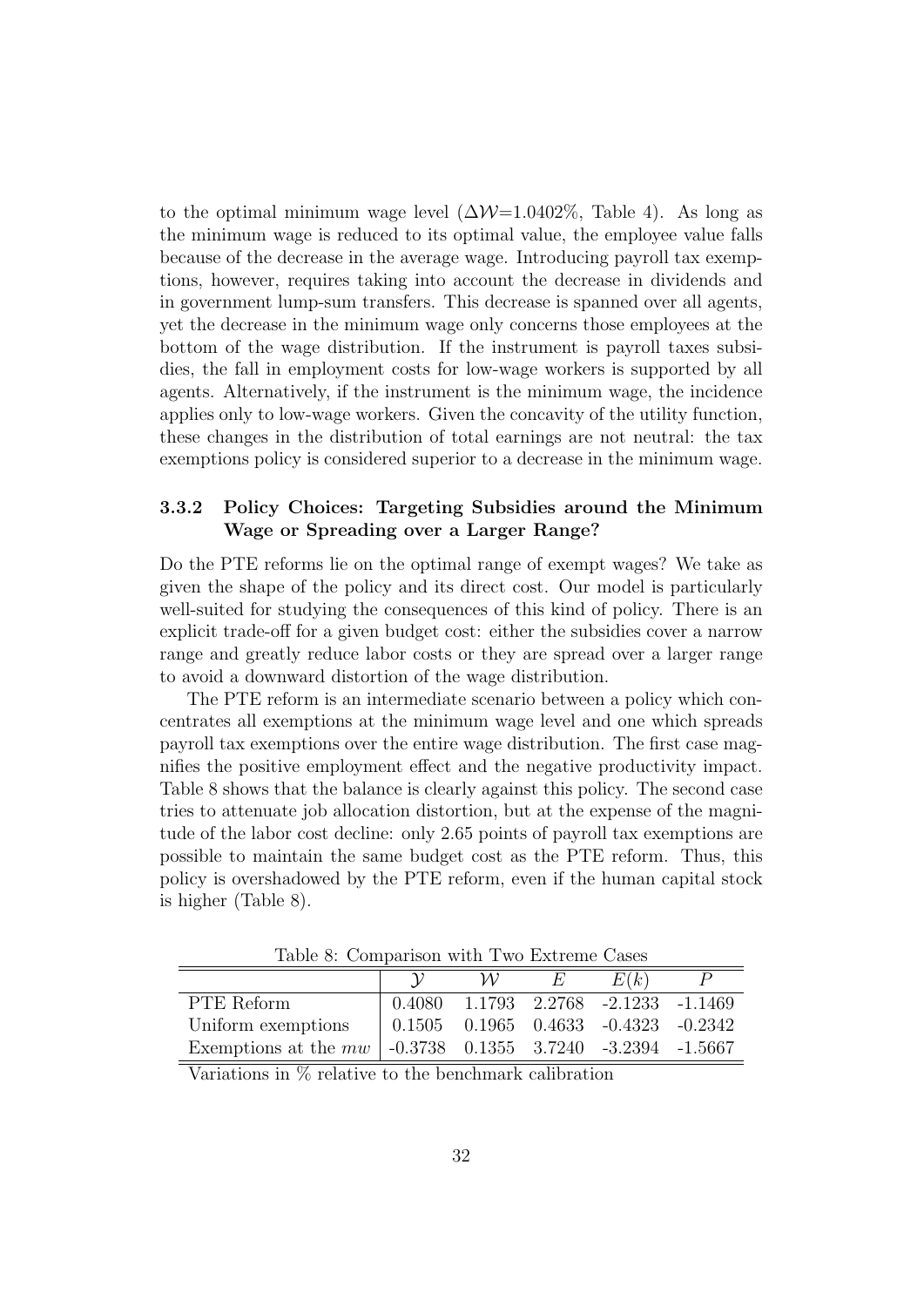to the optimal minimum wage level  $(\Delta W=1.0402\%$ , Table 4). As long as the minimum wage is reduced to its optimal value, the employee value falls because of the decrease in the average wage. Introducing payroll tax exemptions, however, requires taking into account the decrease in dividends and in government lump-sum transfers. This decrease is spanned over all agents, yet the decrease in the minimum wage only concerns those employees at the bottom of the wage distribution. If the instrument is payroll taxes subsidies, the fall in employment costs for low-wage workers is supported by all agents. Alternatively, if the instrument is the minimum wage, the incidence applies only to low-wage workers. Given the concavity of the utility function, these changes in the distribution of total earnings are not neutral: the tax exemptions policy is considered superior to a decrease in the minimum wage.

### 3.3.2 Policy Choices: Targeting Subsidies around the Minimum Wage or Spreading over a Larger Range?

Do the PTE reforms lie on the optimal range of exempt wages? We take as given the shape of the policy and its direct cost. Our model is particularly well-suited for studying the consequences of this kind of policy. There is an explicit trade-off for a given budget cost: either the subsidies cover a narrow range and greatly reduce labor costs or they are spread over a larger range to avoid a downward distortion of the wage distribution.

The PTE reform is an intermediate scenario between a policy which concentrates all exemptions at the minimum wage level and one which spreads payroll tax exemptions over the entire wage distribution. The first case magnifies the positive employment effect and the negative productivity impact. Table 8 shows that the balance is clearly against this policy. The second case tries to attenuate job allocation distortion, but at the expense of the magnitude of the labor cost decline: only 2.65 points of payroll tax exemptions are possible to maintain the same budget cost as the PTE reform. Thus, this policy is overshadowed by the PTE reform, even if the human capital stock is higher (Table 8).

| Table 0. Comparison with I wo Latitude Cases                   |  |    |   |                                                |  |  |  |
|----------------------------------------------------------------|--|----|---|------------------------------------------------|--|--|--|
|                                                                |  | W) | E | E(k)                                           |  |  |  |
| PTE Reform                                                     |  |    |   | $0.4080$ $1.1793$ $2.2768$ $-2.1233$ $-1.1469$ |  |  |  |
| Uniform exemptions                                             |  |    |   | $0.1505$ $0.1965$ $0.4633$ $-0.4323$ $-0.2342$ |  |  |  |
| Exemptions at the $mw$   -0.3738 0.1355 3.7240 -3.2394 -1.5667 |  |    |   |                                                |  |  |  |

Table 8: Comparison with Two Extreme Cases

Variations in % relative to the benchmark calibration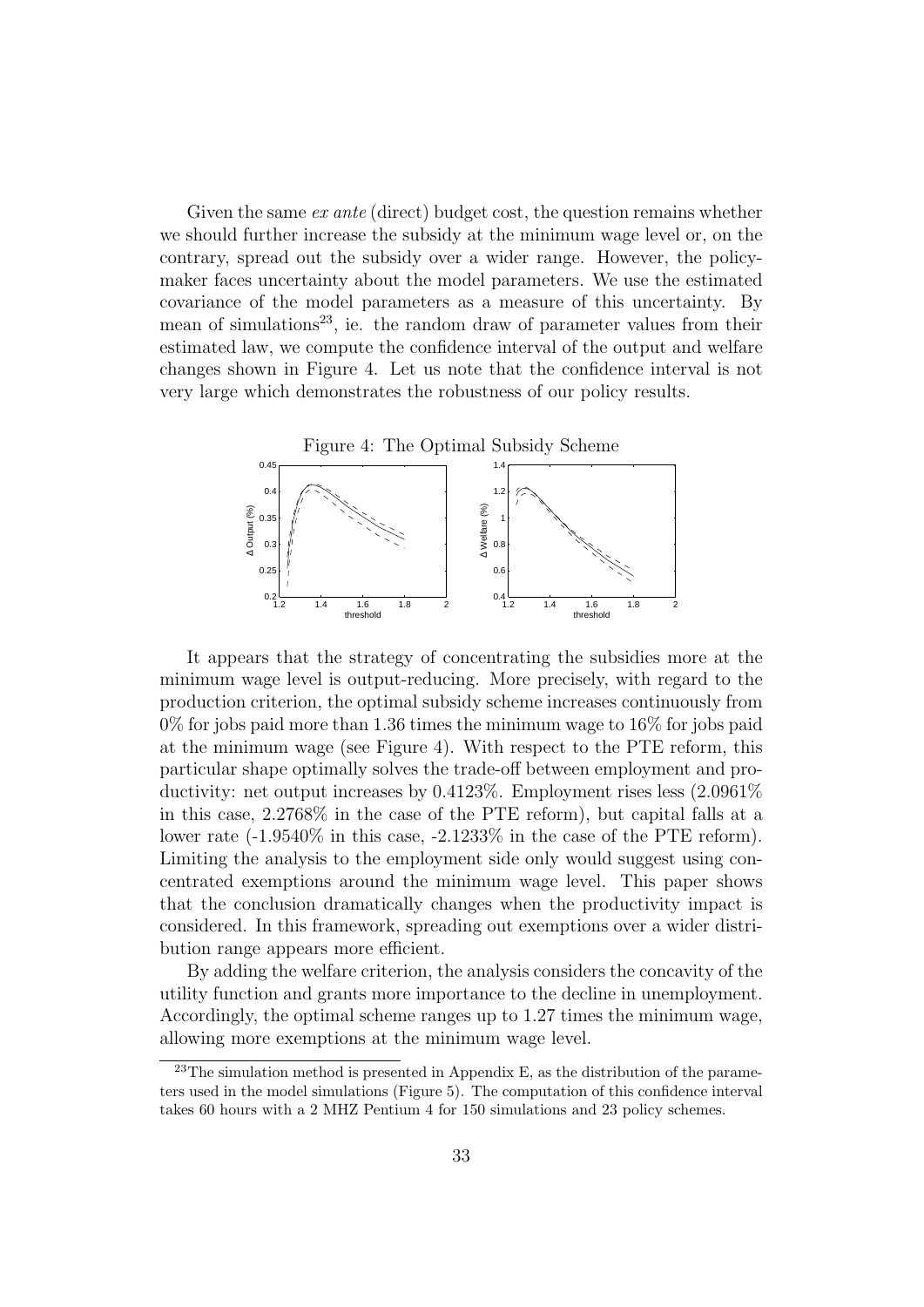Given the same ex ante (direct) budget cost, the question remains whether we should further increase the subsidy at the minimum wage level or, on the contrary, spread out the subsidy over a wider range. However, the policymaker faces uncertainty about the model parameters. We use the estimated covariance of the model parameters as a measure of this uncertainty. By mean of simulations<sup>23</sup>, ie. the random draw of parameter values from their estimated law, we compute the confidence interval of the output and welfare changes shown in Figure 4. Let us note that the confidence interval is not very large which demonstrates the robustness of our policy results.



It appears that the strategy of concentrating the subsidies more at the minimum wage level is output-reducing. More precisely, with regard to the production criterion, the optimal subsidy scheme increases continuously from  $0\%$  for jobs paid more than 1.36 times the minimum wage to  $16\%$  for jobs paid at the minimum wage (see Figure 4). With respect to the PTE reform, this particular shape optimally solves the trade-off between employment and productivity: net output increases by 0.4123%. Employment rises less (2.0961% in this case, 2.2768% in the case of the PTE reform), but capital falls at a lower rate (-1.9540% in this case, -2.1233% in the case of the PTE reform). Limiting the analysis to the employment side only would suggest using concentrated exemptions around the minimum wage level. This paper shows that the conclusion dramatically changes when the productivity impact is considered. In this framework, spreading out exemptions over a wider distribution range appears more efficient.

By adding the welfare criterion, the analysis considers the concavity of the utility function and grants more importance to the decline in unemployment. Accordingly, the optimal scheme ranges up to 1.27 times the minimum wage, allowing more exemptions at the minimum wage level.

<sup>&</sup>lt;sup>23</sup>The simulation method is presented in Appendix E, as the distribution of the parameters used in the model simulations (Figure 5). The computation of this confidence interval takes 60 hours with a 2 MHZ Pentium 4 for 150 simulations and 23 policy schemes.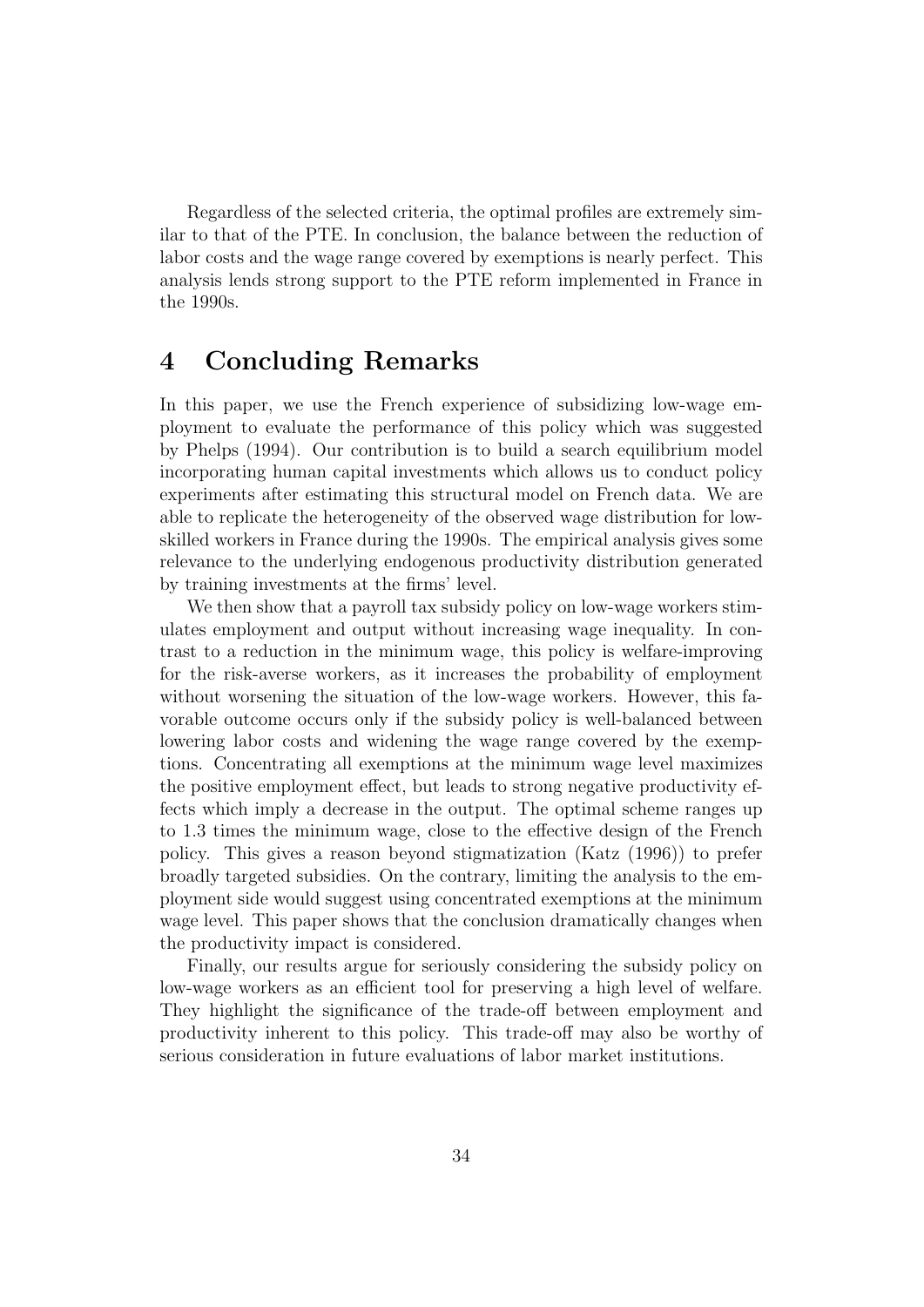Regardless of the selected criteria, the optimal profiles are extremely similar to that of the PTE. In conclusion, the balance between the reduction of labor costs and the wage range covered by exemptions is nearly perfect. This analysis lends strong support to the PTE reform implemented in France in the 1990s.

### 4 Concluding Remarks

In this paper, we use the French experience of subsidizing low-wage employment to evaluate the performance of this policy which was suggested by Phelps (1994). Our contribution is to build a search equilibrium model incorporating human capital investments which allows us to conduct policy experiments after estimating this structural model on French data. We are able to replicate the heterogeneity of the observed wage distribution for lowskilled workers in France during the 1990s. The empirical analysis gives some relevance to the underlying endogenous productivity distribution generated by training investments at the firms' level.

We then show that a payroll tax subsidy policy on low-wage workers stimulates employment and output without increasing wage inequality. In contrast to a reduction in the minimum wage, this policy is welfare-improving for the risk-averse workers, as it increases the probability of employment without worsening the situation of the low-wage workers. However, this favorable outcome occurs only if the subsidy policy is well-balanced between lowering labor costs and widening the wage range covered by the exemptions. Concentrating all exemptions at the minimum wage level maximizes the positive employment effect, but leads to strong negative productivity effects which imply a decrease in the output. The optimal scheme ranges up to 1.3 times the minimum wage, close to the effective design of the French policy. This gives a reason beyond stigmatization (Katz (1996)) to prefer broadly targeted subsidies. On the contrary, limiting the analysis to the employment side would suggest using concentrated exemptions at the minimum wage level. This paper shows that the conclusion dramatically changes when the productivity impact is considered.

Finally, our results argue for seriously considering the subsidy policy on low-wage workers as an efficient tool for preserving a high level of welfare. They highlight the significance of the trade-off between employment and productivity inherent to this policy. This trade-off may also be worthy of serious consideration in future evaluations of labor market institutions.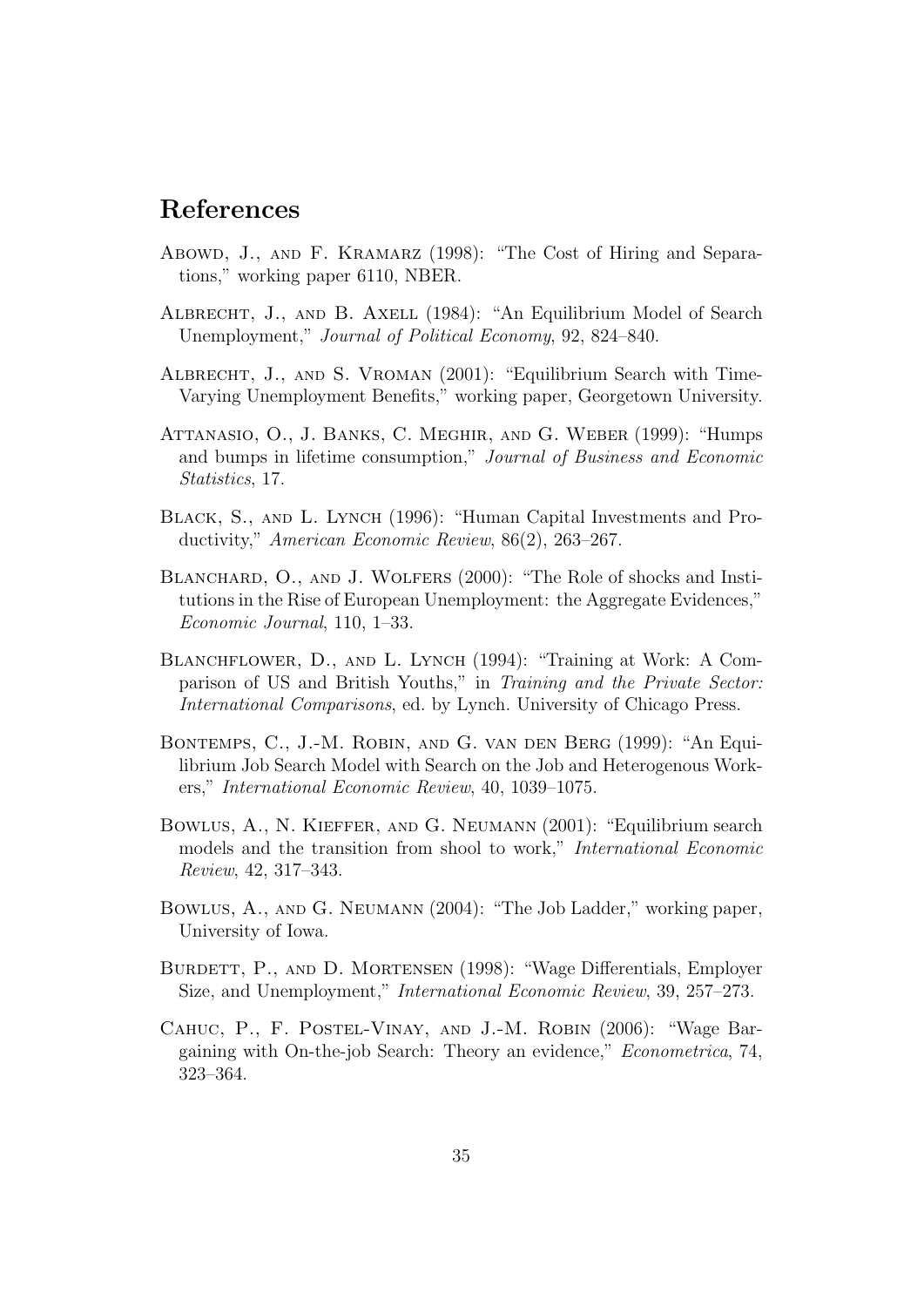## References

- Abowd, J., AND F. KRAMARZ (1998): "The Cost of Hiring and Separations," working paper 6110, NBER.
- Albrecht, J., and B. Axell (1984): "An Equilibrium Model of Search Unemployment," Journal of Political Economy, 92, 824–840.
- Albrecht, J., and S. Vroman (2001): "Equilibrium Search with Time-Varying Unemployment Benefits," working paper, Georgetown University.
- Attanasio, O., J. Banks, C. Meghir, and G. Weber (1999): "Humps and bumps in lifetime consumption," Journal of Business and Economic Statistics, 17.
- Black, S., and L. Lynch (1996): "Human Capital Investments and Productivity," American Economic Review, 86(2), 263–267.
- BLANCHARD, O., AND J. WOLFERS (2000): "The Role of shocks and Institutions in the Rise of European Unemployment: the Aggregate Evidences," Economic Journal, 110, 1–33.
- Blanchflower, D., and L. Lynch (1994): "Training at Work: A Comparison of US and British Youths," in Training and the Private Sector: International Comparisons, ed. by Lynch. University of Chicago Press.
- Bontemps, C., J.-M. Robin, and G. van den Berg (1999): "An Equilibrium Job Search Model with Search on the Job and Heterogenous Workers," International Economic Review, 40, 1039–1075.
- Bowlus, A., N. Kieffer, and G. Neumann (2001): "Equilibrium search models and the transition from shool to work," International Economic Review, 42, 317–343.
- Bowlus, A., and G. Neumann (2004): "The Job Ladder," working paper, University of Iowa.
- Burdett, P., and D. Mortensen (1998): "Wage Differentials, Employer Size, and Unemployment," International Economic Review, 39, 257–273.
- Cahuc, P., F. Postel-Vinay, and J.-M. Robin (2006): "Wage Bargaining with On-the-job Search: Theory an evidence," Econometrica, 74, 323–364.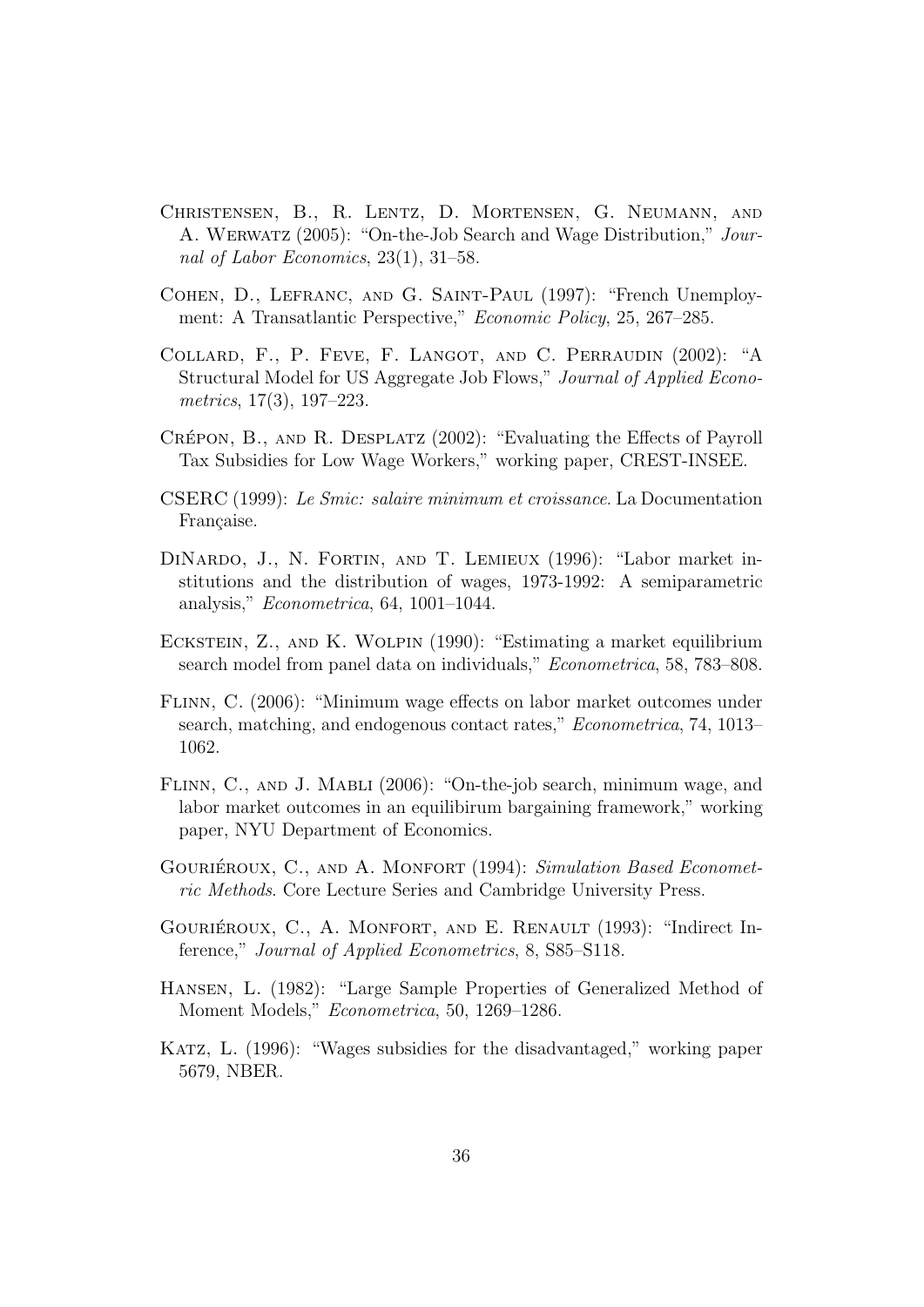- Christensen, B., R. Lentz, D. Mortensen, G. Neumann, and A. Werwatz (2005): "On-the-Job Search and Wage Distribution," Journal of Labor Economics, 23(1), 31–58.
- Cohen, D., Lefranc, and G. Saint-Paul (1997): "French Unemployment: A Transatlantic Perspective," Economic Policy, 25, 267–285.
- Collard, F., P. Feve, F. Langot, and C. Perraudin (2002): "A Structural Model for US Aggregate Job Flows," Journal of Applied Econometrics, 17(3), 197–223.
- CRÉPON, B., AND R. DESPLATZ  $(2002)$ : "Evaluating the Effects of Payroll Tax Subsidies for Low Wage Workers," working paper, CREST-INSEE.
- CSERC (1999): Le Smic: salaire minimum et croissance. La Documentation Française.
- DiNardo, J., N. Fortin, and T. Lemieux (1996): "Labor market institutions and the distribution of wages, 1973-1992: A semiparametric analysis," Econometrica, 64, 1001–1044.
- Eckstein, Z., and K. Wolpin (1990): "Estimating a market equilibrium search model from panel data on individuals," Econometrica, 58, 783–808.
- Flinn, C. (2006): "Minimum wage effects on labor market outcomes under search, matching, and endogenous contact rates," Econometrica, 74, 1013– 1062.
- Flinn, C., and J. Mabli (2006): "On-the-job search, minimum wage, and labor market outcomes in an equilibirum bargaining framework," working paper, NYU Department of Economics.
- GOURIÉROUX, C., AND A. MONFORT (1994): Simulation Based Econometric Methods. Core Lecture Series and Cambridge University Press.
- GOURIÉROUX, C., A. MONFORT, AND E. RENAULT (1993): "Indirect Inference," Journal of Applied Econometrics, 8, S85–S118.
- Hansen, L. (1982): "Large Sample Properties of Generalized Method of Moment Models," Econometrica, 50, 1269–1286.
- KATZ, L. (1996): "Wages subsidies for the disadvantaged," working paper 5679, NBER.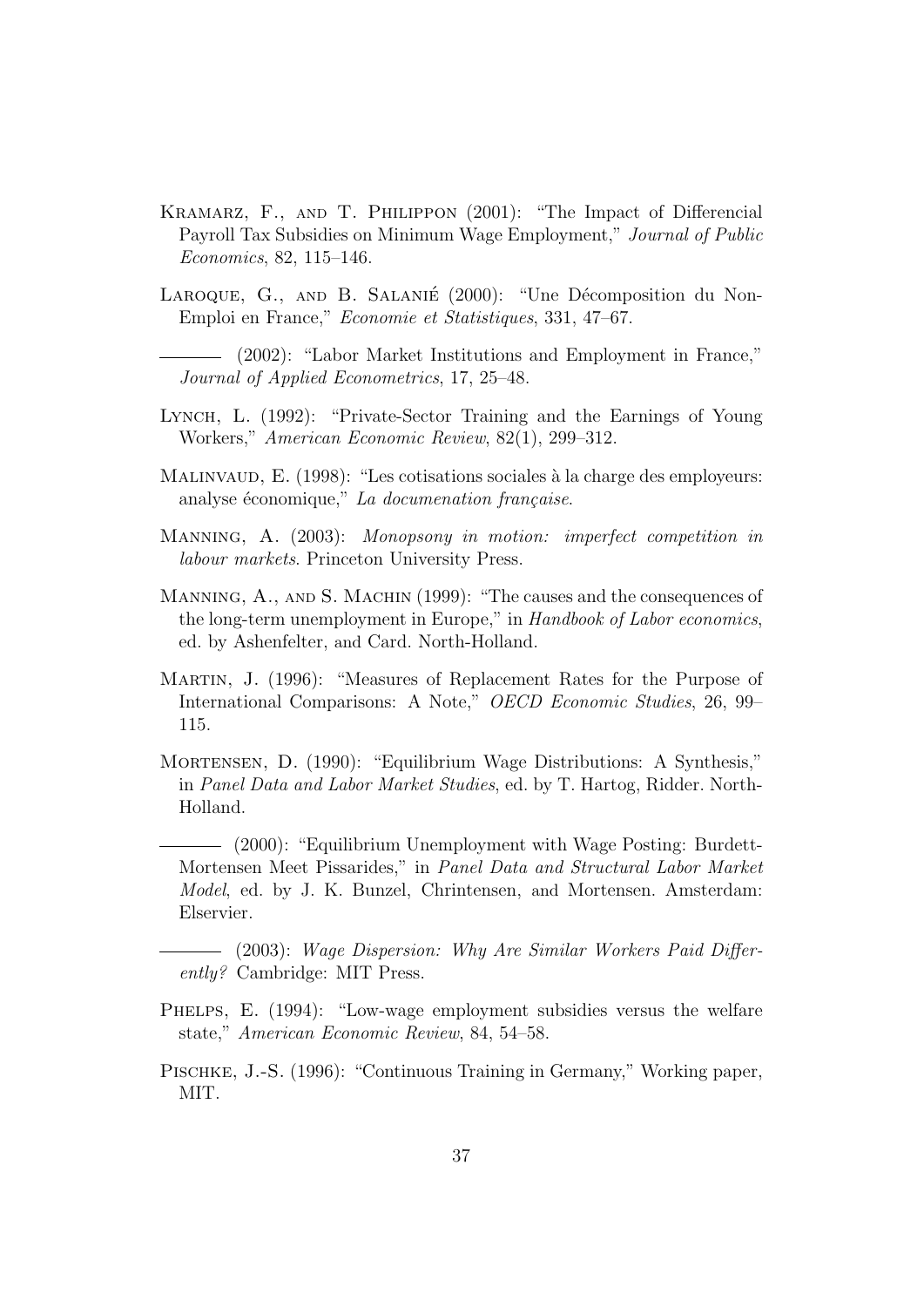- Kramarz, F., and T. Philippon (2001): "The Impact of Differencial Payroll Tax Subsidies on Minimum Wage Employment," Journal of Public Economics, 82, 115–146.
- LAROQUE, G., AND B. SALANIÉ (2000): "Une Décomposition du Non-Emploi en France," Economie et Statistiques, 331, 47–67.

(2002): "Labor Market Institutions and Employment in France," Journal of Applied Econometrics, 17, 25–48.

- Lynch, L. (1992): "Private-Sector Training and the Earnings of Young Workers," American Economic Review, 82(1), 299–312.
- MALINVAUD, E. (1998): "Les cotisations sociales à la charge des employeurs: analyse économique," La documenation française.
- Manning, A. (2003): Monopsony in motion: imperfect competition in labour markets. Princeton University Press.
- MANNING, A., AND S. MACHIN (1999): "The causes and the consequences of the long-term unemployment in Europe," in Handbook of Labor economics, ed. by Ashenfelter, and Card. North-Holland.
- Martin, J. (1996): "Measures of Replacement Rates for the Purpose of International Comparisons: A Note," OECD Economic Studies, 26, 99– 115.
- Mortensen, D. (1990): "Equilibrium Wage Distributions: A Synthesis," in Panel Data and Labor Market Studies, ed. by T. Hartog, Ridder. North-Holland.
- (2000): "Equilibrium Unemployment with Wage Posting: Burdett-Mortensen Meet Pissarides," in Panel Data and Structural Labor Market Model, ed. by J. K. Bunzel, Chrintensen, and Mortensen. Amsterdam: Elservier.

(2003): Wage Dispersion: Why Are Similar Workers Paid Differently? Cambridge: MIT Press.

- PHELPS, E. (1994): "Low-wage employment subsidies versus the welfare state," American Economic Review, 84, 54–58.
- Pischke, J.-S. (1996): "Continuous Training in Germany," Working paper, MIT.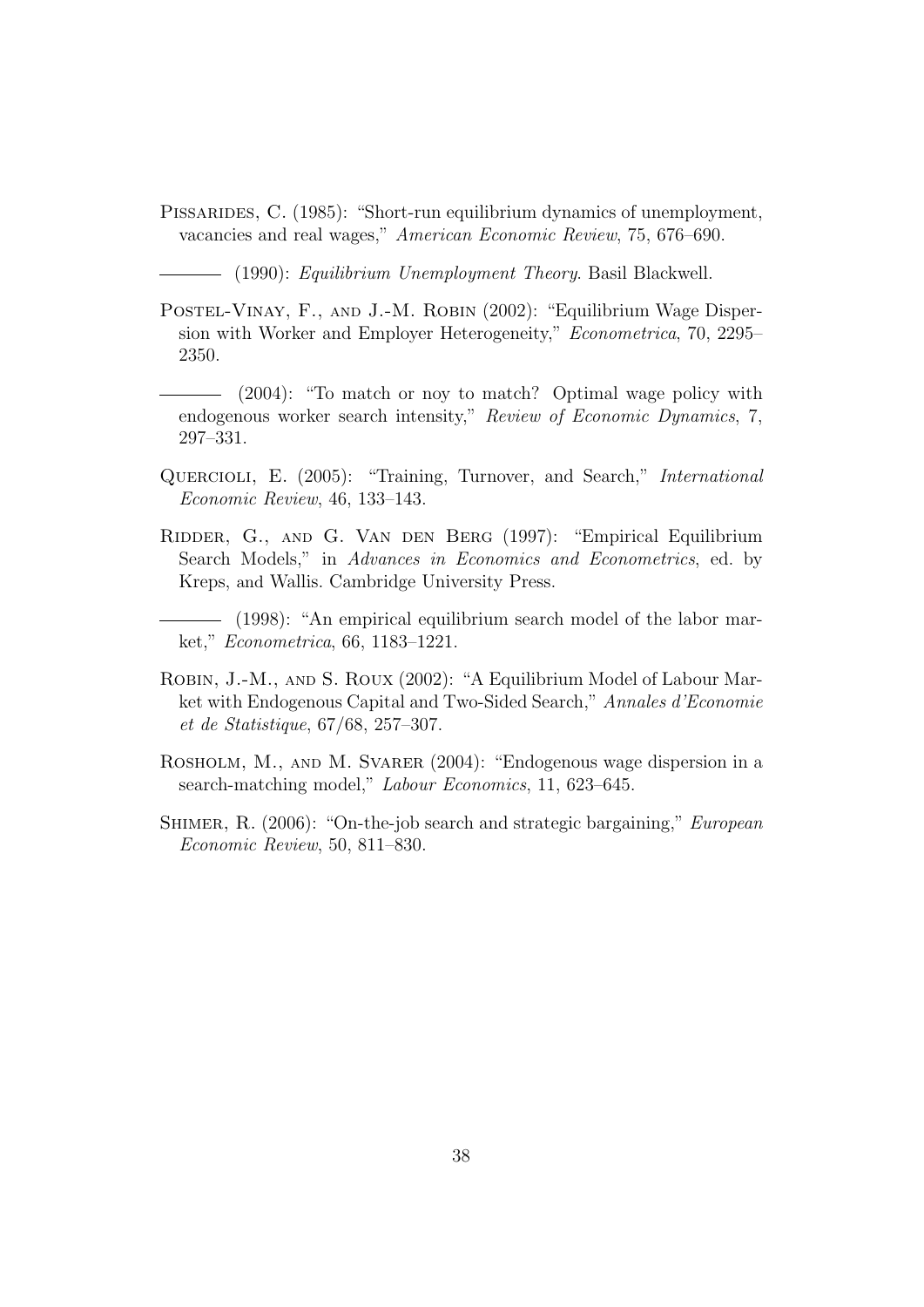Pissarides, C. (1985): "Short-run equilibrium dynamics of unemployment, vacancies and real wages," American Economic Review, 75, 676–690.

(1990): Equilibrium Unemployment Theory. Basil Blackwell.

POSTEL-VINAY, F., AND J.-M. ROBIN (2002): "Equilibrium Wage Dispersion with Worker and Employer Heterogeneity," Econometrica, 70, 2295– 2350.

- (2004): "To match or noy to match? Optimal wage policy with endogenous worker search intensity," Review of Economic Dynamics, 7, 297–331.
- Quercioli, E. (2005): "Training, Turnover, and Search," International Economic Review, 46, 133–143.
- RIDDER, G., AND G. VAN DEN BERG (1997): "Empirical Equilibrium Search Models," in Advances in Economics and Econometrics, ed. by Kreps, and Wallis. Cambridge University Press.
- (1998): "An empirical equilibrium search model of the labor market," Econometrica, 66, 1183–1221.
- ROBIN, J.-M., AND S. ROUX (2002): "A Equilibrium Model of Labour Market with Endogenous Capital and Two-Sided Search," Annales d'Economie et de Statistique, 67/68, 257–307.
- ROSHOLM, M., AND M. SVARER (2004): "Endogenous wage dispersion in a search-matching model," Labour Economics, 11, 623–645.
- SHIMER, R. (2006): "On-the-job search and strategic bargaining," *European* Economic Review, 50, 811–830.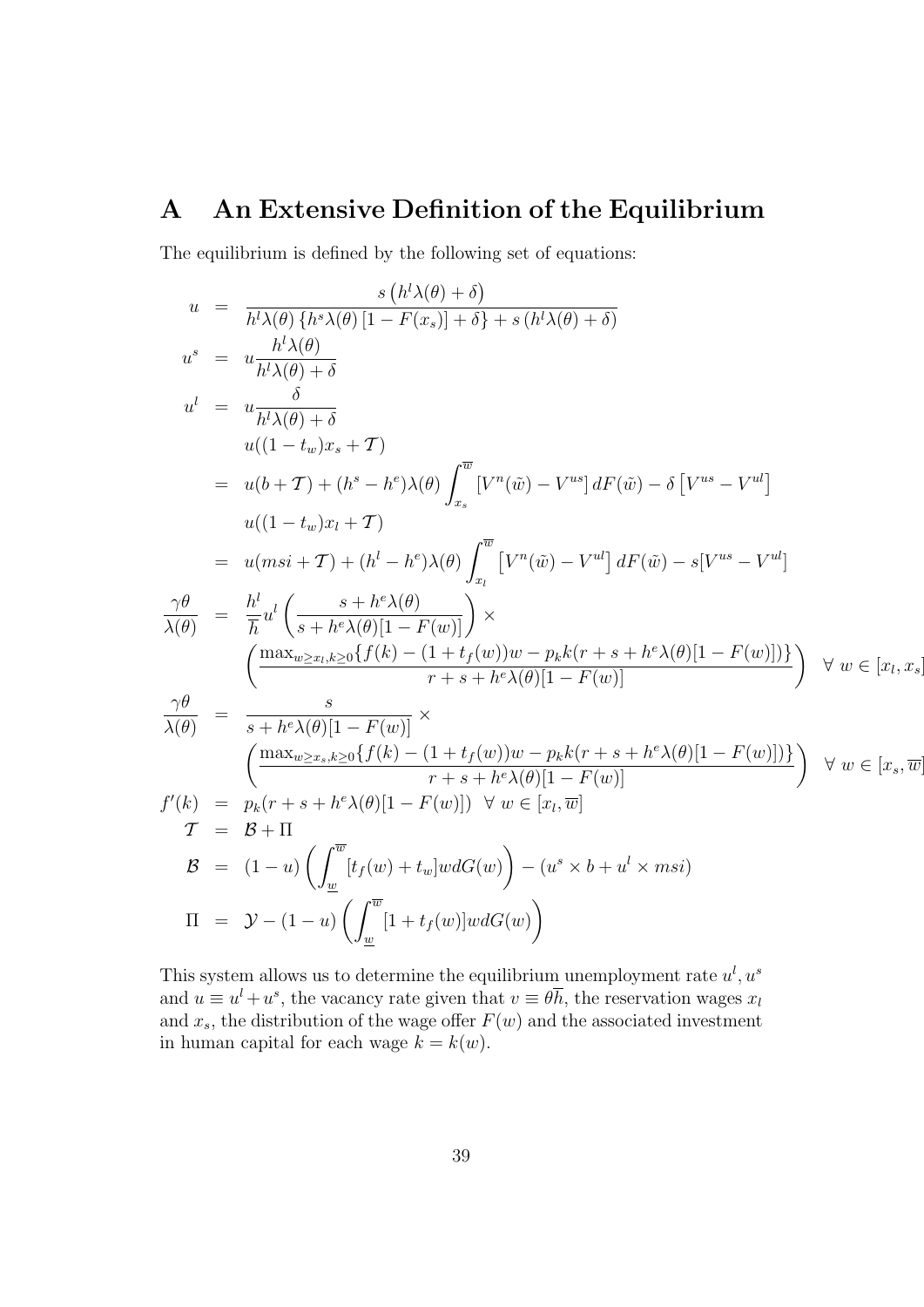## A An Extensive Definition of the Equilibrium

The equilibrium is defined by the following set of equations:

$$
u = \frac{s(h^l \lambda(\theta) + \delta)}{h^l \lambda(\theta) \{h^s \lambda(\theta) [1 - F(x_s)] + \delta\} + s(h^l \lambda(\theta) + \delta)}
$$
  
\n
$$
u^s = u \frac{h^l \lambda(\theta)}{h^l \lambda(\theta) + \delta}
$$
  
\n
$$
u^l = u \frac{\delta}{h^l \lambda(\theta) + \delta}
$$
  
\n
$$
u(l - t_w)x_s + T)
$$
  
\n
$$
= u(b + T) + (h^s - h^e) \lambda(\theta) \int_{x_s}^{\overline{w}} [V^n(\tilde{w}) - V^{us}] dF(\tilde{w}) - \delta [V^{us} - V^{ul}]
$$
  
\n
$$
u((1 - t_w)x_l + T)
$$
  
\n
$$
= u(msi + T) + (h^l - h^e) \lambda(\theta) \int_{x_l}^{\overline{w}} [V^n(\tilde{w}) - V^{ul}] dF(\tilde{w}) - s[V^{us} - V^{ul}]
$$
  
\n
$$
\frac{\gamma \theta}{\lambda(\theta)} = \frac{h^l}{\overline{h}} u^l \left( \frac{s + h^e \lambda(\theta)}{s + h^e \lambda(\theta)[1 - F(w)]} \right) \times \left( \frac{\max_{w \ge x_l, k \ge 0} \{f(k) - (1 + t_f(w))w - p_k k(r + s + h^e \lambda(\theta)[1 - F(w)])\}}{r + s + h^e \lambda(\theta)[1 - F(w)]} \right) \forall w \in [x_l, x_s]
$$
  
\n
$$
\frac{\gamma \theta}{\lambda(\theta)} = \frac{s}{s + h^e \lambda(\theta)[1 - F(w)]} \times \left( \frac{\max_{w \ge x_s, k \ge 0} \{f(k) - (1 + t_f(w))w - p_k k(r + s + h^e \lambda(\theta)[1 - F(w)])\}}{r + s + h^e \lambda(\theta)[1 - F(w)]} \right) \forall w \in [x_s, \overline{w}]
$$
  
\n
$$
f'(k) = p_k(r + s + h^e \lambda(\theta)[1 - F(w)]) \forall w \in [x_l, \overline{w}]
$$
  
\n
$$
T = B + \Pi
$$
  
\n
$$
B = (1 - u) \left( \int_{\underline{w}}^{\overline{w}} [t_f(w) + t_w
$$

This system allows us to determine the equilibrium unemployment rate  $u^l, u^s$ and  $u \equiv u^l + u^s$ , the vacancy rate given that  $v \equiv \theta \overline{h}$ , the reservation wages  $x_l$ and  $x_s$ , the distribution of the wage offer  $F(w)$  and the associated investment in human capital for each wage  $k = k(w)$ .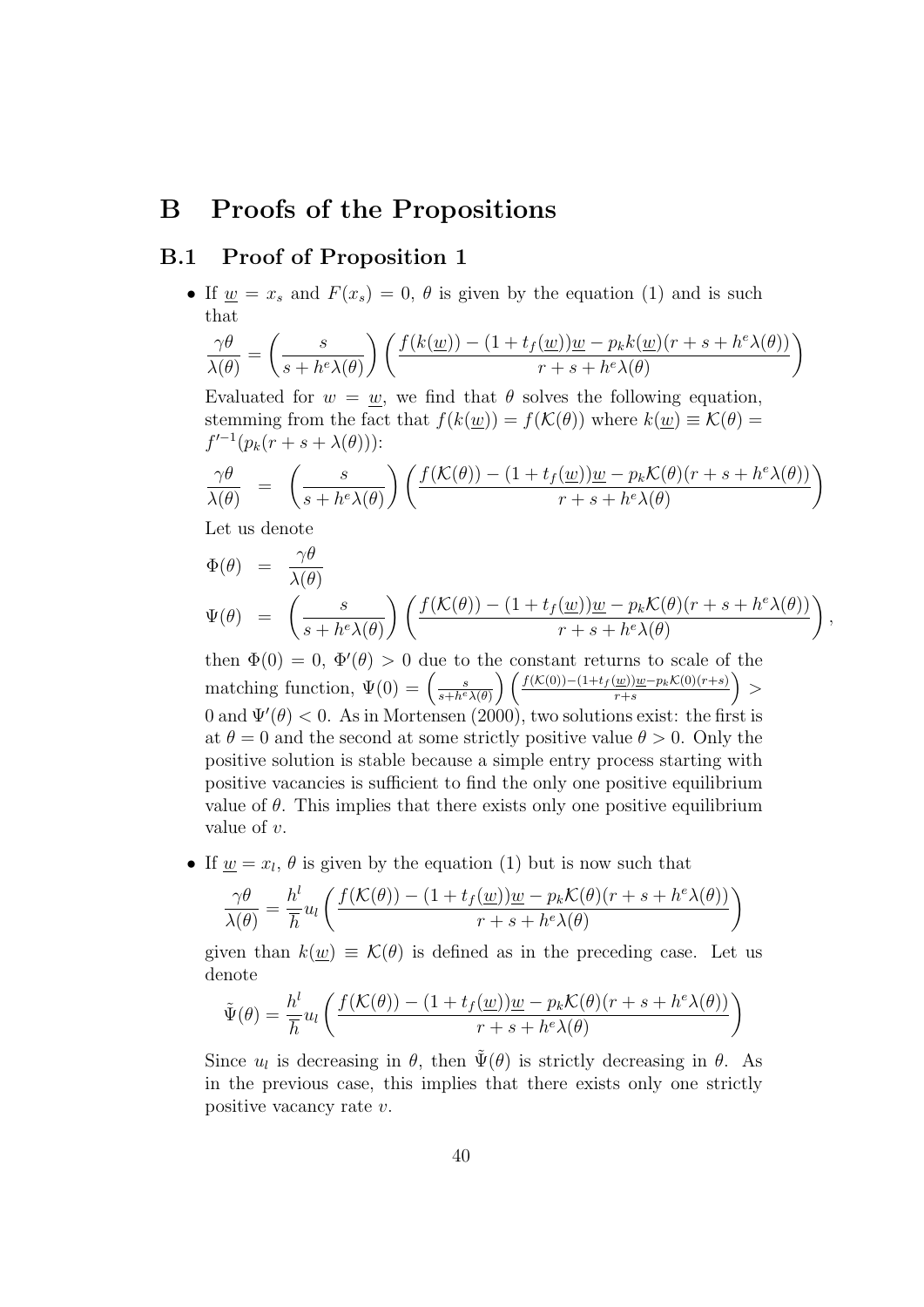## B Proofs of the Propositions

### B.1 Proof of Proposition 1

• If  $\underline{w} = x_s$  and  $F(x_s) = 0$ ,  $\theta$  is given by the equation (1) and is such that

$$
\frac{\gamma\theta}{\lambda(\theta)} = \left(\frac{s}{s + h^e\lambda(\theta)}\right) \left(\frac{f(k(\underline{w})) - (1 + t_f(\underline{w}))\underline{w} - p_k k(\underline{w})(r + s + h^e\lambda(\theta))}{r + s + h^e\lambda(\theta)}\right)
$$

Evaluated for  $w = w$ , we find that  $\theta$  solves the following equation, stemming from the fact that  $f(k(w)) = f(\mathcal{K}(\theta))$  where  $k(w) \equiv \mathcal{K}(\theta) =$  $f'^{-1}(p_k(r+s+\lambda(\theta)))$ :

$$
\frac{\gamma\theta}{\lambda(\theta)} = \left(\frac{s}{s + h^e\lambda(\theta)}\right) \left(\frac{f(\mathcal{K}(\theta)) - (1 + t_f(\underline{w}))\underline{w} - p_k\mathcal{K}(\theta)(r + s + h^e\lambda(\theta))}{r + s + h^e\lambda(\theta)}\right)
$$

Let us denote

$$
\Phi(\theta) = \frac{\gamma \theta}{\lambda(\theta)} \n\Psi(\theta) = \left(\frac{s}{s + h^e \lambda(\theta)}\right) \left(\frac{f(\mathcal{K}(\theta)) - (1 + t_f(\underline{w}))\underline{w} - p_k \mathcal{K}(\theta)(r + s + h^e \lambda(\theta))}{r + s + h^e \lambda(\theta)}\right),
$$

then  $\Phi(0) = 0$ ,  $\Phi'(\theta) > 0$  due to the constant returns to scale of the matching function,  $\Psi(0) = \left(\frac{s}{s + h^e}\right)$  $s+h^e\lambda(\theta)$  $\int$ f(K(0))−(1+t<sub>f</sub>(w))w−p<sub>k</sub>K(0)(r+s)  $r+s$  $)$  > 0 and  $\Psi'(\theta) < 0$ . As in Mortensen (2000), two solutions exist: the first is at  $\theta = 0$  and the second at some strictly positive value  $\theta > 0$ . Only the positive solution is stable because a simple entry process starting with positive vacancies is sufficient to find the only one positive equilibrium value of  $\theta$ . This implies that there exists only one positive equilibrium value of v.

• If  $\underline{w} = x_l$ ,  $\theta$  is given by the equation (1) but is now such that

$$
\frac{\gamma\theta}{\lambda(\theta)} = \frac{h^l}{\overline{h}}u_l\left(\frac{f(\mathcal{K}(\theta)) - (1 + t_f(\underline{w}))\underline{w} - p_k\mathcal{K}(\theta)(r+s+h^e\lambda(\theta))}{r+s+h^e\lambda(\theta)}\right)
$$

given than  $k(\underline{w}) \equiv \mathcal{K}(\theta)$  is defined as in the preceding case. Let us denote

$$
\tilde{\Psi}(\theta) = \frac{h^l}{\overline{h}} u_l \left( \frac{f(\mathcal{K}(\theta)) - (1 + t_f(\underline{w}))\underline{w} - p_k \mathcal{K}(\theta)(r + s + h^e \lambda(\theta))}{r + s + h^e \lambda(\theta)} \right)
$$

Since  $u_l$  is decreasing in  $\theta$ , then  $\tilde{\Psi}(\theta)$  is strictly decreasing in  $\theta$ . As in the previous case, this implies that there exists only one strictly positive vacancy rate v.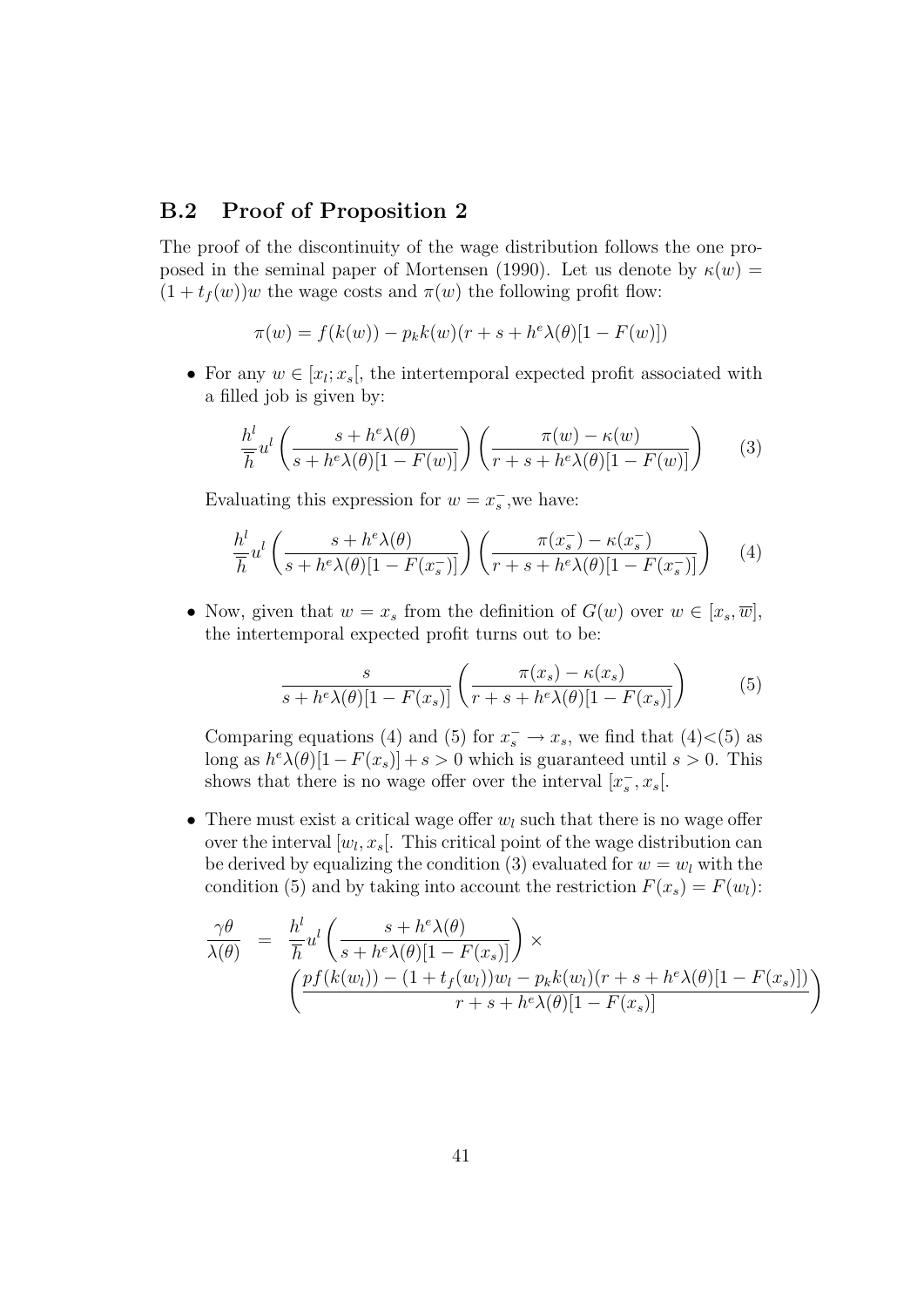### B.2 Proof of Proposition 2

The proof of the discontinuity of the wage distribution follows the one proposed in the seminal paper of Mortensen (1990). Let us denote by  $\kappa(w)$  =  $(1 + t<sub>f</sub>(w))w$  the wage costs and  $\pi(w)$  the following profit flow:

$$
\pi(w) = f(k(w)) - p_k k(w)(r + s + h^e \lambda(\theta)[1 - F(w)])
$$

• For any  $w \in [x_l; x_s]$ , the intertemporal expected profit associated with a filled job is given by:

$$
\frac{h^l}{\overline{h}}u^l\left(\frac{s+h^e\lambda(\theta)}{s+h^e\lambda(\theta)[1-F(w)]}\right)\left(\frac{\pi(w)-\kappa(w)}{r+s+h^e\lambda(\theta)[1-F(w)]}\right) \tag{3}
$$

Evaluating this expression for  $w = x_s^-$ , we have:

$$
\frac{h^l}{\overline{h}}u^l\left(\frac{s+h^e\lambda(\theta)}{s+h^e\lambda(\theta)[1-F(x_s^-)]}\right)\left(\frac{\pi(x_s^-)-\kappa(x_s^-)}{r+s+h^e\lambda(\theta)[1-F(x_s^-)]}\right) \tag{4}
$$

• Now, given that  $w = x_s$  from the definition of  $G(w)$  over  $w \in [x_s, \overline{w}],$ the intertemporal expected profit turns out to be:

$$
\frac{s}{s + h^e \lambda(\theta)[1 - F(x_s)]} \left( \frac{\pi(x_s) - \kappa(x_s)}{r + s + h^e \lambda(\theta)[1 - F(x_s)]} \right) \tag{5}
$$

Comparing equations (4) and (5) for  $x_s^- \to x_s$ , we find that (4)<(5) as long as  $h^e \lambda(\theta) [1 - F(x_s)] + s > 0$  which is guaranteed until  $s > 0$ . This shows that there is no wage offer over the interval  $[x_s^-, x_s]$ .

• There must exist a critical wage offer  $w_l$  such that there is no wage offer over the interval  $[w_l, x_s]$ . This critical point of the wage distribution can be derived by equalizing the condition (3) evaluated for  $w = w_l$  with the condition (5) and by taking into account the restriction  $F(x_s) = F(w_l)$ :

$$
\frac{\gamma \theta}{\lambda(\theta)} = \frac{h^l}{\overline{h}} u^l \left( \frac{s + h^e \lambda(\theta)}{s + h^e \lambda(\theta) [1 - F(x_s)]} \right) \times \left( \frac{pf(k(w_l)) - (1 + t_f(w_l))w_l - p_k k(w_l)(r + s + h^e \lambda(\theta) [1 - F(x_s)])}{r + s + h^e \lambda(\theta) [1 - F(x_s)]} \right)
$$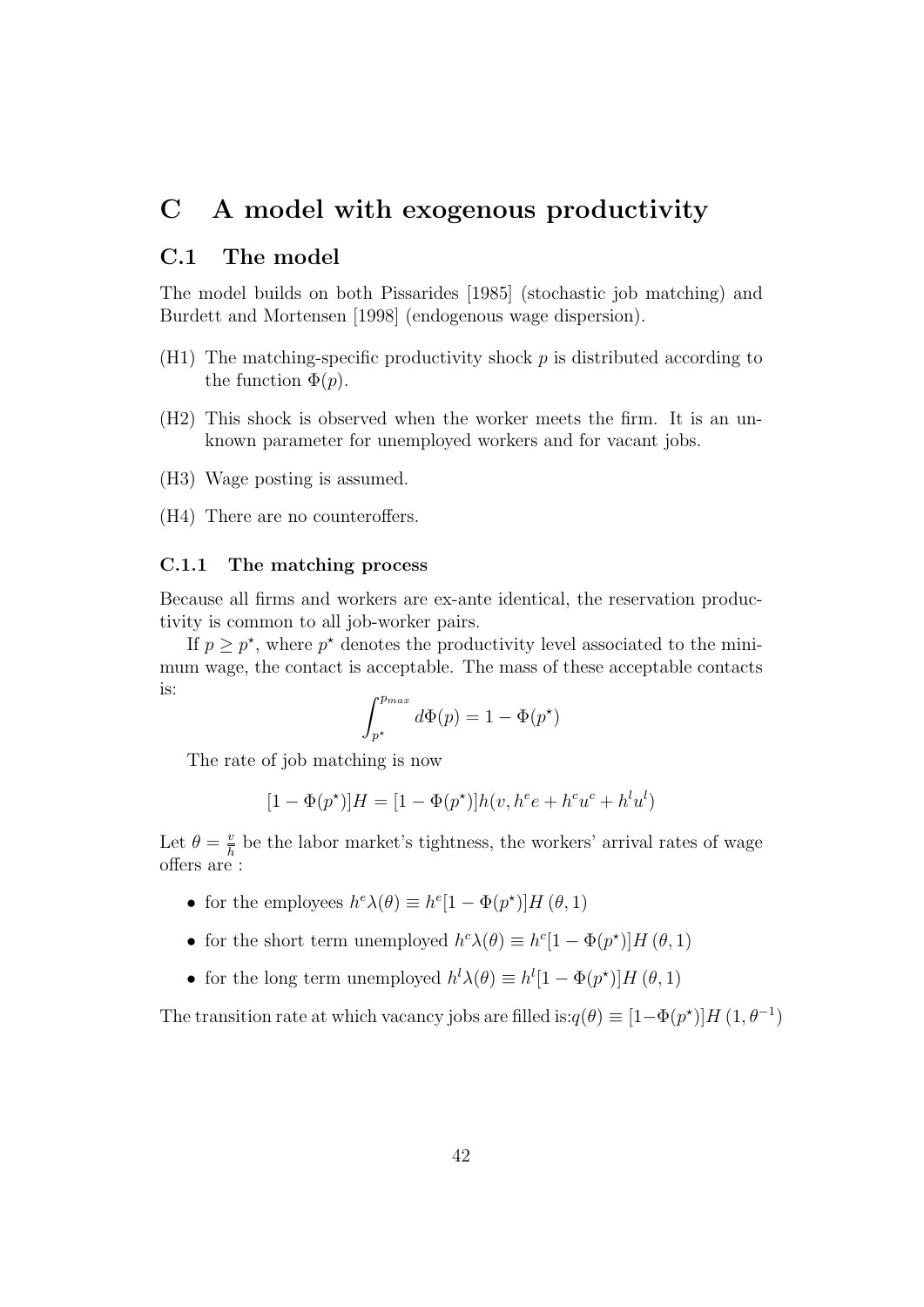## C A model with exogenous productivity

### C.1 The model

The model builds on both Pissarides [1985] (stochastic job matching) and Burdett and Mortensen [1998] (endogenous wage dispersion).

- (H1) The matching-specific productivity shock  $p$  is distributed according to the function  $\Phi(p)$ .
- (H2) This shock is observed when the worker meets the firm. It is an unknown parameter for unemployed workers and for vacant jobs.
- (H3) Wage posting is assumed.
- (H4) There are no counteroffers.

#### C.1.1 The matching process

Because all firms and workers are ex-ante identical, the reservation productivity is common to all job-worker pairs.

If  $p \geq p^*$ , where  $p^*$  denotes the productivity level associated to the minimum wage, the contact is acceptable. The mass of these acceptable contacts is:

$$
\int_{p^*}^{p_{max}} d\Phi(p) = 1 - \Phi(p^*)
$$

The rate of job matching is now

$$
[1 - \Phi(p^*)]H = [1 - \Phi(p^*)]h(v, h^e e + h^c u^c + h^l u^l)
$$

Let  $\theta = \frac{v}{\overline{b}}$  $\frac{v}{h}$  be the labor market's tightness, the workers' arrival rates of wage offers are :

- for the employees  $h^e \lambda(\theta) \equiv h^e [1 \Phi(p^*)] H (\theta, 1)$
- for the short term unemployed  $h^c \lambda(\theta) \equiv h^c [1 \Phi(p^*)] H (\theta, 1)$
- for the long term unemployed  $h^l \lambda(\theta) \equiv h^l [1 \Phi(p^*)] H (\theta, 1)$

The transition rate at which vacancy jobs are filled is: $q(\theta) \equiv [1 - \Phi(p^*)]H(1, \theta^{-1})$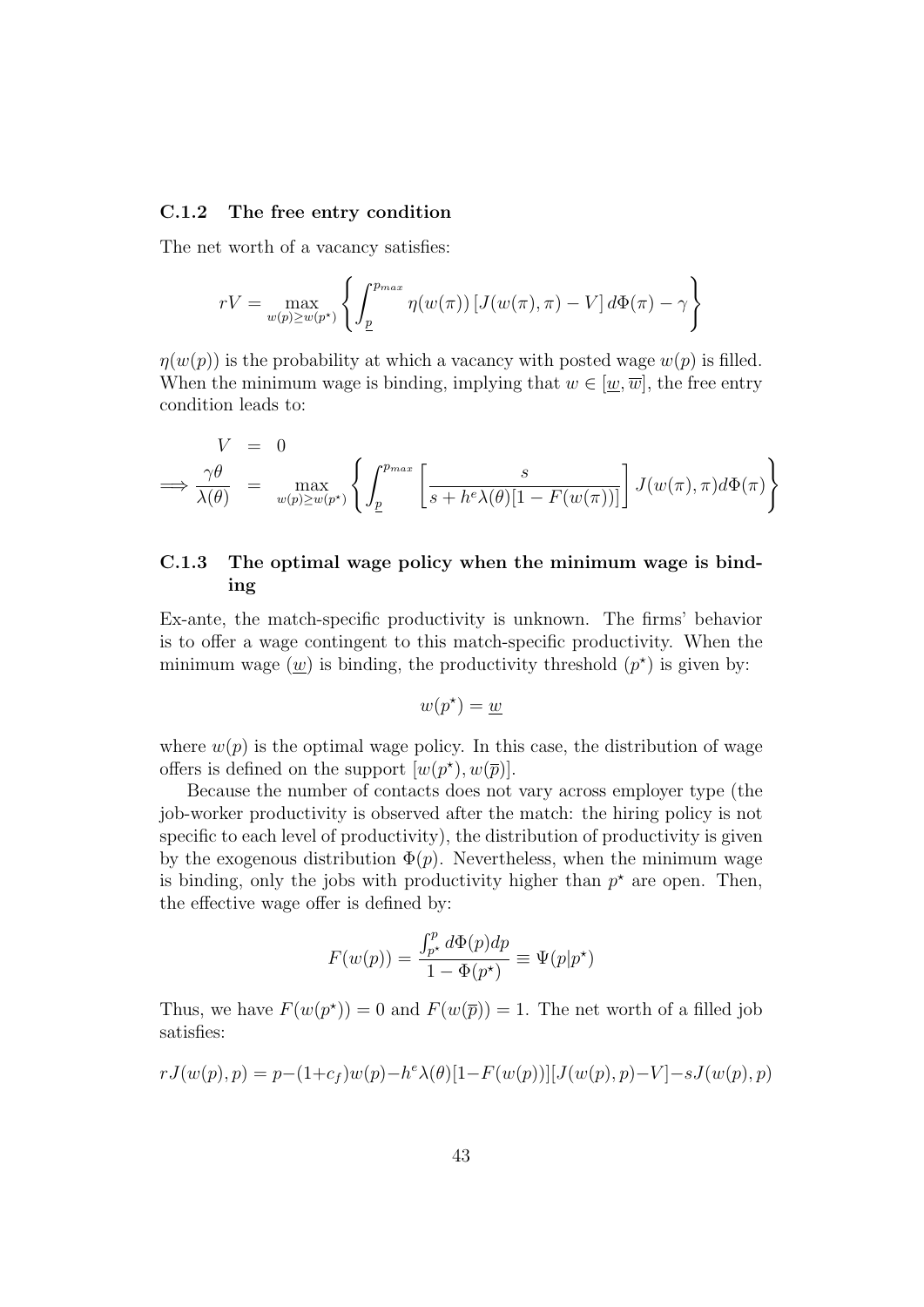#### C.1.2 The free entry condition

The net worth of a vacancy satisfies:

$$
rV = \max_{w(p)\ge w(p^*)}\left\{\int_{\underline{p}}^{p_{max}} \eta(w(\pi)) \left[J(w(\pi), \pi) - V\right] d\Phi(\pi) - \gamma\right\}
$$

 $\eta(w(p))$  is the probability at which a vacancy with posted wage  $w(p)$  is filled. When the minimum wage is binding, implying that  $w \in [w, \overline{w}]$ , the free entry condition leads to:

$$
V = 0
$$
  
\n
$$
\Rightarrow \frac{\gamma \theta}{\lambda(\theta)} = \max_{w(p) \ge w(p^*)} \left\{ \int_{\underline{p}}^{p_{max}} \left[ \frac{s}{s + h^e \lambda(\theta) [1 - F(w(\pi))] } \right] J(w(\pi), \pi) d\Phi(\pi) \right\}
$$

#### C.1.3 The optimal wage policy when the minimum wage is binding

Ex-ante, the match-specific productivity is unknown. The firms' behavior is to offer a wage contingent to this match-specific productivity. When the minimum wage  $(\underline{w})$  is binding, the productivity threshold  $(p^*)$  is given by:

$$
w(p^*) = \underline{w}
$$

where  $w(p)$  is the optimal wage policy. In this case, the distribution of wage offers is defined on the support  $[w(p^*), w(\overline{p})]$ .

Because the number of contacts does not vary across employer type (the job-worker productivity is observed after the match: the hiring policy is not specific to each level of productivity), the distribution of productivity is given by the exogenous distribution  $\Phi(p)$ . Nevertheless, when the minimum wage is binding, only the jobs with productivity higher than  $p^*$  are open. Then, the effective wage offer is defined by:

$$
F(w(p)) = \frac{\int_{p^*}^p d\Phi(p) dp}{1 - \Phi(p^*)} \equiv \Psi(p|p^*)
$$

Thus, we have  $F(w(p^*))=0$  and  $F(w(\overline{p}))=1$ . The net worth of a filled job satisfies:

$$
rJ(w(p),p) = p - (1+c_f)w(p) - h^e \lambda(\theta)[1 - F(w(p))][J(w(p),p) - V] - sJ(w(p),p)
$$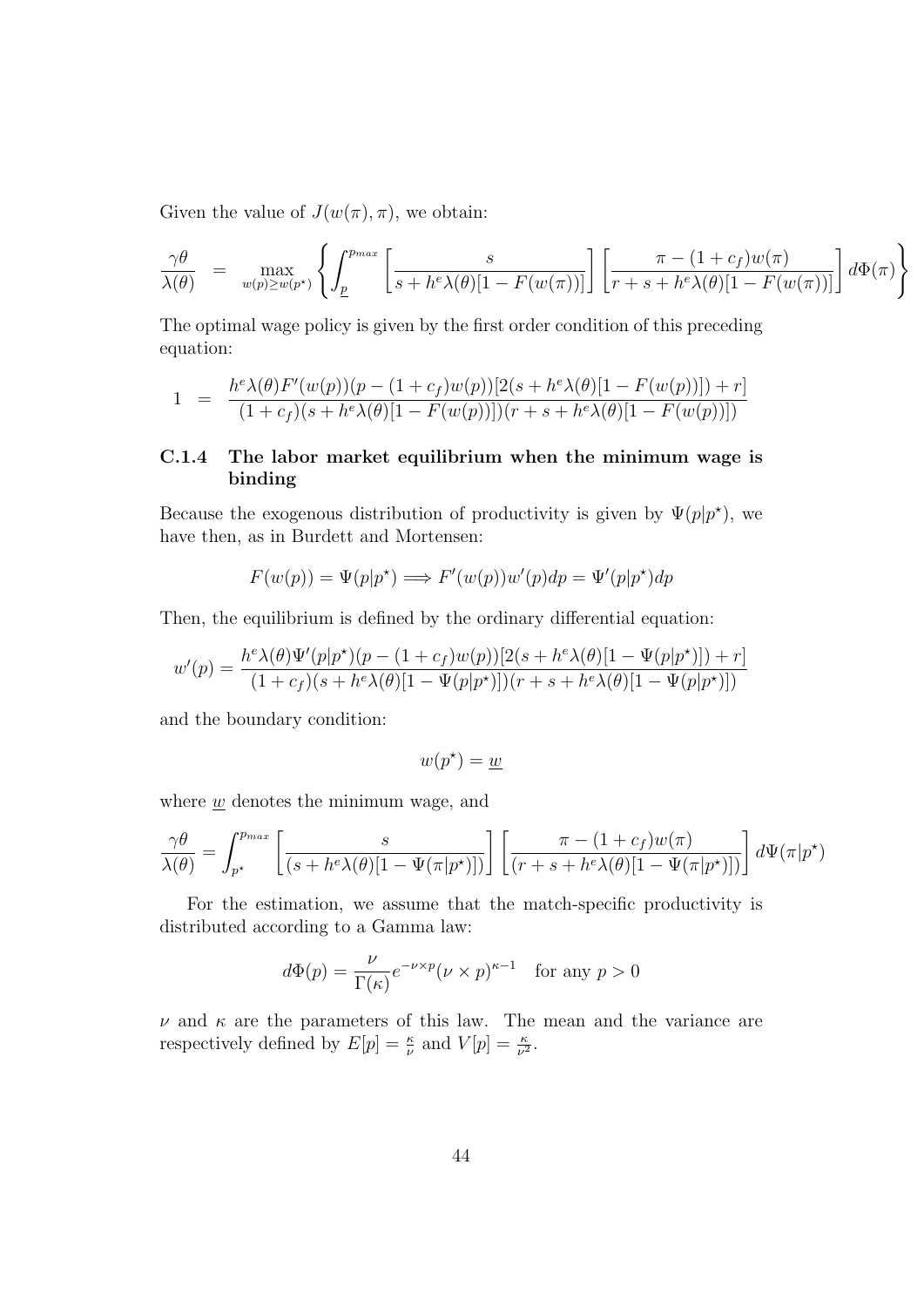Given the value of  $J(w(\pi), \pi)$ , we obtain:

$$
\frac{\gamma\theta}{\lambda(\theta)} = \max_{w(p)\geq w(p^{\star})} \left\{ \int_{\underline{p}}^{p_{max}} \left[ \frac{s}{s + h^e \lambda(\theta) [1 - F(w(\pi))]} \right] \left[ \frac{\pi - (1 + c_f) w(\pi)}{r + s + h^e \lambda(\theta) [1 - F(w(\pi))]} \right] d\Phi(\pi) \right\}
$$

The optimal wage policy is given by the first order condition of this preceding equation:

$$
1 = \frac{h^e \lambda(\theta) F'(w(p))(p - (1 + c_f)w(p))[2(s + h^e \lambda(\theta)[1 - F(w(p))]) + r]}{(1 + c_f)(s + h^e \lambda(\theta)[1 - F(w(p))])(r + s + h^e \lambda(\theta)[1 - F(w(p))])}
$$

#### C.1.4 The labor market equilibrium when the minimum wage is binding

Because the exogenous distribution of productivity is given by  $\Psi(p|p^*)$ , we have then, as in Burdett and Mortensen:

$$
F(w(p)) = \Psi(p|p^\star) \Longrightarrow F'(w(p))w'(p)dp = \Psi'(p|p^\star)dp
$$

Then, the equilibrium is defined by the ordinary differential equation:

$$
w'(p) = \frac{h^e \lambda(\theta) \Psi'(p|p^*) (p - (1 + c_f)w(p)) [2(s + h^e \lambda(\theta)[1 - \Psi(p|p^*)]) + r]}{(1 + c_f)(s + h^e \lambda(\theta)[1 - \Psi(p|p^*)]) (r + s + h^e \lambda(\theta)[1 - \Psi(p|p^*)])}
$$

and the boundary condition:

$$
w(p^*) = \underline{w}
$$

where  $\underline{w}$  denotes the minimum wage, and

$$
\frac{\gamma \theta}{\lambda(\theta)} = \int_{p^{\star}}^{p_{max}} \left[ \frac{s}{(s + h^e \lambda(\theta) [1 - \Psi(\pi | p^{\star})])} \right] \left[ \frac{\pi - (1 + c_f) w(\pi)}{(r + s + h^e \lambda(\theta) [1 - \Psi(\pi | p^{\star})])} \right] d\Psi(\pi | p^{\star})
$$

For the estimation, we assume that the match-specific productivity is distributed according to a Gamma law:

$$
d\Phi(p) = \frac{\nu}{\Gamma(\kappa)} e^{-\nu \times p} (\nu \times p)^{\kappa - 1} \text{ for any } p > 0
$$

 $\nu$  and  $\kappa$  are the parameters of this law. The mean and the variance are respectively defined by  $E[p] = \frac{\kappa}{\nu}$  and  $V[p] = \frac{\kappa}{\nu^2}$ .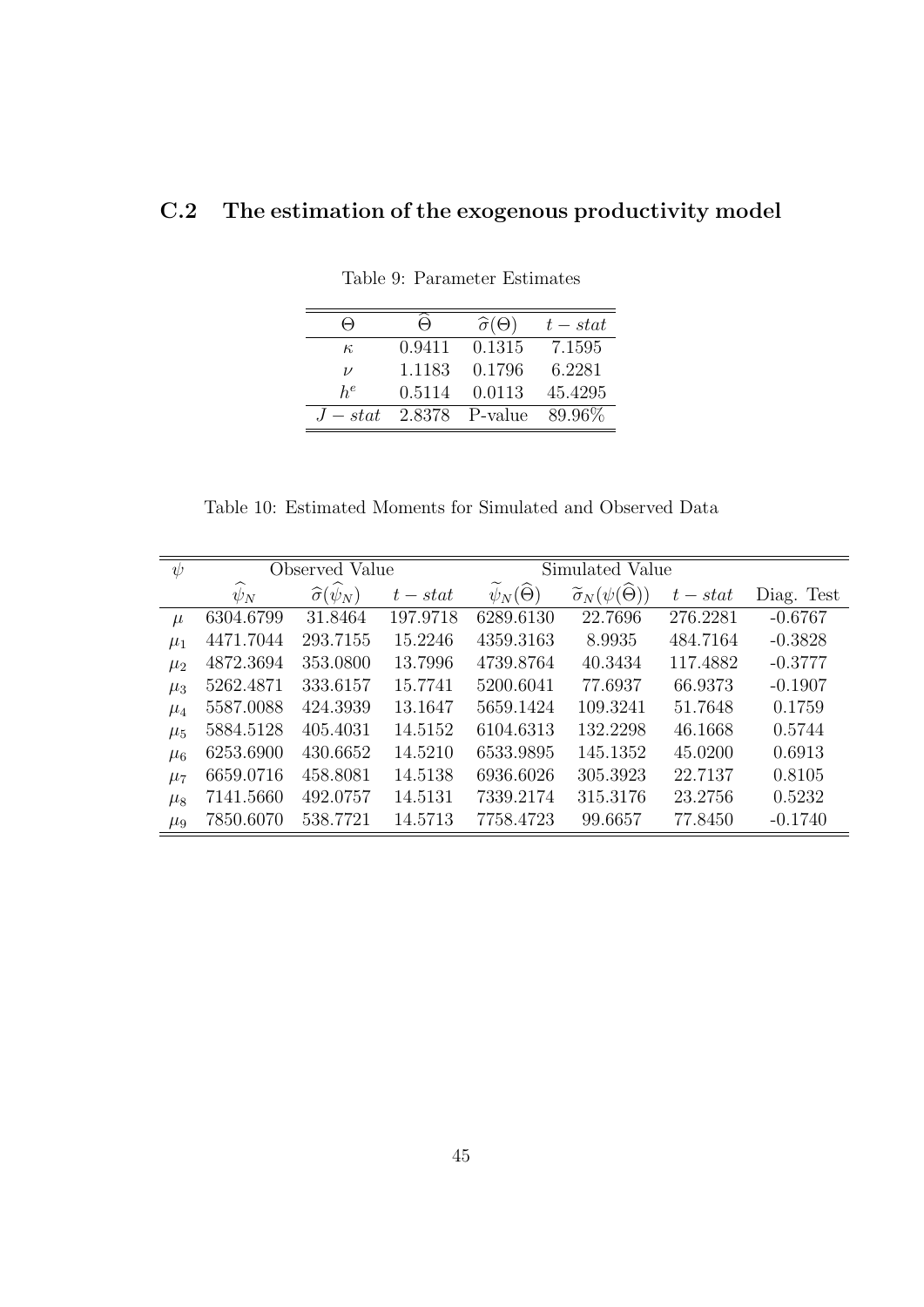## C.2 The estimation of the exogenous productivity model

| (–)                | $\Theta$ | $\widehat{\sigma}(\Theta)$ | $t - stat$ |
|--------------------|----------|----------------------------|------------|
| $\kappa$           | 0.9411   | 0.1315                     | 7.1595     |
| $\boldsymbol{\nu}$ | 1.1183   | 0.1796                     | 6.2281     |
| $h^e$              | 0.5114   | 0.0113                     | 45.4295    |
| $J - stat$         | 2.8378   | P-value                    | 89.96\%    |

Table 9: Parameter Estimates

Table 10: Estimated Moments for Simulated and Observed Data

| $\psi$    | Observed Value |                            |            | Simulated Value            |                                                |            |            |
|-----------|----------------|----------------------------|------------|----------------------------|------------------------------------------------|------------|------------|
|           | $\psi_N$       | $\widehat{\sigma}(\psi_N)$ | $t - stat$ | $\psi_N(\widehat{\Theta})$ | $\widetilde{\sigma}_N(\psi(\widehat{\Theta}))$ | $t - stat$ | Diag. Test |
| $\mu$     | 6304.6799      | 31.8464                    | 197.9718   | 6289.6130                  | 22.7696                                        | 276.2281   | $-0.6767$  |
| $\mu_1$   | 4471.7044      | 293.7155                   | 15.2246    | 4359.3163                  | 8.9935                                         | 484.7164   | $-0.3828$  |
| $\mu_2$   | 4872.3694      | 353.0800                   | 13.7996    | 4739.8764                  | 40.3434                                        | 117.4882   | $-0.3777$  |
| $\mu_3$   | 5262.4871      | 333.6157                   | 15.7741    | 5200.6041                  | 77.6937                                        | 66.9373    | $-0.1907$  |
| $\mu_4$   | 5587.0088      | 424.3939                   | 13.1647    | 5659.1424                  | 109.3241                                       | 51.7648    | 0.1759     |
| $\mu_5$   | 5884.5128      | 405.4031                   | 14.5152    | 6104.6313                  | 132.2298                                       | 46.1668    | 0.5744     |
| $\mu_6$   | 6253.6900      | 430.6652                   | 14.5210    | 6533.9895                  | 145.1352                                       | 45.0200    | 0.6913     |
| $\mu_7$   | 6659.0716      | 458.8081                   | 14.5138    | 6936.6026                  | 305.3923                                       | 22.7137    | 0.8105     |
| $\mu_8$   | 7141.5660      | 492.0757                   | 14.5131    | 7339.2174                  | 315.3176                                       | 23.2756    | 0.5232     |
| $\mu_{9}$ | 7850.6070      | 538.7721                   | 14.5713    | 7758.4723                  | 99.6657                                        | 77.8450    | $-0.1740$  |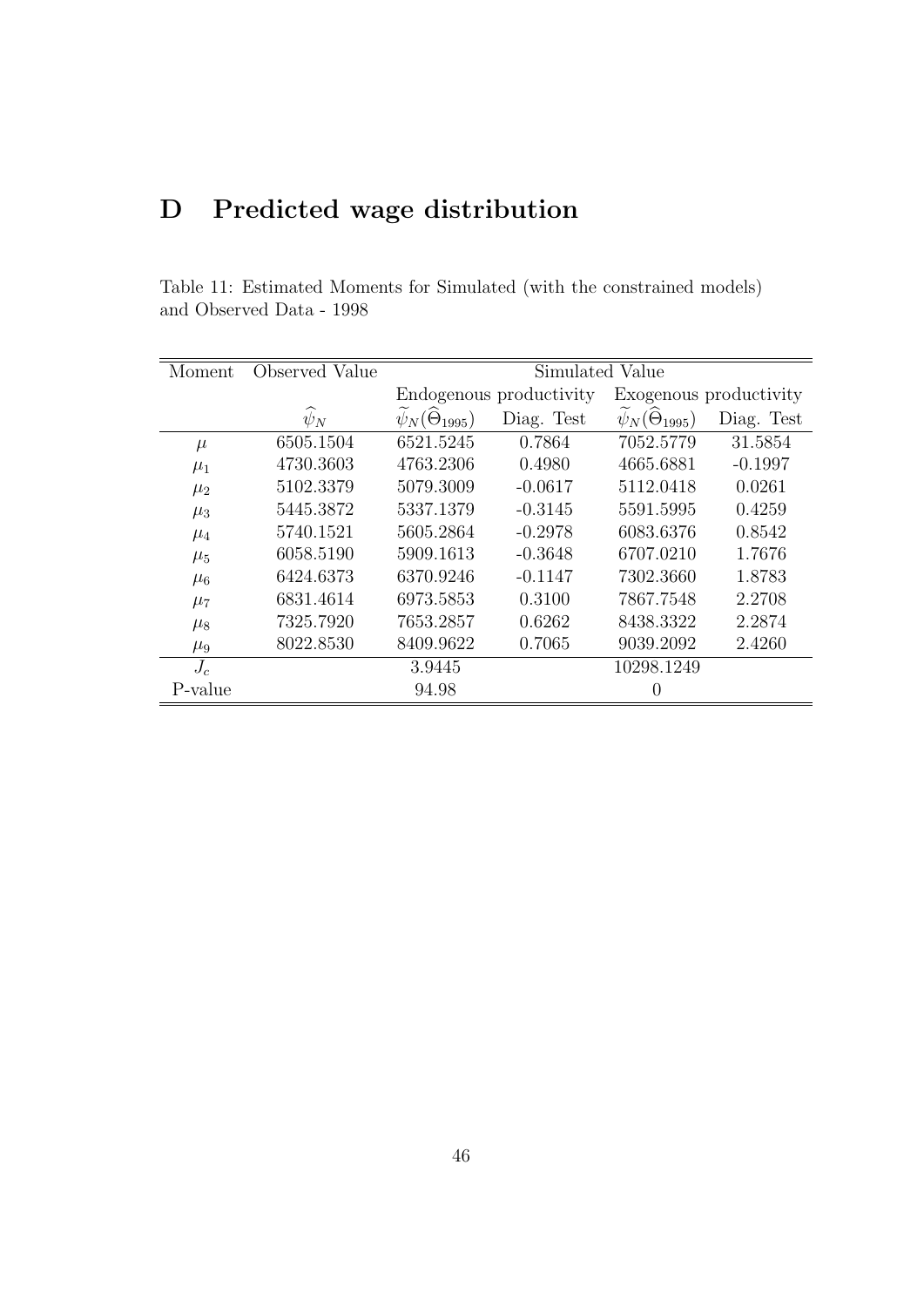# D Predicted wage distribution

Table 11: Estimated Moments for Simulated (with the constrained models) and Observed Data - 1998

| Moment    | Observed Value | Simulated Value                                 |                         |                                                 |            |  |
|-----------|----------------|-------------------------------------------------|-------------------------|-------------------------------------------------|------------|--|
|           |                |                                                 | Endogenous productivity | Exogenous productivity                          |            |  |
|           | $\psi_N$       | $\widetilde{\psi}_{N}(\widehat{\Theta}_{1995})$ | Diag. Test              | $\widetilde{\psi}_{N}(\widehat{\Theta}_{1995})$ | Diag. Test |  |
| $\mu$     | 6505.1504      | 6521.5245                                       | 0.7864                  | 7052.5779                                       | 31.5854    |  |
| $\mu_1$   | 4730.3603      | 4763.2306                                       | 0.4980                  | 4665.6881                                       | $-0.1997$  |  |
| $\mu_2$   | 5102.3379      | 5079.3009                                       | $-0.0617$               | 5112.0418                                       | 0.0261     |  |
| $\mu_3$   | 5445.3872      | 5337.1379                                       | $-0.3145$               | 5591.5995                                       | 0.4259     |  |
| $\mu_4$   | 5740.1521      | 5605.2864                                       | $-0.2978$               | 6083.6376                                       | 0.8542     |  |
| $\mu_5$   | 6058.5190      | 5909.1613                                       | $-0.3648$               | 6707.0210                                       | 1.7676     |  |
| $\mu_6$   | 6424.6373      | 6370.9246                                       | $-0.1147$               | 7302.3660                                       | 1.8783     |  |
| $\mu_7$   | 6831.4614      | 6973.5853                                       | 0.3100                  | 7867.7548                                       | 2.2708     |  |
| $\mu_8$   | 7325.7920      | 7653.2857                                       | 0.6262                  | 8438.3322                                       | 2.2874     |  |
| $\mu_{9}$ | 8022.8530      | 8409.9622                                       | 0.7065                  | 9039.2092                                       | 2.4260     |  |
| $J_c$     |                | 3.9445                                          |                         | 10298.1249                                      |            |  |
| P-value   |                | 94.98                                           |                         | $\theta$                                        |            |  |